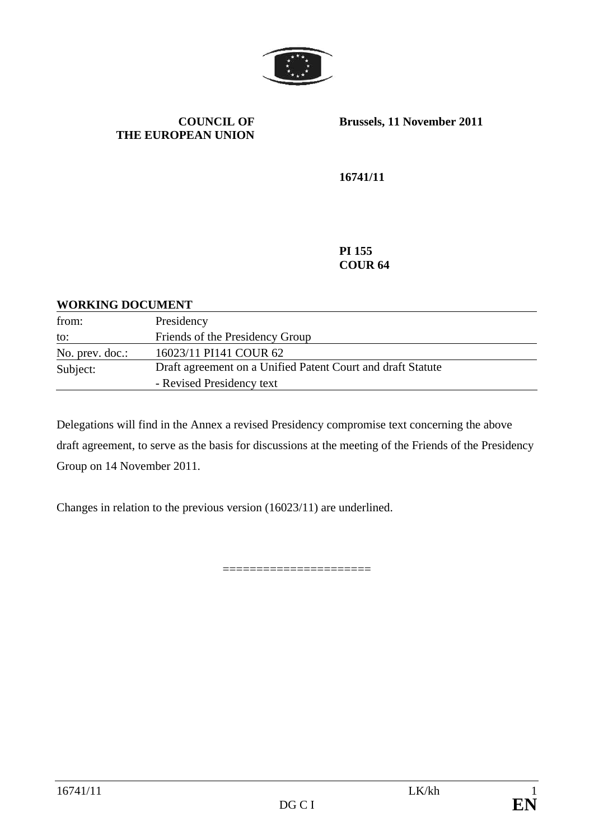

### **COUNCIL OF THE EUROPEAN UNION**

**Brussels, 11 November 2011** 

**16741/11** 

**PI 155 COUR 64** 

### **WORKING DOCUMENT**

| from:           | Presidency                                                  |
|-----------------|-------------------------------------------------------------|
| to:             | Friends of the Presidency Group                             |
| No. prev. doc.: | 16023/11 PI141 COUR 62                                      |
| Subject:        | Draft agreement on a Unified Patent Court and draft Statute |
|                 | - Revised Presidency text                                   |

Delegations will find in the Annex a revised Presidency compromise text concerning the above draft agreement, to serve as the basis for discussions at the meeting of the Friends of the Presidency Group on 14 November 2011.

======================

Changes in relation to the previous version (16023/11) are underlined.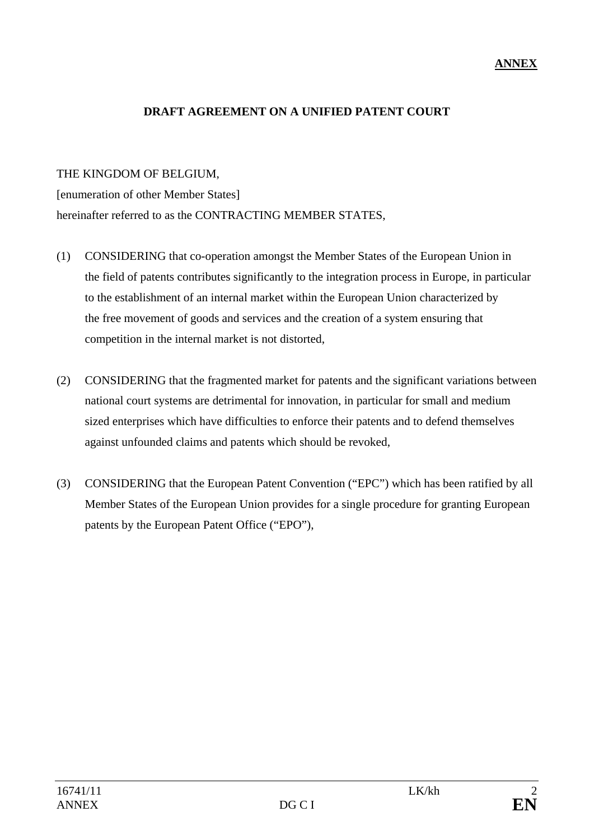## **ANNEX**

### **DRAFT AGREEMENT ON A UNIFIED PATENT COURT**

### THE KINGDOM OF BELGIUM,

[enumeration of other Member States] hereinafter referred to as the CONTRACTING MEMBER STATES.

- (1) CONSIDERING that co-operation amongst the Member States of the European Union in the field of patents contributes significantly to the integration process in Europe, in particular to the establishment of an internal market within the European Union characterized by the free movement of goods and services and the creation of a system ensuring that competition in the internal market is not distorted,
- (2) CONSIDERING that the fragmented market for patents and the significant variations between national court systems are detrimental for innovation, in particular for small and medium sized enterprises which have difficulties to enforce their patents and to defend themselves against unfounded claims and patents which should be revoked,
- (3) CONSIDERING that the European Patent Convention ("EPC") which has been ratified by all Member States of the European Union provides for a single procedure for granting European patents by the European Patent Office ("EPO"),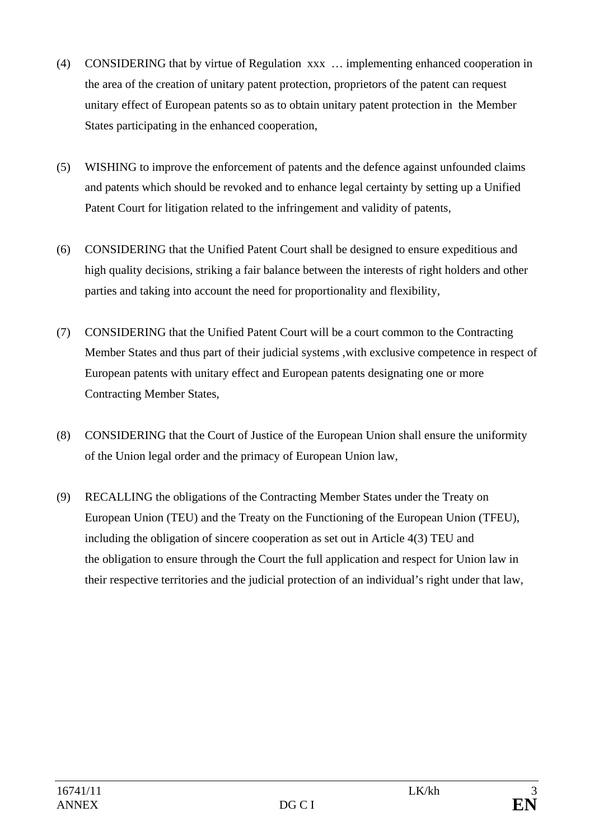- (4) CONSIDERING that by virtue of Regulation xxx … implementing enhanced cooperation in the area of the creation of unitary patent protection, proprietors of the patent can request unitary effect of European patents so as to obtain unitary patent protection in the Member States participating in the enhanced cooperation,
- (5) WISHING to improve the enforcement of patents and the defence against unfounded claims and patents which should be revoked and to enhance legal certainty by setting up a Unified Patent Court for litigation related to the infringement and validity of patents,
- (6) CONSIDERING that the Unified Patent Court shall be designed to ensure expeditious and high quality decisions, striking a fair balance between the interests of right holders and other parties and taking into account the need for proportionality and flexibility,
- (7) CONSIDERING that the Unified Patent Court will be a court common to the Contracting Member States and thus part of their judicial systems ,with exclusive competence in respect of European patents with unitary effect and European patents designating one or more Contracting Member States,
- (8) CONSIDERING that the Court of Justice of the European Union shall ensure the uniformity of the Union legal order and the primacy of European Union law,
- (9) RECALLING the obligations of the Contracting Member States under the Treaty on European Union (TEU) and the Treaty on the Functioning of the European Union (TFEU), including the obligation of sincere cooperation as set out in Article 4(3) TEU and the obligation to ensure through the Court the full application and respect for Union law in their respective territories and the judicial protection of an individual's right under that law,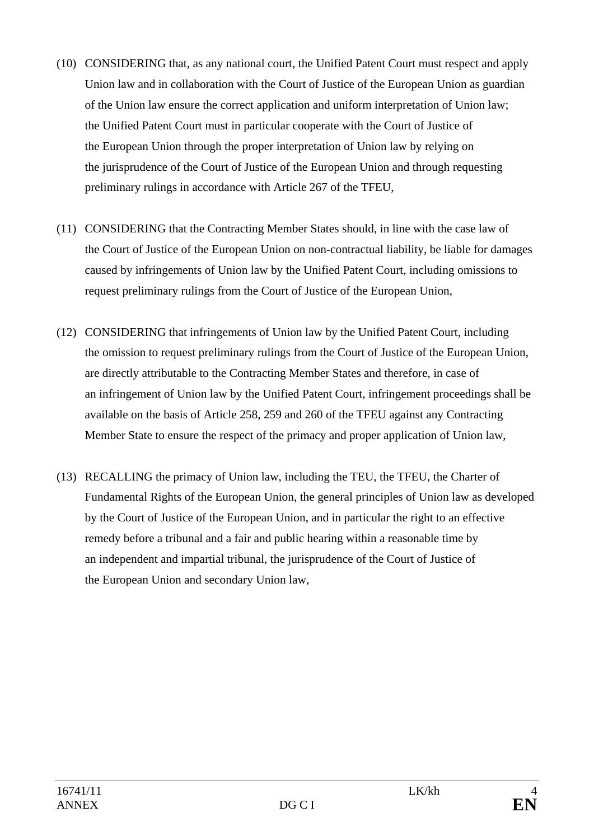- (10) CONSIDERING that, as any national court, the Unified Patent Court must respect and apply Union law and in collaboration with the Court of Justice of the European Union as guardian of the Union law ensure the correct application and uniform interpretation of Union law; the Unified Patent Court must in particular cooperate with the Court of Justice of the European Union through the proper interpretation of Union law by relying on the jurisprudence of the Court of Justice of the European Union and through requesting preliminary rulings in accordance with Article 267 of the TFEU,
- (11) CONSIDERING that the Contracting Member States should, in line with the case law of the Court of Justice of the European Union on non-contractual liability, be liable for damages caused by infringements of Union law by the Unified Patent Court, including omissions to request preliminary rulings from the Court of Justice of the European Union,
- (12) CONSIDERING that infringements of Union law by the Unified Patent Court, including the omission to request preliminary rulings from the Court of Justice of the European Union, are directly attributable to the Contracting Member States and therefore, in case of an infringement of Union law by the Unified Patent Court, infringement proceedings shall be available on the basis of Article 258, 259 and 260 of the TFEU against any Contracting Member State to ensure the respect of the primacy and proper application of Union law,
- (13) RECALLING the primacy of Union law, including the TEU, the TFEU, the Charter of Fundamental Rights of the European Union, the general principles of Union law as developed by the Court of Justice of the European Union, and in particular the right to an effective remedy before a tribunal and a fair and public hearing within a reasonable time by an independent and impartial tribunal, the jurisprudence of the Court of Justice of the European Union and secondary Union law,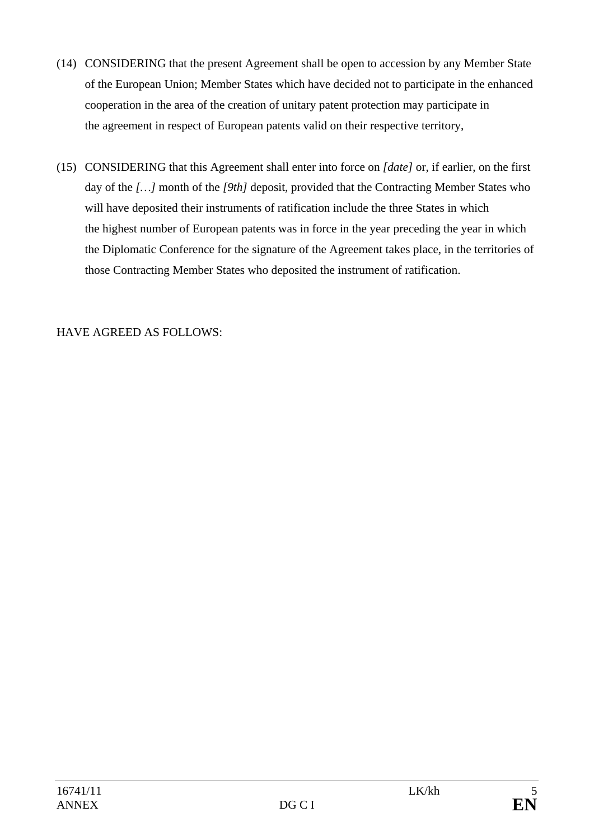- (14) CONSIDERING that the present Agreement shall be open to accession by any Member State of the European Union; Member States which have decided not to participate in the enhanced cooperation in the area of the creation of unitary patent protection may participate in the agreement in respect of European patents valid on their respective territory,
- (15) CONSIDERING that this Agreement shall enter into force on *[date]* or, if earlier, on the first day of the *[…]* month of the *[9th]* deposit, provided that the Contracting Member States who will have deposited their instruments of ratification include the three States in which the highest number of European patents was in force in the year preceding the year in which the Diplomatic Conference for the signature of the Agreement takes place, in the territories of those Contracting Member States who deposited the instrument of ratification.

## HAVE AGREED AS FOLLOWS: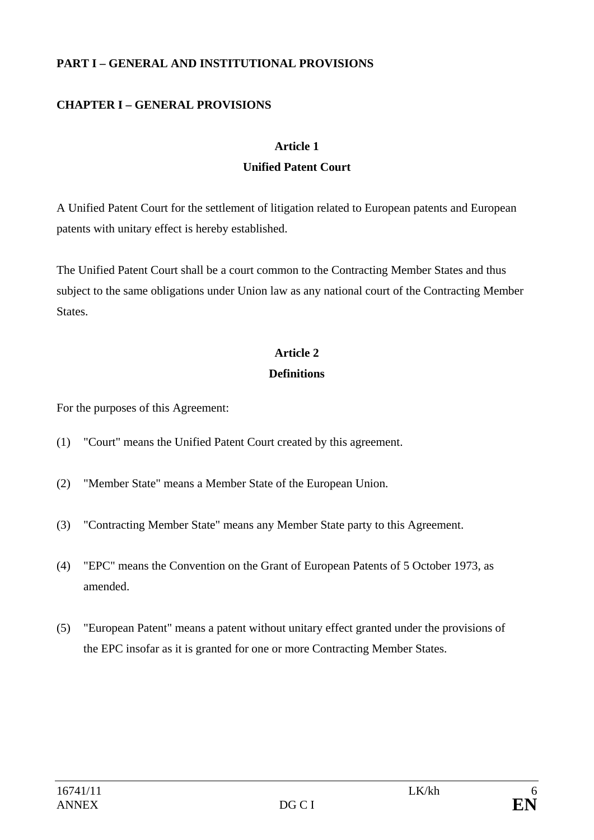## **PART I – GENERAL AND INSTITUTIONAL PROVISIONS**

# **CHAPTER I – GENERAL PROVISIONS**

### **Article 1**

## **Unified Patent Court**

A Unified Patent Court for the settlement of litigation related to European patents and European patents with unitary effect is hereby established.

The Unified Patent Court shall be a court common to the Contracting Member States and thus subject to the same obligations under Union law as any national court of the Contracting Member States.

## **Article 2**

## **Definitions**

For the purposes of this Agreement:

- (1) "Court" means the Unified Patent Court created by this agreement.
- (2) "Member State" means a Member State of the European Union.
- (3) "Contracting Member State" means any Member State party to this Agreement.
- (4) "EPC" means the Convention on the Grant of European Patents of 5 October 1973, as amended.
- (5) "European Patent" means a patent without unitary effect granted under the provisions of the EPC insofar as it is granted for one or more Contracting Member States.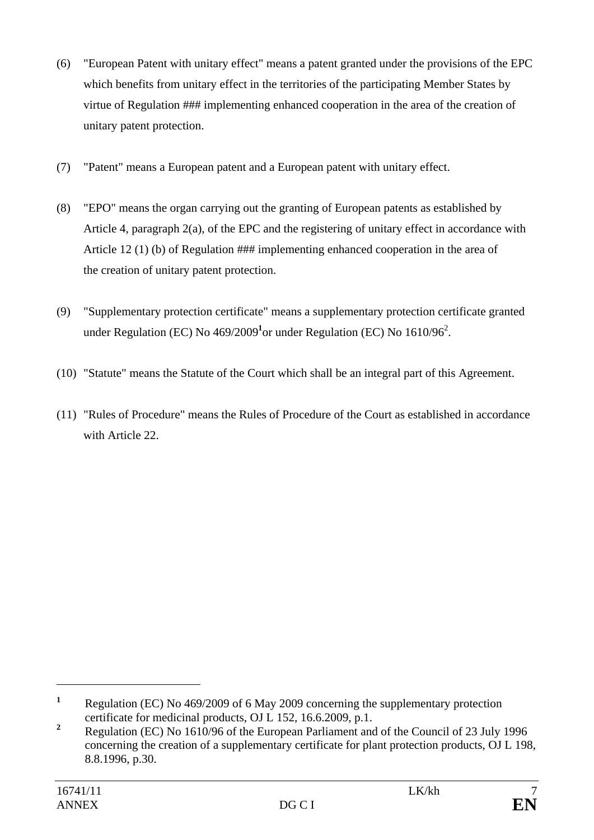- (6) "European Patent with unitary effect" means a patent granted under the provisions of the EPC which benefits from unitary effect in the territories of the participating Member States by virtue of Regulation ### implementing enhanced cooperation in the area of the creation of unitary patent protection.
- (7) "Patent" means a European patent and a European patent with unitary effect.
- (8) "EPO" means the organ carrying out the granting of European patents as established by Article 4, paragraph 2(a), of the EPC and the registering of unitary effect in accordance with Article 12 (1) (b) of Regulation ### implementing enhanced cooperation in the area of the creation of unitary patent protection.
- (9) "Supplementary protection certificate" means a supplementary protection certificate granted under Regulation (EC) No  $469/2009<sup>1</sup>$ or under Regulation (EC) No  $1610/96<sup>2</sup>$ .
- (10) "Statute" means the Statute of the Court which shall be an integral part of this Agreement.
- (11) "Rules of Procedure" means the Rules of Procedure of the Court as established in accordance with Article 22.

**<sup>1</sup>** Regulation (EC) No 469/2009 of 6 May 2009 concerning the supplementary protection certificate for medicinal products, OJ L 152, 16.6.2009, p.1.

**<sup>2</sup>** Regulation (EC) No 1610/96 of the European Parliament and of the Council of 23 July 1996 concerning the creation of a supplementary certificate for plant protection products, OJ L 198, 8.8.1996, p.30.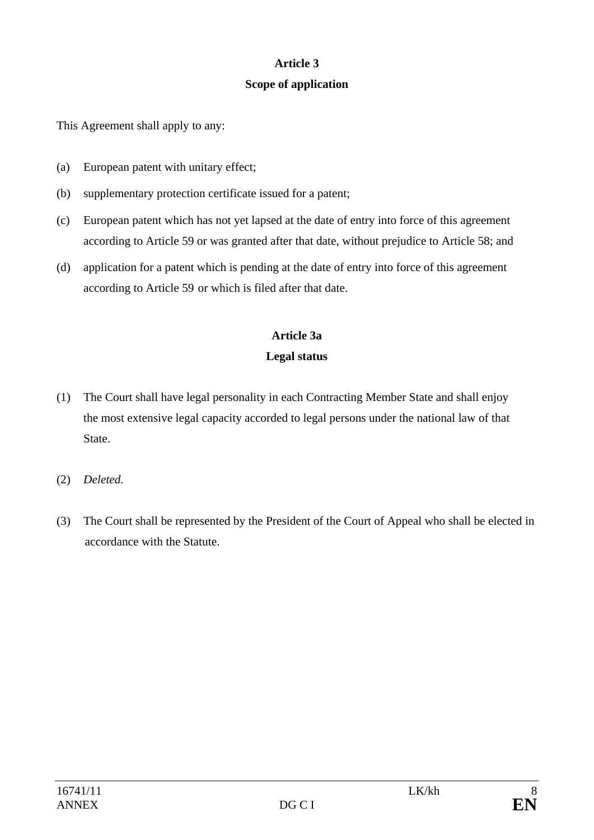## **Article 3**

## **Scope of application**

This Agreement shall apply to any:

- (a) European patent with unitary effect;
- (b) supplementary protection certificate issued for a patent;
- (c) European patent which has not yet lapsed at the date of entry into force of this agreement according to Article 59 or was granted after that date, without prejudice to Article 58; and
- (d) application for a patent which is pending at the date of entry into force of this agreement according to Article 59 or which is filed after that date.

# **Article 3a Legal status**

- (1) The Court shall have legal personality in each Contracting Member State and shall enjoy the most extensive legal capacity accorded to legal persons under the national law of that State.
- (2) *Deleted.*
- (3) The Court shall be represented by the President of the Court of Appeal who shall be elected in accordance with the Statute.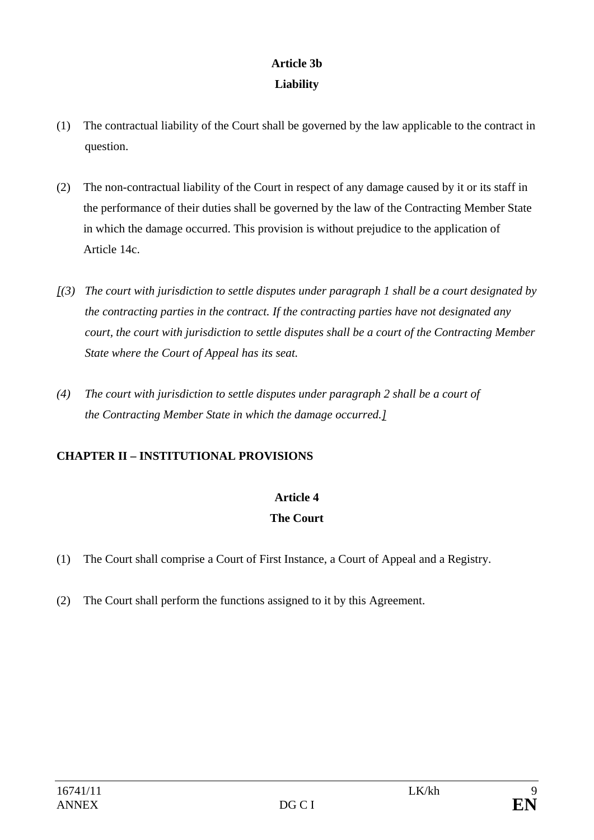# **Article 3b Liability**

- (1) The contractual liability of the Court shall be governed by the law applicable to the contract in question.
- (2) The non-contractual liability of the Court in respect of any damage caused by it or its staff in the performance of their duties shall be governed by the law of the Contracting Member State in which the damage occurred. This provision is without prejudice to the application of Article 14c.
- *[(3) The court with jurisdiction to settle disputes under paragraph 1 shall be a court designated by the contracting parties in the contract. If the contracting parties have not designated any court, the court with jurisdiction to settle disputes shall be a court of the Contracting Member State where the Court of Appeal has its seat.*
- *(4) The court with jurisdiction to settle disputes under paragraph 2 shall be a court of the Contracting Member State in which the damage occurred.]*

# **CHAPTER II – INSTITUTIONAL PROVISIONS**

# **Article 4**

# **The Court**

- (1) The Court shall comprise a Court of First Instance, a Court of Appeal and a Registry.
- (2) The Court shall perform the functions assigned to it by this Agreement.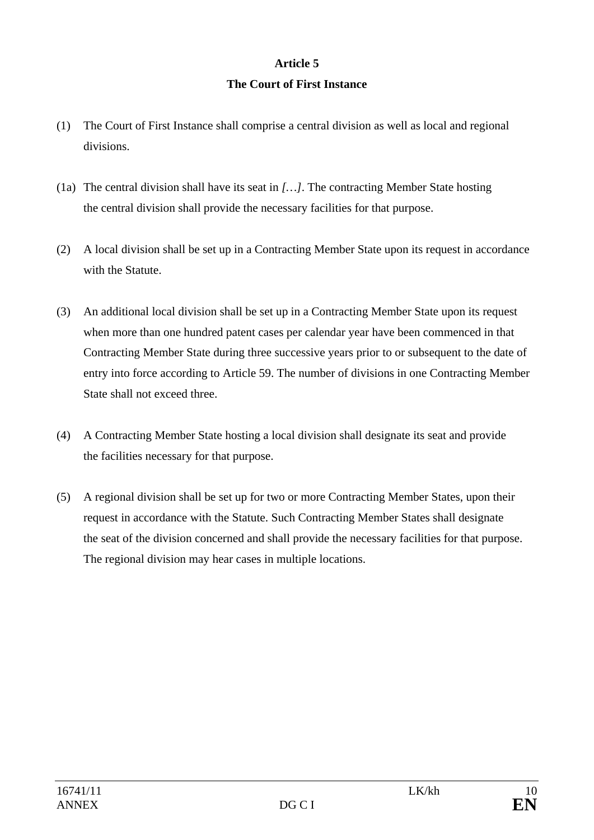## **Article 5 The Court of First Instance**

- (1) The Court of First Instance shall comprise a central division as well as local and regional divisions.
- (1a) The central division shall have its seat in *[…]*. The contracting Member State hosting the central division shall provide the necessary facilities for that purpose.
- (2) A local division shall be set up in a Contracting Member State upon its request in accordance with the Statute.
- (3) An additional local division shall be set up in a Contracting Member State upon its request when more than one hundred patent cases per calendar year have been commenced in that Contracting Member State during three successive years prior to or subsequent to the date of entry into force according to Article 59. The number of divisions in one Contracting Member State shall not exceed three.
- (4) A Contracting Member State hosting a local division shall designate its seat and provide the facilities necessary for that purpose.
- (5) A regional division shall be set up for two or more Contracting Member States, upon their request in accordance with the Statute. Such Contracting Member States shall designate the seat of the division concerned and shall provide the necessary facilities for that purpose. The regional division may hear cases in multiple locations.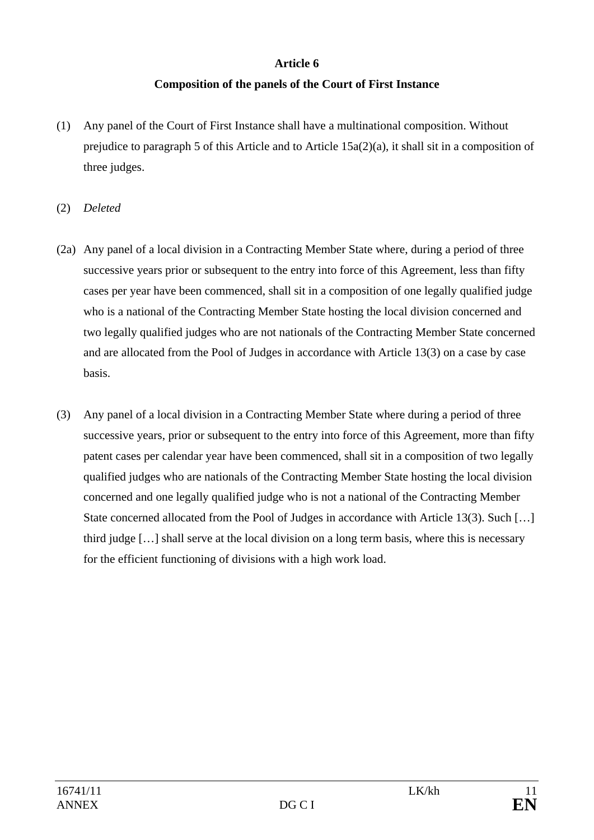## **Article 6**

# **Composition of the panels of the Court of First Instance**

- (1) Any panel of the Court of First Instance shall have a multinational composition. Without prejudice to paragraph 5 of this Article and to Article 15a(2)(a), it shall sit in a composition of three judges.
- (2) *Deleted*
- (2a) Any panel of a local division in a Contracting Member State where, during a period of three successive years prior or subsequent to the entry into force of this Agreement, less than fifty cases per year have been commenced, shall sit in a composition of one legally qualified judge who is a national of the Contracting Member State hosting the local division concerned and two legally qualified judges who are not nationals of the Contracting Member State concerned and are allocated from the Pool of Judges in accordance with Article 13(3) on a case by case basis.
- (3) Any panel of a local division in a Contracting Member State where during a period of three successive years, prior or subsequent to the entry into force of this Agreement, more than fifty patent cases per calendar year have been commenced, shall sit in a composition of two legally qualified judges who are nationals of the Contracting Member State hosting the local division concerned and one legally qualified judge who is not a national of the Contracting Member State concerned allocated from the Pool of Judges in accordance with Article 13(3). Such [...] third judge […] shall serve at the local division on a long term basis, where this is necessary for the efficient functioning of divisions with a high work load.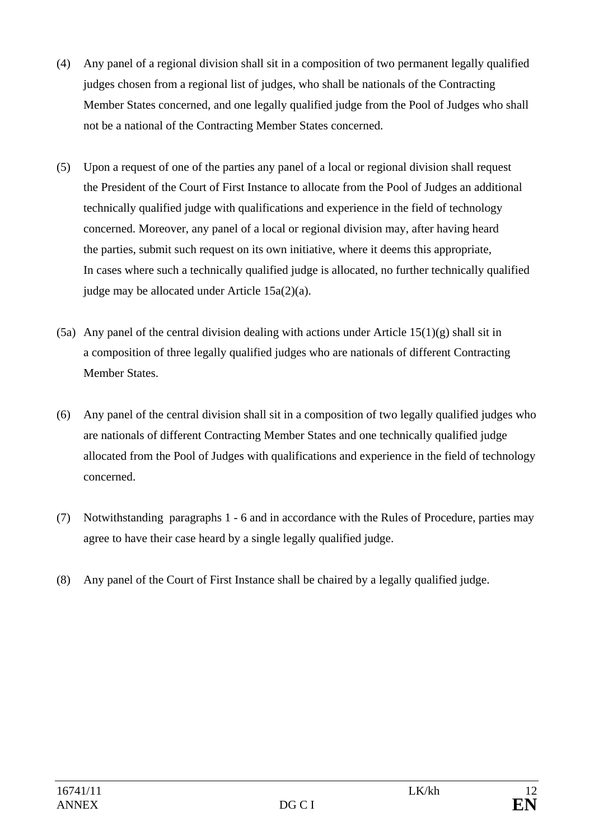- (4) Any panel of a regional division shall sit in a composition of two permanent legally qualified judges chosen from a regional list of judges, who shall be nationals of the Contracting Member States concerned, and one legally qualified judge from the Pool of Judges who shall not be a national of the Contracting Member States concerned.
- (5) Upon a request of one of the parties any panel of a local or regional division shall request the President of the Court of First Instance to allocate from the Pool of Judges an additional technically qualified judge with qualifications and experience in the field of technology concerned. Moreover, any panel of a local or regional division may, after having heard the parties, submit such request on its own initiative, where it deems this appropriate, In cases where such a technically qualified judge is allocated, no further technically qualified judge may be allocated under Article 15a(2)(a).
- (5a) Any panel of the central division dealing with actions under Article  $15(1)(g)$  shall sit in a composition of three legally qualified judges who are nationals of different Contracting Member States.
- (6) Any panel of the central division shall sit in a composition of two legally qualified judges who are nationals of different Contracting Member States and one technically qualified judge allocated from the Pool of Judges with qualifications and experience in the field of technology concerned.
- (7) Notwithstanding paragraphs 1 6 and in accordance with the Rules of Procedure, parties may agree to have their case heard by a single legally qualified judge.
- (8) Any panel of the Court of First Instance shall be chaired by a legally qualified judge.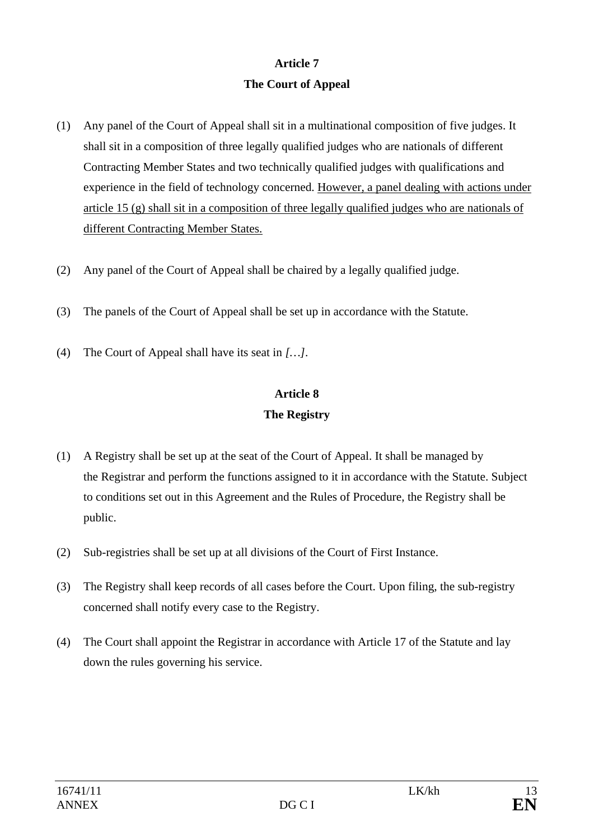# **Article 7 The Court of Appeal**

- (1) Any panel of the Court of Appeal shall sit in a multinational composition of five judges. It shall sit in a composition of three legally qualified judges who are nationals of different Contracting Member States and two technically qualified judges with qualifications and experience in the field of technology concerned. However, a panel dealing with actions under article 15 (g) shall sit in a composition of three legally qualified judges who are nationals of different Contracting Member States.
- (2) Any panel of the Court of Appeal shall be chaired by a legally qualified judge.
- (3) The panels of the Court of Appeal shall be set up in accordance with the Statute.
- (4) The Court of Appeal shall have its seat in *[…]*.

# **Article 8 The Registry**

- (1) A Registry shall be set up at the seat of the Court of Appeal. It shall be managed by the Registrar and perform the functions assigned to it in accordance with the Statute. Subject to conditions set out in this Agreement and the Rules of Procedure, the Registry shall be public.
- (2) Sub-registries shall be set up at all divisions of the Court of First Instance.
- (3) The Registry shall keep records of all cases before the Court. Upon filing, the sub-registry concerned shall notify every case to the Registry.
- (4) The Court shall appoint the Registrar in accordance with Article 17 of the Statute and lay down the rules governing his service.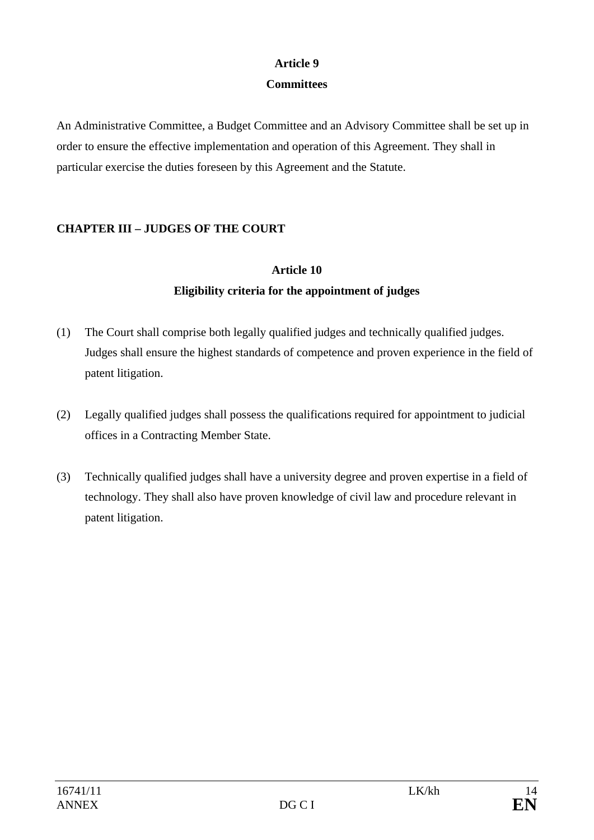# **Article 9**

## **Committees**

An Administrative Committee, a Budget Committee and an Advisory Committee shall be set up in order to ensure the effective implementation and operation of this Agreement. They shall in particular exercise the duties foreseen by this Agreement and the Statute.

# **CHAPTER III – JUDGES OF THE COURT**

# **Article 10 Eligibility criteria for the appointment of judges**

- (1) The Court shall comprise both legally qualified judges and technically qualified judges. Judges shall ensure the highest standards of competence and proven experience in the field of patent litigation.
- (2) Legally qualified judges shall possess the qualifications required for appointment to judicial offices in a Contracting Member State.
- (3) Technically qualified judges shall have a university degree and proven expertise in a field of technology. They shall also have proven knowledge of civil law and procedure relevant in patent litigation.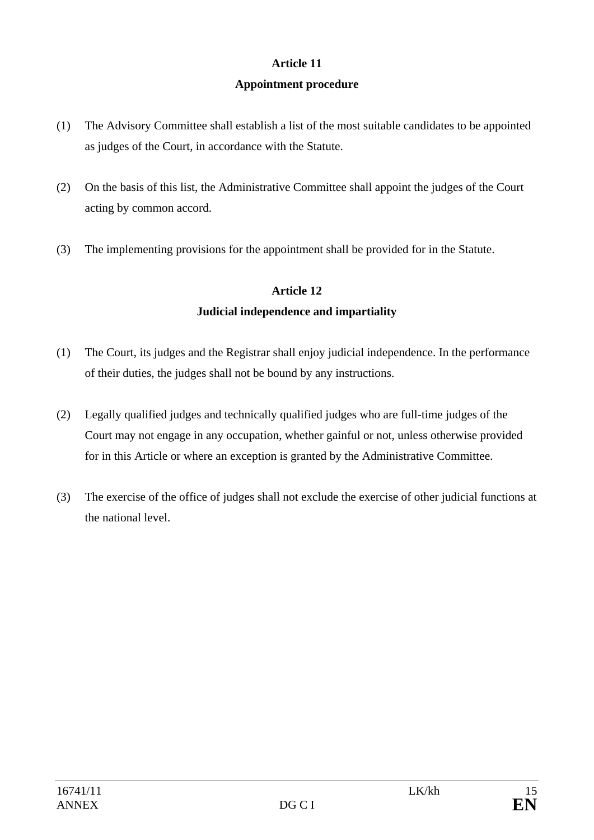## **Article 11**

### **Appointment procedure**

- (1) The Advisory Committee shall establish a list of the most suitable candidates to be appointed as judges of the Court, in accordance with the Statute.
- (2) On the basis of this list, the Administrative Committee shall appoint the judges of the Court acting by common accord.
- (3) The implementing provisions for the appointment shall be provided for in the Statute.

## **Article 12**

## **Judicial independence and impartiality**

- (1) The Court, its judges and the Registrar shall enjoy judicial independence. In the performance of their duties, the judges shall not be bound by any instructions.
- (2) Legally qualified judges and technically qualified judges who are full-time judges of the Court may not engage in any occupation, whether gainful or not, unless otherwise provided for in this Article or where an exception is granted by the Administrative Committee.
- (3) The exercise of the office of judges shall not exclude the exercise of other judicial functions at the national level.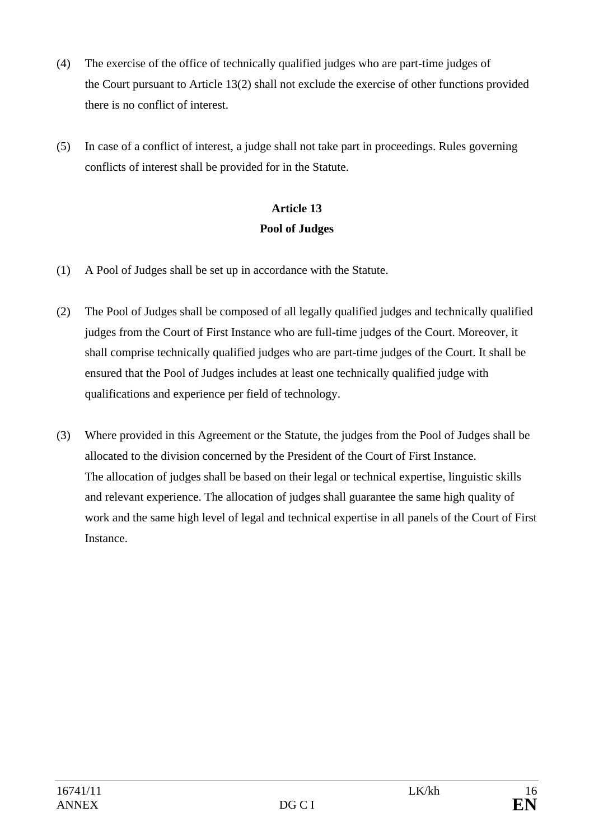- (4) The exercise of the office of technically qualified judges who are part-time judges of the Court pursuant to Article 13(2) shall not exclude the exercise of other functions provided there is no conflict of interest.
- (5) In case of a conflict of interest, a judge shall not take part in proceedings. Rules governing conflicts of interest shall be provided for in the Statute.

# **Article 13 Pool of Judges**

- (1) A Pool of Judges shall be set up in accordance with the Statute.
- (2) The Pool of Judges shall be composed of all legally qualified judges and technically qualified judges from the Court of First Instance who are full-time judges of the Court. Moreover, it shall comprise technically qualified judges who are part-time judges of the Court. It shall be ensured that the Pool of Judges includes at least one technically qualified judge with qualifications and experience per field of technology.
- (3) Where provided in this Agreement or the Statute, the judges from the Pool of Judges shall be allocated to the division concerned by the President of the Court of First Instance. The allocation of judges shall be based on their legal or technical expertise, linguistic skills and relevant experience. The allocation of judges shall guarantee the same high quality of work and the same high level of legal and technical expertise in all panels of the Court of First **Instance**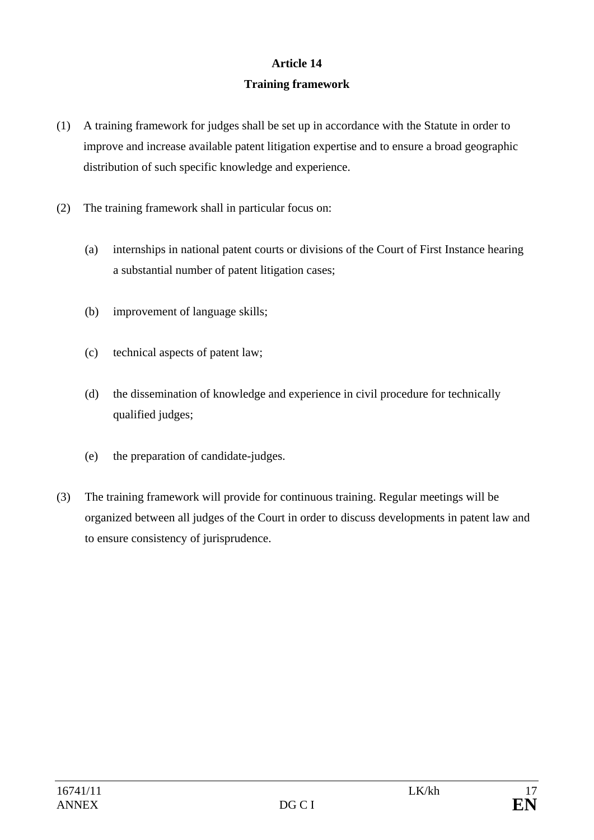# **Article 14 Training framework**

- (1) A training framework for judges shall be set up in accordance with the Statute in order to improve and increase available patent litigation expertise and to ensure a broad geographic distribution of such specific knowledge and experience.
- (2) The training framework shall in particular focus on:
	- (a) internships in national patent courts or divisions of the Court of First Instance hearing a substantial number of patent litigation cases;
	- (b) improvement of language skills;
	- (c) technical aspects of patent law;
	- (d) the dissemination of knowledge and experience in civil procedure for technically qualified judges;
	- (e) the preparation of candidate-judges.
- (3) The training framework will provide for continuous training. Regular meetings will be organized between all judges of the Court in order to discuss developments in patent law and to ensure consistency of jurisprudence.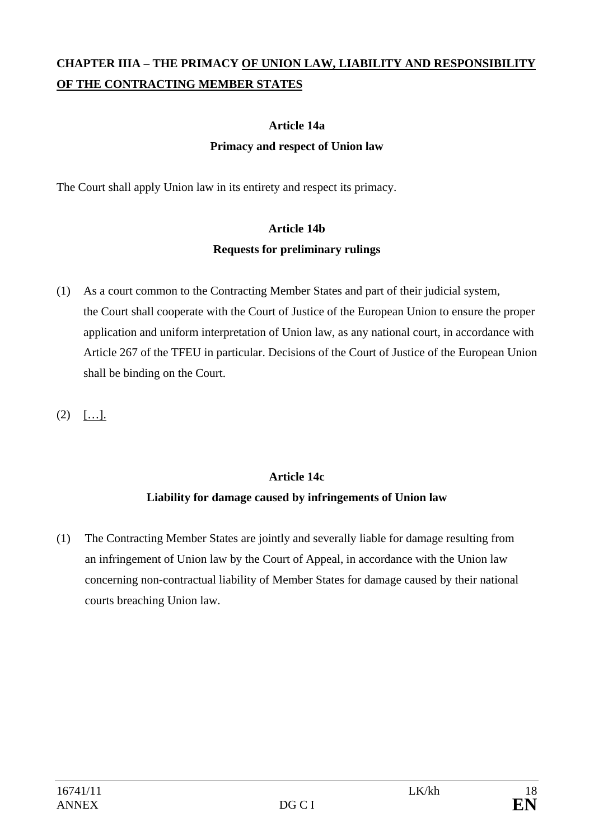# **CHAPTER IIIA – THE PRIMACY OF UNION LAW, LIABILITY AND RESPONSIBILITY OF THE CONTRACTING MEMBER STATES**

## **Article 14a**

## **Primacy and respect of Union law**

The Court shall apply Union law in its entirety and respect its primacy.

# **Article 14b Requests for preliminary rulings**

- (1) As a court common to the Contracting Member States and part of their judicial system, the Court shall cooperate with the Court of Justice of the European Union to ensure the proper application and uniform interpretation of Union law, as any national court, in accordance with Article 267 of the TFEU in particular. Decisions of the Court of Justice of the European Union shall be binding on the Court.
- $(2)$  [...].

# **Article 14c Liability for damage caused by infringements of Union law**

(1) The Contracting Member States are jointly and severally liable for damage resulting from an infringement of Union law by the Court of Appeal, in accordance with the Union law concerning non-contractual liability of Member States for damage caused by their national courts breaching Union law.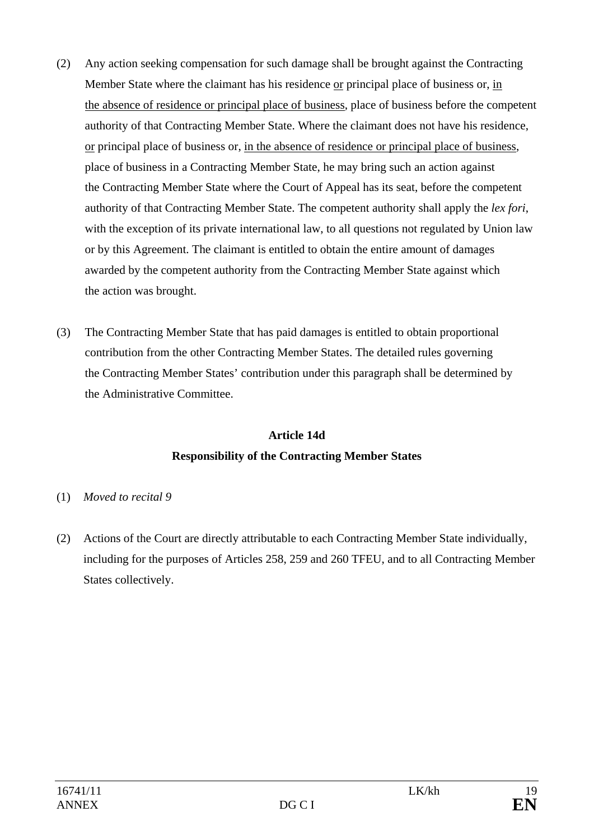- (2) Any action seeking compensation for such damage shall be brought against the Contracting Member State where the claimant has his residence or principal place of business or, in the absence of residence or principal place of business, place of business before the competent authority of that Contracting Member State. Where the claimant does not have his residence, or principal place of business or, in the absence of residence or principal place of business, place of business in a Contracting Member State, he may bring such an action against the Contracting Member State where the Court of Appeal has its seat, before the competent authority of that Contracting Member State. The competent authority shall apply the *lex fori*, with the exception of its private international law, to all questions not regulated by Union law or by this Agreement. The claimant is entitled to obtain the entire amount of damages awarded by the competent authority from the Contracting Member State against which the action was brought.
- (3) The Contracting Member State that has paid damages is entitled to obtain proportional contribution from the other Contracting Member States. The detailed rules governing the Contracting Member States' contribution under this paragraph shall be determined by the Administrative Committee.

# **Article 14d Responsibility of the Contracting Member States**

## (1) *Moved to recital 9*

(2) Actions of the Court are directly attributable to each Contracting Member State individually, including for the purposes of Articles 258, 259 and 260 TFEU, and to all Contracting Member States collectively.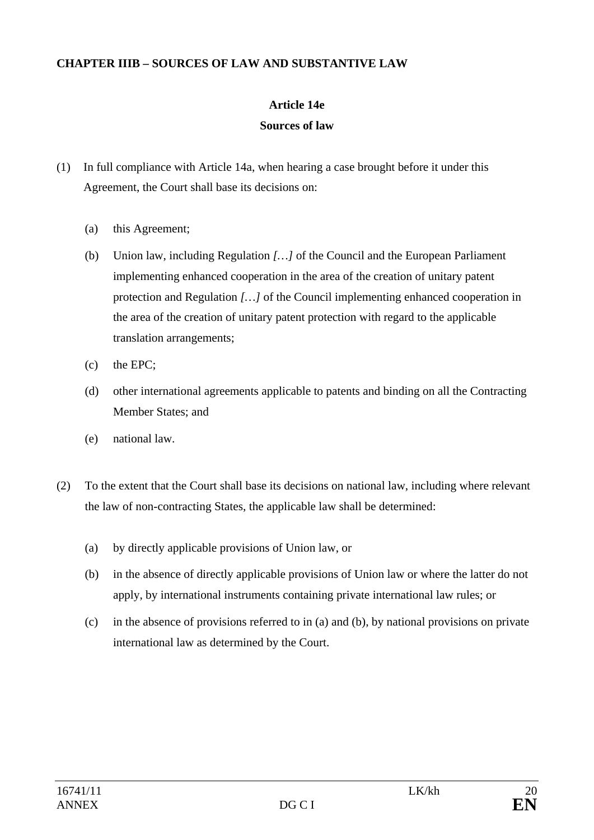### **CHAPTER IIIB – SOURCES OF LAW AND SUBSTANTIVE LAW**

# **Article 14e**

## **Sources of law**

- (1) In full compliance with Article 14a, when hearing a case brought before it under this Agreement, the Court shall base its decisions on:
	- (a) this Agreement;
	- (b) Union law, including Regulation *[…]* of the Council and the European Parliament implementing enhanced cooperation in the area of the creation of unitary patent protection and Regulation *[…]* of the Council implementing enhanced cooperation in the area of the creation of unitary patent protection with regard to the applicable translation arrangements;
	- (c) the EPC;
	- (d) other international agreements applicable to patents and binding on all the Contracting Member States; and
	- (e) national law.
- (2) To the extent that the Court shall base its decisions on national law, including where relevant the law of non-contracting States, the applicable law shall be determined:
	- (a) by directly applicable provisions of Union law, or
	- (b) in the absence of directly applicable provisions of Union law or where the latter do not apply, by international instruments containing private international law rules; or
	- (c) in the absence of provisions referred to in (a) and (b), by national provisions on private international law as determined by the Court.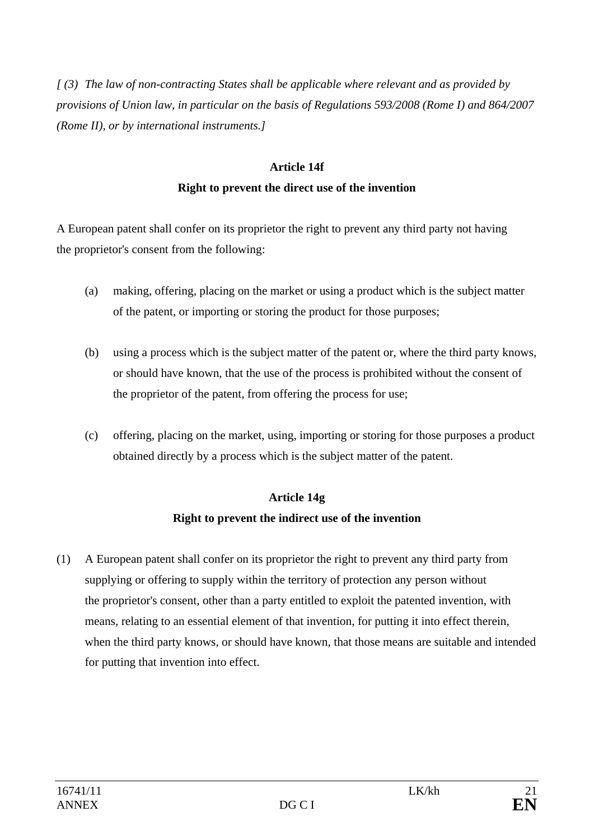*[ (3) The law of non-contracting States shall be applicable where relevant and as provided by provisions of Union law, in particular on the basis of Regulations 593/2008 (Rome I) and 864/2007 (Rome II), or by international instruments.]*

# **Article 14f Right to prevent the direct use of the invention**

A European patent shall confer on its proprietor the right to prevent any third party not having the proprietor's consent from the following:

- (a) making, offering, placing on the market or using a product which is the subject matter of the patent, or importing or storing the product for those purposes;
- (b) using a process which is the subject matter of the patent or, where the third party knows, or should have known, that the use of the process is prohibited without the consent of the proprietor of the patent, from offering the process for use;
- (c) offering, placing on the market, using, importing or storing for those purposes a product obtained directly by a process which is the subject matter of the patent.

# **Article 14g**

# **Right to prevent the indirect use of the invention**

(1) A European patent shall confer on its proprietor the right to prevent any third party from supplying or offering to supply within the territory of protection any person without the proprietor's consent, other than a party entitled to exploit the patented invention, with means, relating to an essential element of that invention, for putting it into effect therein, when the third party knows, or should have known, that those means are suitable and intended for putting that invention into effect.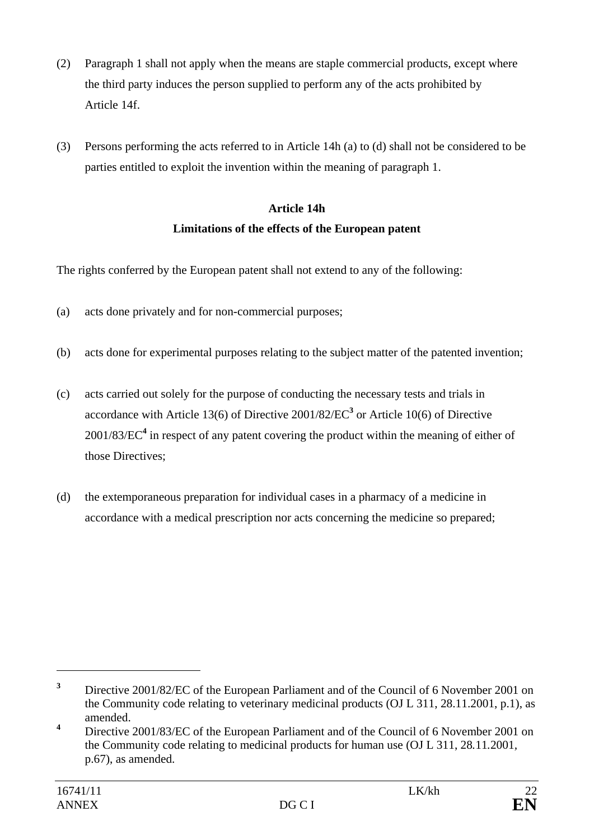- (2) Paragraph 1 shall not apply when the means are staple commercial products, except where the third party induces the person supplied to perform any of the acts prohibited by Article 14f.
- (3) Persons performing the acts referred to in Article 14h (a) to (d) shall not be considered to be parties entitled to exploit the invention within the meaning of paragraph 1.

# **Article 14h Limitations of the effects of the European patent**

The rights conferred by the European patent shall not extend to any of the following:

- (a) acts done privately and for non-commercial purposes;
- (b) acts done for experimental purposes relating to the subject matter of the patented invention;
- (c) acts carried out solely for the purpose of conducting the necessary tests and trials in accordance with Article 13(6) of Directive 2001/82/EC**<sup>3</sup>** or Article 10(6) of Directive 2001/83/EC**<sup>4</sup>** in respect of any patent covering the product within the meaning of either of those Directives;
- (d) the extemporaneous preparation for individual cases in a pharmacy of a medicine in accordance with a medical prescription nor acts concerning the medicine so prepared;

**<sup>3</sup>** Directive 2001/82/EC of the European Parliament and of the Council of 6 November 2001 on the Community code relating to veterinary medicinal products (OJ L 311, 28.11.2001, p.1), as amended.

**<sup>4</sup>** Directive 2001/83/EC of the European Parliament and of the Council of 6 November 2001 on the Community code relating to medicinal products for human use (OJ L 311, 28*.*11*.*2001*,* p.67), as amended.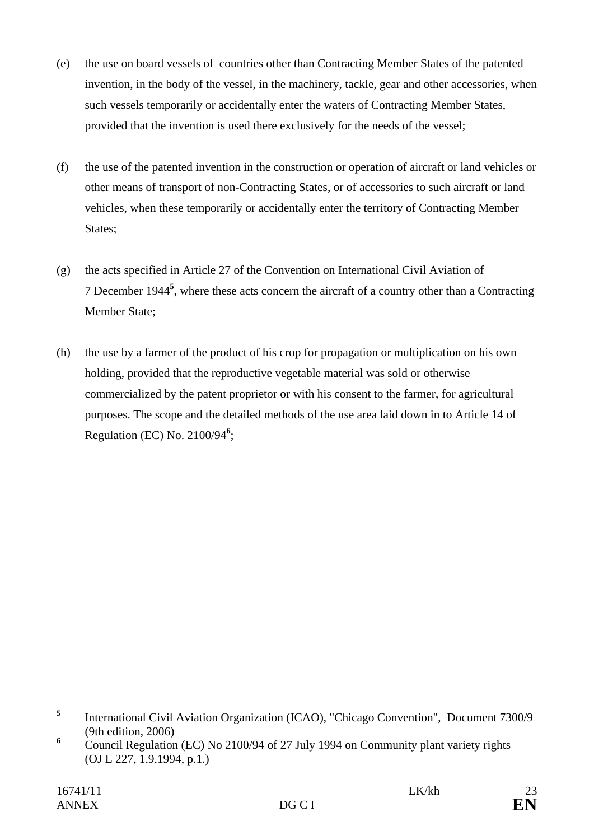- (e) the use on board vessels of countries other than Contracting Member States of the patented invention, in the body of the vessel, in the machinery, tackle, gear and other accessories, when such vessels temporarily or accidentally enter the waters of Contracting Member States, provided that the invention is used there exclusively for the needs of the vessel;
- (f) the use of the patented invention in the construction or operation of aircraft or land vehicles or other means of transport of non-Contracting States, or of accessories to such aircraft or land vehicles, when these temporarily or accidentally enter the territory of Contracting Member States;
- (g) the acts specified in Article 27 of the Convention on International Civil Aviation of 7 December 1944**<sup>5</sup>** , where these acts concern the aircraft of a country other than a Contracting Member State;
- (h) the use by a farmer of the product of his crop for propagation or multiplication on his own holding, provided that the reproductive vegetable material was sold or otherwise commercialized by the patent proprietor or with his consent to the farmer, for agricultural purposes. The scope and the detailed methods of the use area laid down in to Article 14 of Regulation (EC) No. 2100/94**<sup>6</sup>** ;

**<sup>5</sup>** International Civil Aviation Organization (ICAO), "Chicago Convention", Document 7300/9 (9th edition, 2006)

<sup>&</sup>lt;sup>6</sup> Council Regulation (EC) No 2100/94 of 27 July 1994 on Community plant variety rights (OJ L 227, 1.9.1994, p.1.)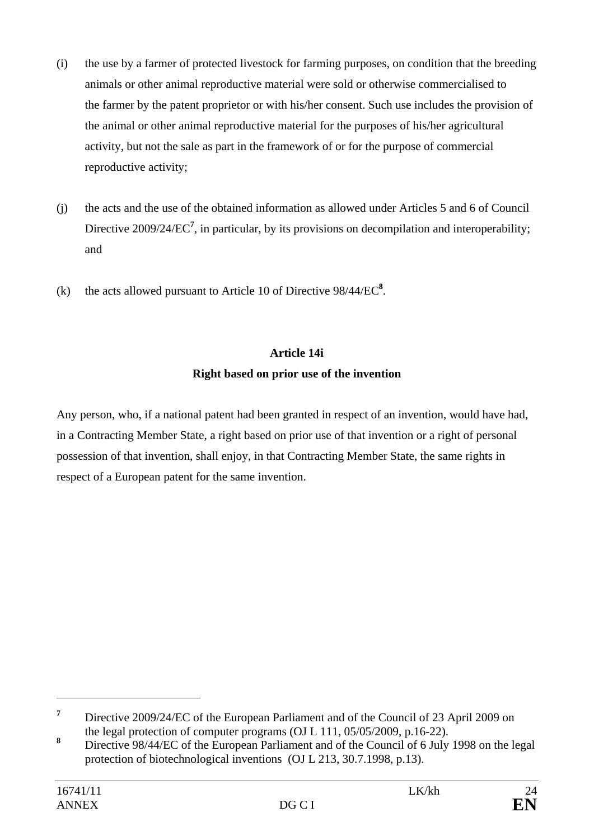- (i) the use by a farmer of protected livestock for farming purposes, on condition that the breeding animals or other animal reproductive material were sold or otherwise commercialised to the farmer by the patent proprietor or with his/her consent. Such use includes the provision of the animal or other animal reproductive material for the purposes of his/her agricultural activity, but not the sale as part in the framework of or for the purpose of commercial reproductive activity;
- (j) the acts and the use of the obtained information as allowed under Articles 5 and 6 of Council Directive 2009/24/EC<sup>7</sup>, in particular, by its provisions on decompilation and interoperability; and
- (k) the acts allowed pursuant to Article 10 of Directive  $98/44/EC^8$ .

# **Article 14i**

## **Right based on prior use of the invention**

Any person, who, if a national patent had been granted in respect of an invention, would have had, in a Contracting Member State, a right based on prior use of that invention or a right of personal possession of that invention, shall enjoy, in that Contracting Member State, the same rights in respect of a European patent for the same invention.

**<sup>7</sup>** Directive 2009/24/EC of the European Parliament and of the Council of 23 April 2009 on the legal protection of computer programs (OJ L 111, 05/05/2009, p.16-22).

**<sup>8</sup>** Directive 98/44/EC of the European Parliament and of the Council of 6 July 1998 on the legal protection of biotechnological inventions (OJ L 213, 30.7.1998, p.13).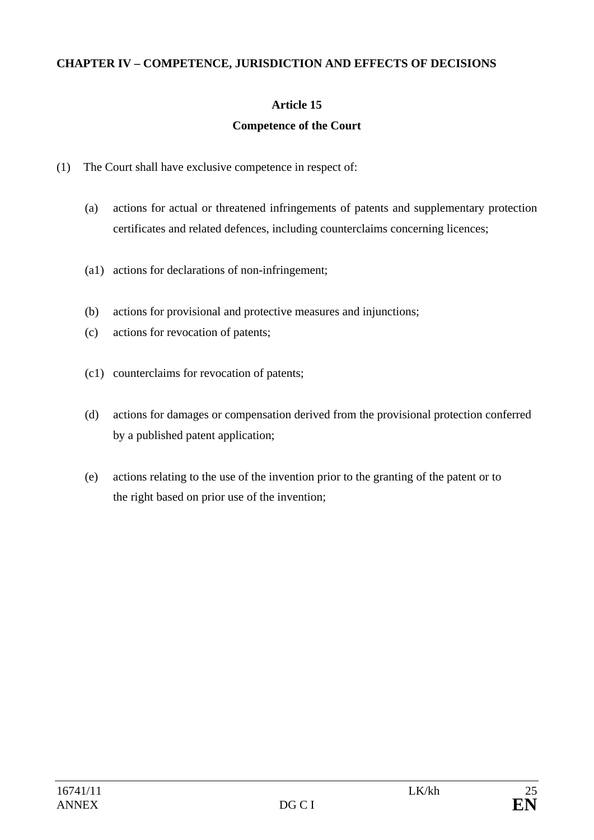## **CHAPTER IV – COMPETENCE, JURISDICTION AND EFFECTS OF DECISIONS**

## **Article 15**

## **Competence of the Court**

- (1) The Court shall have exclusive competence in respect of:
	- (a) actions for actual or threatened infringements of patents and supplementary protection certificates and related defences, including counterclaims concerning licences;
	- (a1) actions for declarations of non-infringement;
	- (b) actions for provisional and protective measures and injunctions;
	- (c) actions for revocation of patents;
	- (c1) counterclaims for revocation of patents;
	- (d) actions for damages or compensation derived from the provisional protection conferred by a published patent application;
	- (e) actions relating to the use of the invention prior to the granting of the patent or to the right based on prior use of the invention;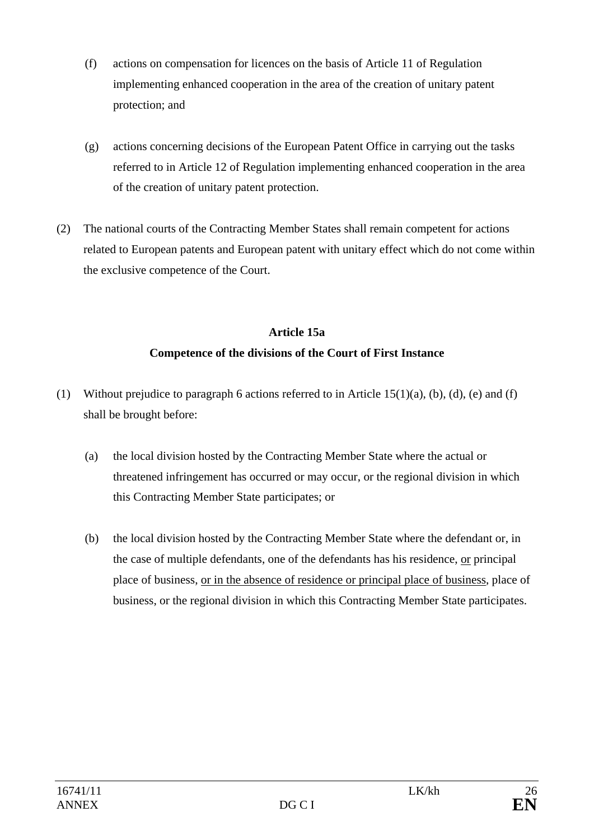- (f) actions on compensation for licences on the basis of Article 11 of Regulation implementing enhanced cooperation in the area of the creation of unitary patent protection; and
- (g) actions concerning decisions of the European Patent Office in carrying out the tasks referred to in Article 12 of Regulation implementing enhanced cooperation in the area of the creation of unitary patent protection.
- (2) The national courts of the Contracting Member States shall remain competent for actions related to European patents and European patent with unitary effect which do not come within the exclusive competence of the Court.

# **Article 15a Competence of the divisions of the Court of First Instance**

- (1) Without prejudice to paragraph 6 actions referred to in Article  $15(1)(a)$ , (b), (d), (e) and (f) shall be brought before:
	- (a) the local division hosted by the Contracting Member State where the actual or threatened infringement has occurred or may occur, or the regional division in which this Contracting Member State participates; or
	- (b) the local division hosted by the Contracting Member State where the defendant or, in the case of multiple defendants, one of the defendants has his residence, or principal place of business, or in the absence of residence or principal place of business, place of business, or the regional division in which this Contracting Member State participates.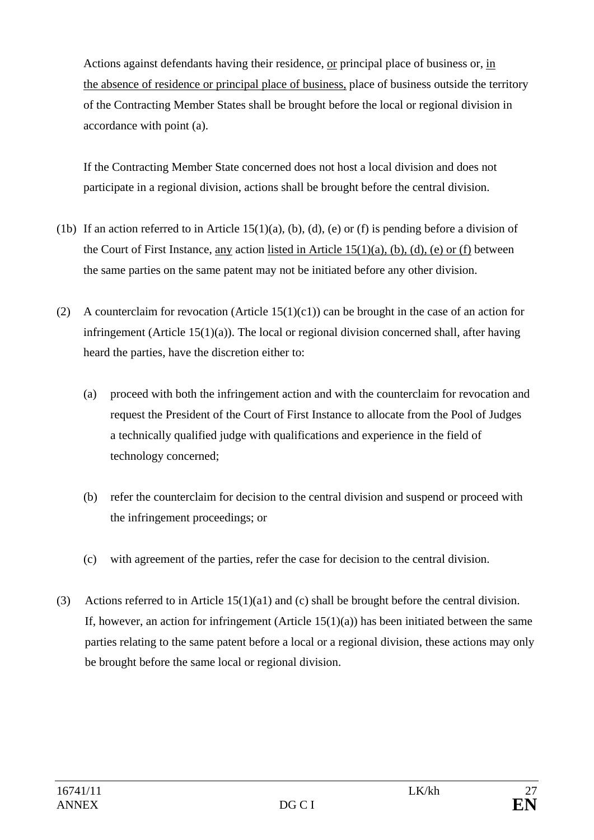Actions against defendants having their residence, or principal place of business or, in the absence of residence or principal place of business, place of business outside the territory of the Contracting Member States shall be brought before the local or regional division in accordance with point (a).

If the Contracting Member State concerned does not host a local division and does not participate in a regional division, actions shall be brought before the central division.

- (1b) If an action referred to in Article  $15(1)(a)$ , (b), (d), (e) or (f) is pending before a division of the Court of First Instance, any action listed in Article 15(1)(a), (b), (d), (e) or (f) between the same parties on the same patent may not be initiated before any other division.
- (2) A counterclaim for revocation (Article  $15(1)(c1)$ ) can be brought in the case of an action for infringement (Article 15(1)(a)). The local or regional division concerned shall, after having heard the parties, have the discretion either to:
	- (a) proceed with both the infringement action and with the counterclaim for revocation and request the President of the Court of First Instance to allocate from the Pool of Judges a technically qualified judge with qualifications and experience in the field of technology concerned;
	- (b) refer the counterclaim for decision to the central division and suspend or proceed with the infringement proceedings; or
	- (c) with agreement of the parties, refer the case for decision to the central division.
- (3) Actions referred to in Article 15(1)(a1) and (c) shall be brought before the central division. If, however, an action for infringement (Article  $15(1)(a)$ ) has been initiated between the same parties relating to the same patent before a local or a regional division, these actions may only be brought before the same local or regional division.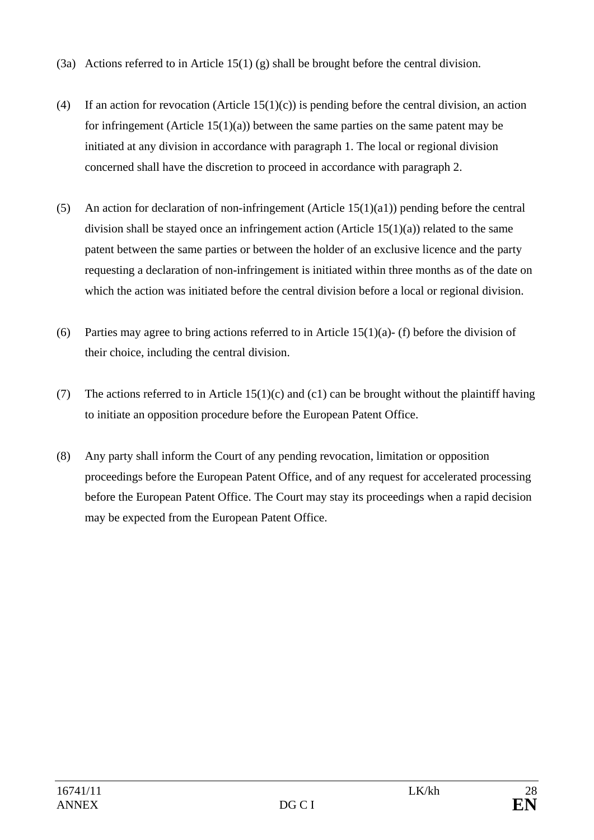- (3a) Actions referred to in Article 15(1) (g) shall be brought before the central division.
- (4) If an action for revocation (Article 15(1)(c)) is pending before the central division, an action for infringement (Article  $15(1)(a)$ ) between the same parties on the same patent may be initiated at any division in accordance with paragraph 1. The local or regional division concerned shall have the discretion to proceed in accordance with paragraph 2.
- (5) An action for declaration of non-infringement (Article 15(1)(a1)) pending before the central division shall be stayed once an infringement action (Article 15(1)(a)) related to the same patent between the same parties or between the holder of an exclusive licence and the party requesting a declaration of non-infringement is initiated within three months as of the date on which the action was initiated before the central division before a local or regional division.
- (6) Parties may agree to bring actions referred to in Article  $15(1)(a)$  (f) before the division of their choice, including the central division.
- (7) The actions referred to in Article  $15(1)(c)$  and  $(c1)$  can be brought without the plaintiff having to initiate an opposition procedure before the European Patent Office.
- (8) Any party shall inform the Court of any pending revocation, limitation or opposition proceedings before the European Patent Office, and of any request for accelerated processing before the European Patent Office. The Court may stay its proceedings when a rapid decision may be expected from the European Patent Office.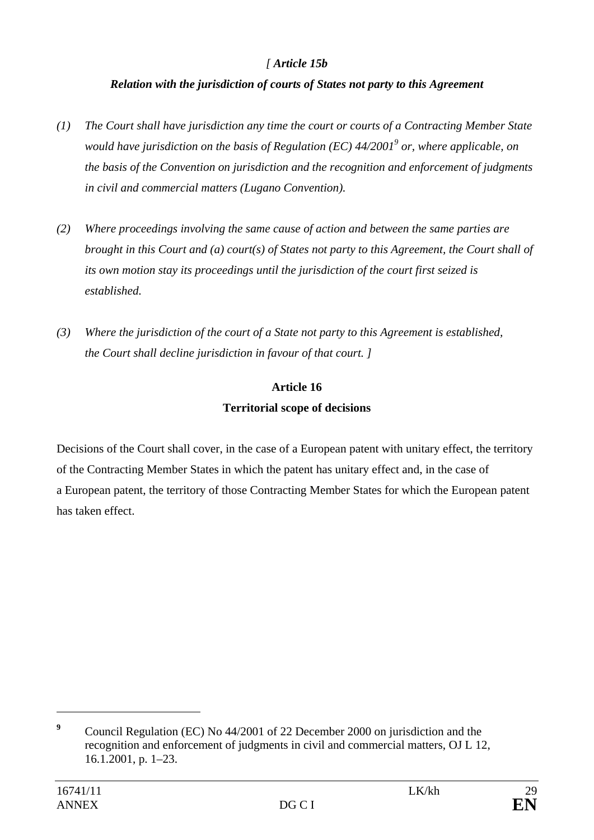# *[ Article 15b*

## *Relation with the jurisdiction of courts of States not party to this Agreement*

- *(1) The Court shall have jurisdiction any time the court or courts of a Contracting Member State would have jurisdiction on the basis of Regulation (EC) 44/20019 or, where applicable, on the basis of the Convention on jurisdiction and the recognition and enforcement of judgments in civil and commercial matters (Lugano Convention).*
- *(2) Where proceedings involving the same cause of action and between the same parties are brought in this Court and (a) court(s) of States not party to this Agreement, the Court shall of its own motion stay its proceedings until the jurisdiction of the court first seized is established.*
- *(3) Where the jurisdiction of the court of a State not party to this Agreement is established, the Court shall decline jurisdiction in favour of that court. ]*

# **Article 16 Territorial scope of decisions**

Decisions of the Court shall cover, in the case of a European patent with unitary effect, the territory of the Contracting Member States in which the patent has unitary effect and, in the case of a European patent, the territory of those Contracting Member States for which the European patent has taken effect.

**<sup>9</sup>** Council Regulation (EC) No 44/2001 of 22 December 2000 on jurisdiction and the recognition and enforcement of judgments in civil and commercial matters, OJ L 12, 16.1.2001, p. 1–23.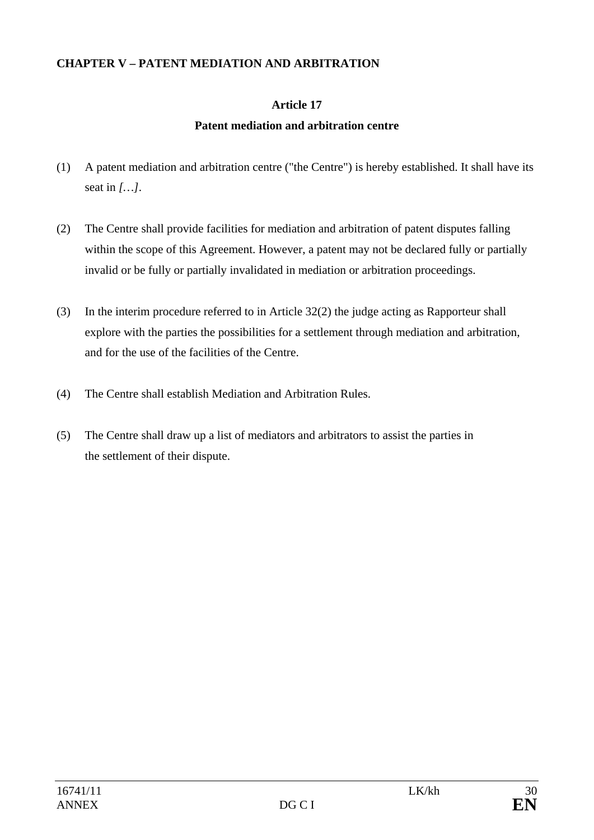## **CHAPTER V – PATENT MEDIATION AND ARBITRATION**

## **Article 17**

## **Patent mediation and arbitration centre**

- (1) A patent mediation and arbitration centre ("the Centre") is hereby established. It shall have its seat in *[…]*.
- (2) The Centre shall provide facilities for mediation and arbitration of patent disputes falling within the scope of this Agreement. However, a patent may not be declared fully or partially invalid or be fully or partially invalidated in mediation or arbitration proceedings.
- (3) In the interim procedure referred to in Article 32(2) the judge acting as Rapporteur shall explore with the parties the possibilities for a settlement through mediation and arbitration, and for the use of the facilities of the Centre.
- (4) The Centre shall establish Mediation and Arbitration Rules.
- (5) The Centre shall draw up a list of mediators and arbitrators to assist the parties in the settlement of their dispute.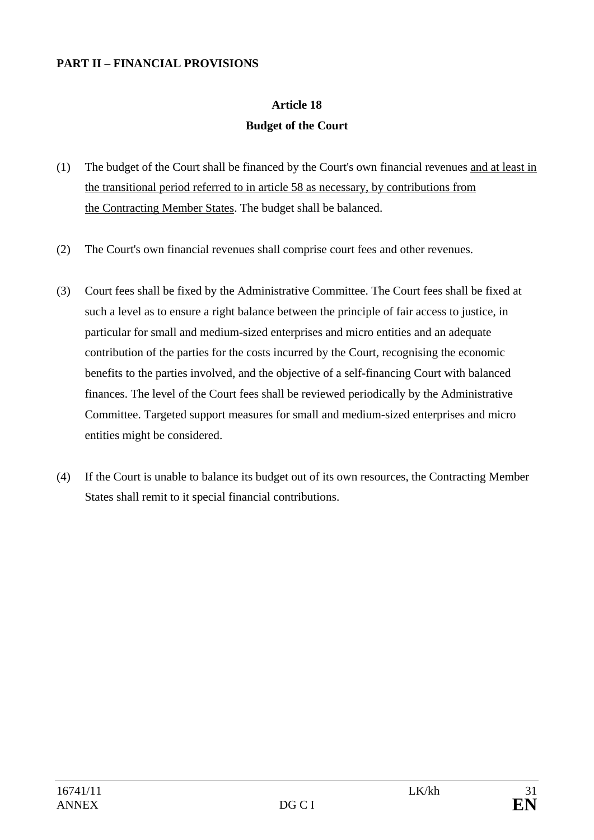### **PART II – FINANCIAL PROVISIONS**

# **Article 18 Budget of the Court**

- (1) The budget of the Court shall be financed by the Court's own financial revenues and at least in the transitional period referred to in article 58 as necessary, by contributions from the Contracting Member States. The budget shall be balanced.
- (2) The Court's own financial revenues shall comprise court fees and other revenues.
- (3) Court fees shall be fixed by the Administrative Committee. The Court fees shall be fixed at such a level as to ensure a right balance between the principle of fair access to justice, in particular for small and medium-sized enterprises and micro entities and an adequate contribution of the parties for the costs incurred by the Court, recognising the economic benefits to the parties involved, and the objective of a self-financing Court with balanced finances. The level of the Court fees shall be reviewed periodically by the Administrative Committee. Targeted support measures for small and medium-sized enterprises and micro entities might be considered.
- (4) If the Court is unable to balance its budget out of its own resources, the Contracting Member States shall remit to it special financial contributions.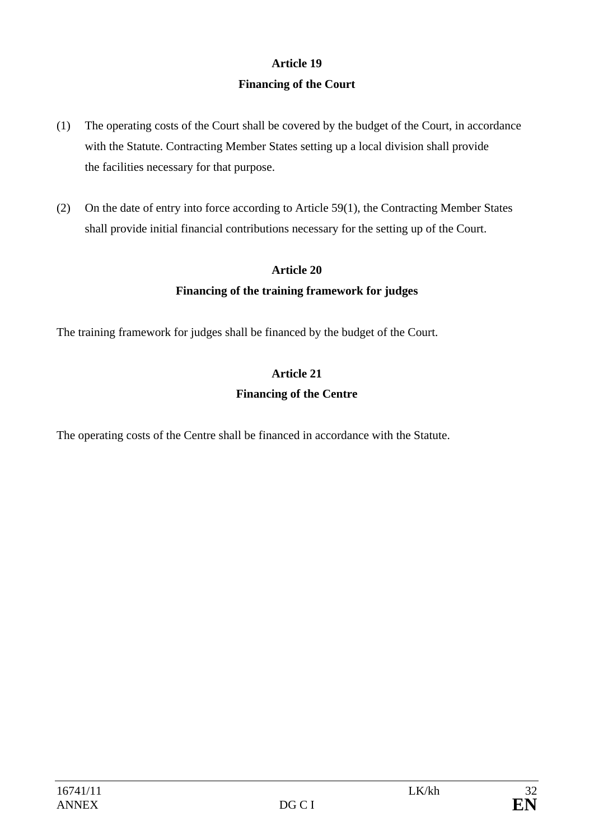# **Article 19 Financing of the Court**

- (1) The operating costs of the Court shall be covered by the budget of the Court, in accordance with the Statute. Contracting Member States setting up a local division shall provide the facilities necessary for that purpose.
- (2) On the date of entry into force according to Article 59(1), the Contracting Member States shall provide initial financial contributions necessary for the setting up of the Court.

## **Article 20**

## **Financing of the training framework for judges**

The training framework for judges shall be financed by the budget of the Court.

# **Article 21 Financing of the Centre**

The operating costs of the Centre shall be financed in accordance with the Statute.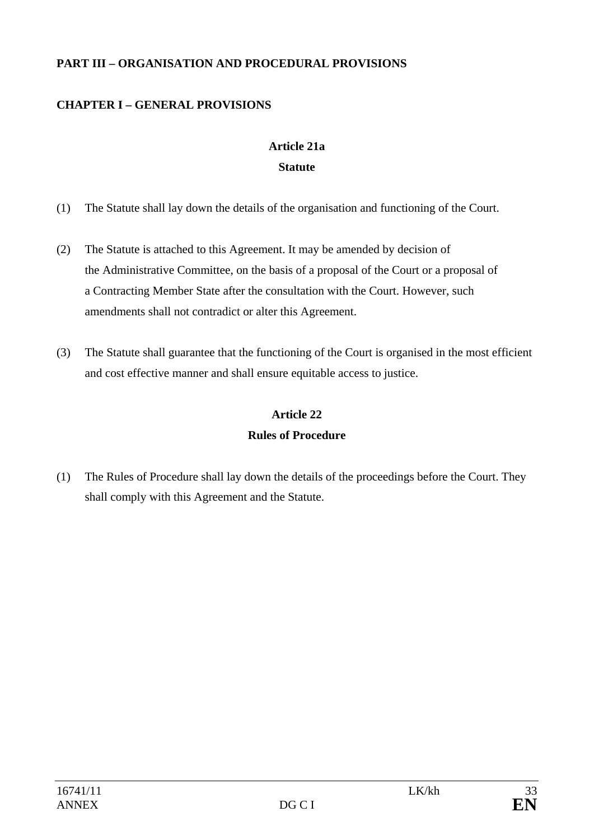## **PART III – ORGANISATION AND PROCEDURAL PROVISIONS**

# **CHAPTER I – GENERAL PROVISIONS**

# **Article 21a Statute**

- (1) The Statute shall lay down the details of the organisation and functioning of the Court.
- (2) The Statute is attached to this Agreement. It may be amended by decision of the Administrative Committee, on the basis of a proposal of the Court or a proposal of a Contracting Member State after the consultation with the Court. However, such amendments shall not contradict or alter this Agreement.
- (3) The Statute shall guarantee that the functioning of the Court is organised in the most efficient and cost effective manner and shall ensure equitable access to justice.

# **Article 22 Rules of Procedure**

(1) The Rules of Procedure shall lay down the details of the proceedings before the Court. They shall comply with this Agreement and the Statute.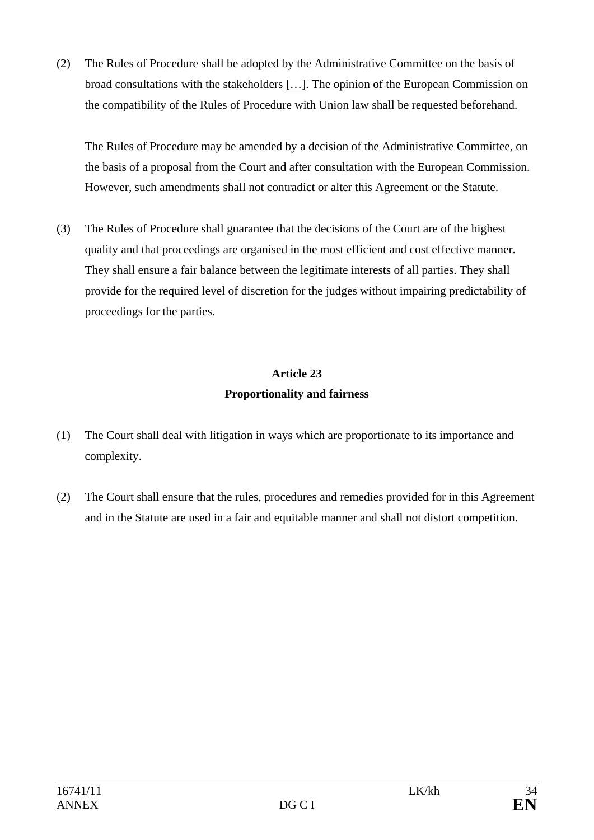(2) The Rules of Procedure shall be adopted by the Administrative Committee on the basis of broad consultations with the stakeholders […]. The opinion of the European Commission on the compatibility of the Rules of Procedure with Union law shall be requested beforehand.

The Rules of Procedure may be amended by a decision of the Administrative Committee, on the basis of a proposal from the Court and after consultation with the European Commission. However, such amendments shall not contradict or alter this Agreement or the Statute.

(3) The Rules of Procedure shall guarantee that the decisions of the Court are of the highest quality and that proceedings are organised in the most efficient and cost effective manner. They shall ensure a fair balance between the legitimate interests of all parties. They shall provide for the required level of discretion for the judges without impairing predictability of proceedings for the parties.

# **Article 23 Proportionality and fairness**

- (1) The Court shall deal with litigation in ways which are proportionate to its importance and complexity.
- (2) The Court shall ensure that the rules, procedures and remedies provided for in this Agreement and in the Statute are used in a fair and equitable manner and shall not distort competition.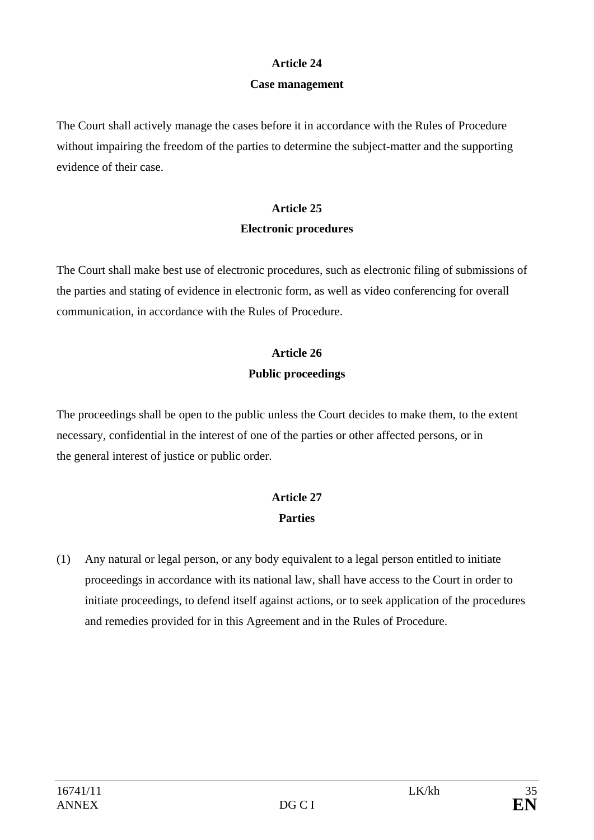### **Article 24**

### **Case management**

The Court shall actively manage the cases before it in accordance with the Rules of Procedure without impairing the freedom of the parties to determine the subject-matter and the supporting evidence of their case.

# **Article 25 Electronic procedures**

The Court shall make best use of electronic procedures, such as electronic filing of submissions of the parties and stating of evidence in electronic form, as well as video conferencing for overall communication, in accordance with the Rules of Procedure.

# **Article 26**

## **Public proceedings**

The proceedings shall be open to the public unless the Court decides to make them, to the extent necessary, confidential in the interest of one of the parties or other affected persons, or in the general interest of justice or public order.

# **Article 27 Parties**

(1) Any natural or legal person, or any body equivalent to a legal person entitled to initiate proceedings in accordance with its national law, shall have access to the Court in order to initiate proceedings, to defend itself against actions, or to seek application of the procedures and remedies provided for in this Agreement and in the Rules of Procedure.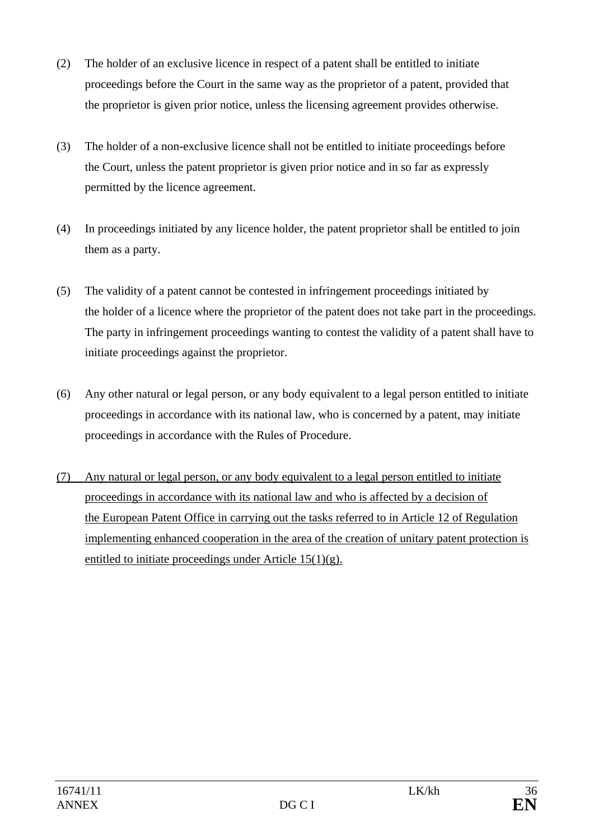- (2) The holder of an exclusive licence in respect of a patent shall be entitled to initiate proceedings before the Court in the same way as the proprietor of a patent, provided that the proprietor is given prior notice, unless the licensing agreement provides otherwise.
- (3) The holder of a non-exclusive licence shall not be entitled to initiate proceedings before the Court, unless the patent proprietor is given prior notice and in so far as expressly permitted by the licence agreement.
- (4) In proceedings initiated by any licence holder, the patent proprietor shall be entitled to join them as a party.
- (5) The validity of a patent cannot be contested in infringement proceedings initiated by the holder of a licence where the proprietor of the patent does not take part in the proceedings. The party in infringement proceedings wanting to contest the validity of a patent shall have to initiate proceedings against the proprietor.
- (6) Any other natural or legal person, or any body equivalent to a legal person entitled to initiate proceedings in accordance with its national law, who is concerned by a patent, may initiate proceedings in accordance with the Rules of Procedure.
- (7) Any natural or legal person, or any body equivalent to a legal person entitled to initiate proceedings in accordance with its national law and who is affected by a decision of the European Patent Office in carrying out the tasks referred to in Article 12 of Regulation implementing enhanced cooperation in the area of the creation of unitary patent protection is entitled to initiate proceedings under Article  $15(1)(g)$ .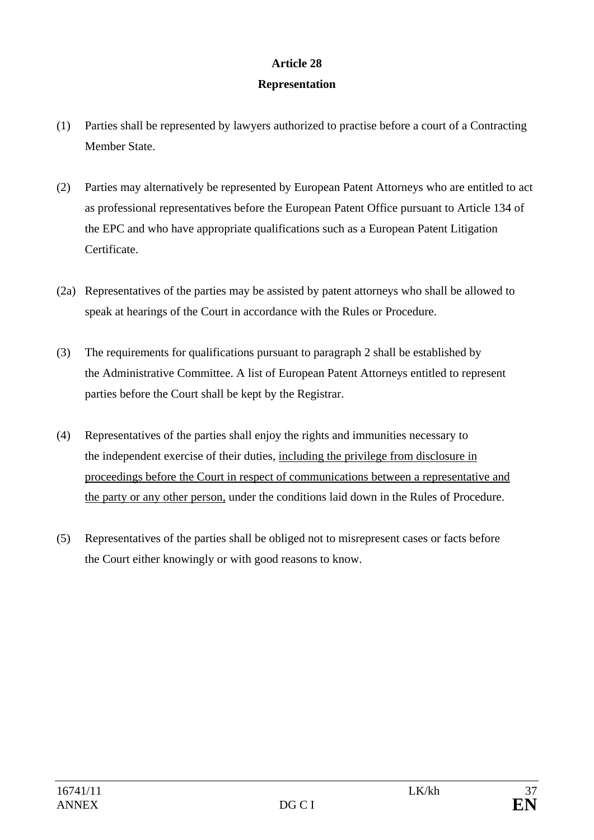# **Article 28**

## **Representation**

- (1) Parties shall be represented by lawyers authorized to practise before a court of a Contracting Member State.
- (2) Parties may alternatively be represented by European Patent Attorneys who are entitled to act as professional representatives before the European Patent Office pursuant to Article 134 of the EPC and who have appropriate qualifications such as a European Patent Litigation Certificate.
- (2a) Representatives of the parties may be assisted by patent attorneys who shall be allowed to speak at hearings of the Court in accordance with the Rules or Procedure.
- (3) The requirements for qualifications pursuant to paragraph 2 shall be established by the Administrative Committee. A list of European Patent Attorneys entitled to represent parties before the Court shall be kept by the Registrar.
- (4) Representatives of the parties shall enjoy the rights and immunities necessary to the independent exercise of their duties, including the privilege from disclosure in proceedings before the Court in respect of communications between a representative and the party or any other person, under the conditions laid down in the Rules of Procedure.
- (5) Representatives of the parties shall be obliged not to misrepresent cases or facts before the Court either knowingly or with good reasons to know.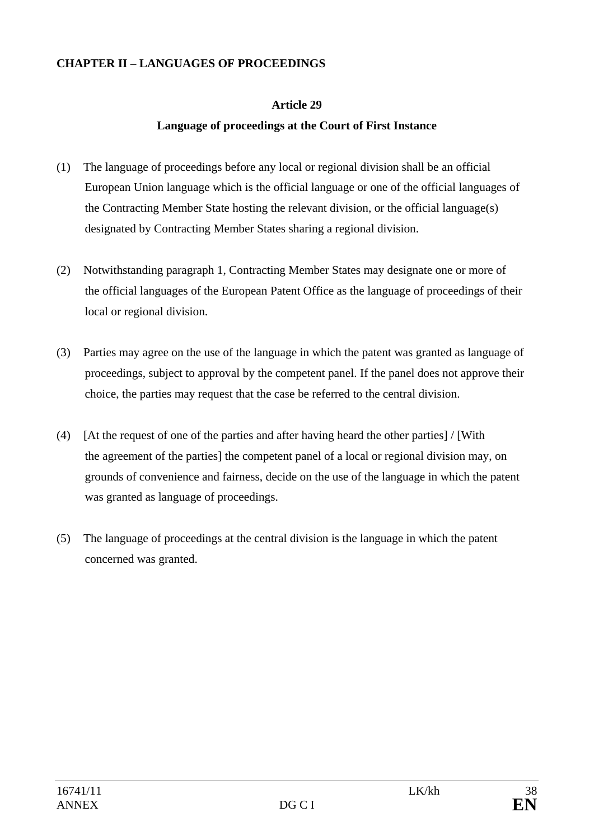#### **CHAPTER II – LANGUAGES OF PROCEEDINGS**

### **Article 29**

### **Language of proceedings at the Court of First Instance**

- (1) The language of proceedings before any local or regional division shall be an official European Union language which is the official language or one of the official languages of the Contracting Member State hosting the relevant division, or the official language(s) designated by Contracting Member States sharing a regional division.
- (2) Notwithstanding paragraph 1, Contracting Member States may designate one or more of the official languages of the European Patent Office as the language of proceedings of their local or regional division.
- (3) Parties may agree on the use of the language in which the patent was granted as language of proceedings, subject to approval by the competent panel. If the panel does not approve their choice, the parties may request that the case be referred to the central division.
- (4) [At the request of one of the parties and after having heard the other parties] / [With the agreement of the parties] the competent panel of a local or regional division may, on grounds of convenience and fairness, decide on the use of the language in which the patent was granted as language of proceedings.
- (5) The language of proceedings at the central division is the language in which the patent concerned was granted.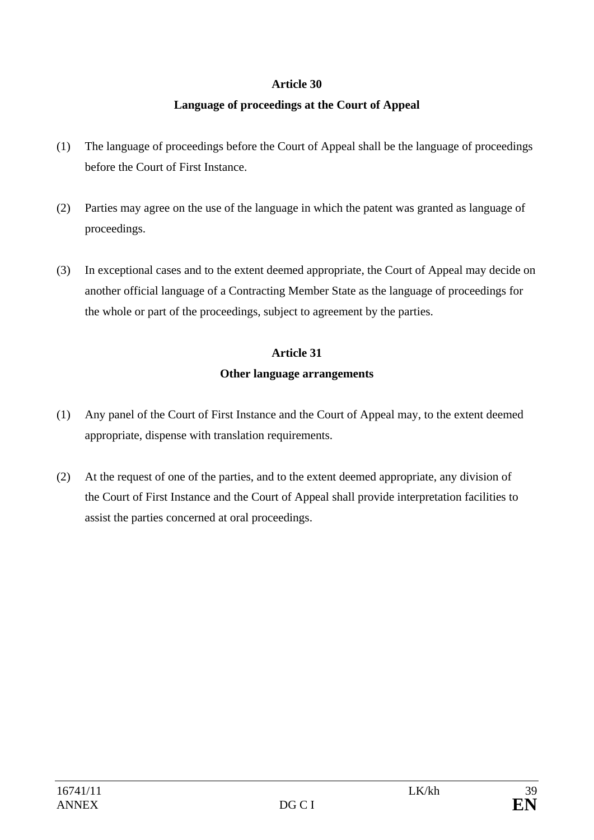### **Article 30**

### **Language of proceedings at the Court of Appeal**

- (1) The language of proceedings before the Court of Appeal shall be the language of proceedings before the Court of First Instance.
- (2) Parties may agree on the use of the language in which the patent was granted as language of proceedings.
- (3) In exceptional cases and to the extent deemed appropriate, the Court of Appeal may decide on another official language of a Contracting Member State as the language of proceedings for the whole or part of the proceedings, subject to agreement by the parties.

### **Article 31**

#### **Other language arrangements**

- (1) Any panel of the Court of First Instance and the Court of Appeal may, to the extent deemed appropriate, dispense with translation requirements.
- (2) At the request of one of the parties, and to the extent deemed appropriate, any division of the Court of First Instance and the Court of Appeal shall provide interpretation facilities to assist the parties concerned at oral proceedings.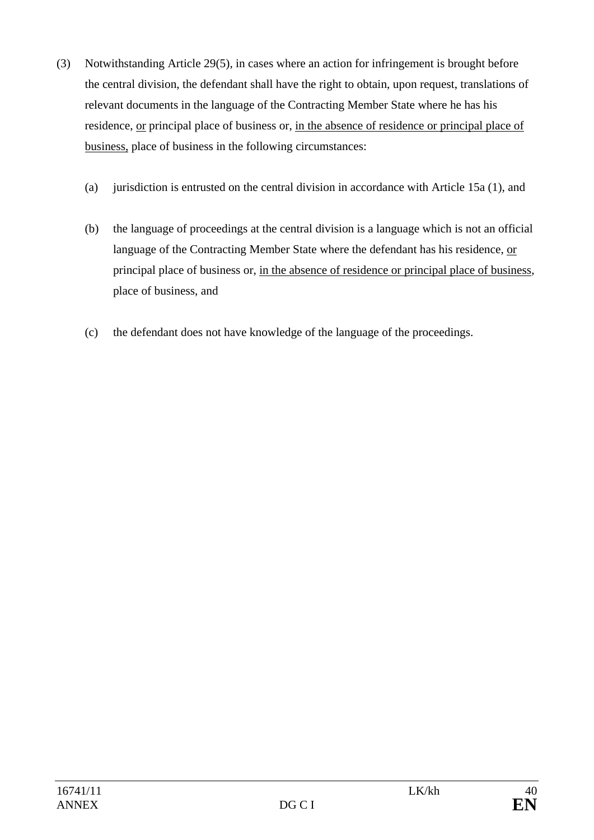- (3) Notwithstanding Article 29(5), in cases where an action for infringement is brought before the central division, the defendant shall have the right to obtain, upon request, translations of relevant documents in the language of the Contracting Member State where he has his residence, or principal place of business or, in the absence of residence or principal place of business, place of business in the following circumstances:
	- (a) jurisdiction is entrusted on the central division in accordance with Article 15a (1), and
	- (b) the language of proceedings at the central division is a language which is not an official language of the Contracting Member State where the defendant has his residence, or principal place of business or, in the absence of residence or principal place of business, place of business, and
	- (c) the defendant does not have knowledge of the language of the proceedings.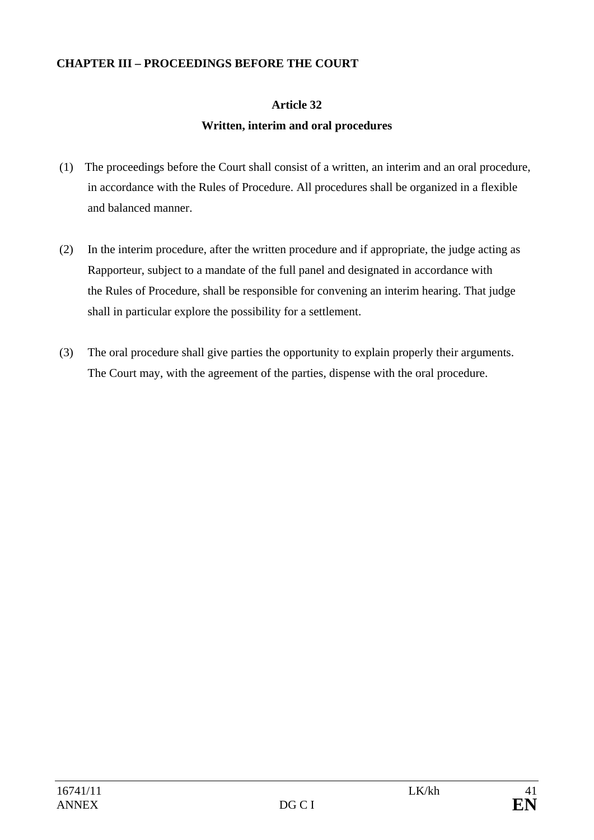### **CHAPTER III – PROCEEDINGS BEFORE THE COURT**

## **Article 32**

## **Written, interim and oral procedures**

- (1) The proceedings before the Court shall consist of a written, an interim and an oral procedure, in accordance with the Rules of Procedure. All procedures shall be organized in a flexible and balanced manner.
- (2) In the interim procedure, after the written procedure and if appropriate, the judge acting as Rapporteur, subject to a mandate of the full panel and designated in accordance with the Rules of Procedure, shall be responsible for convening an interim hearing. That judge shall in particular explore the possibility for a settlement.
- (3) The oral procedure shall give parties the opportunity to explain properly their arguments. The Court may, with the agreement of the parties, dispense with the oral procedure.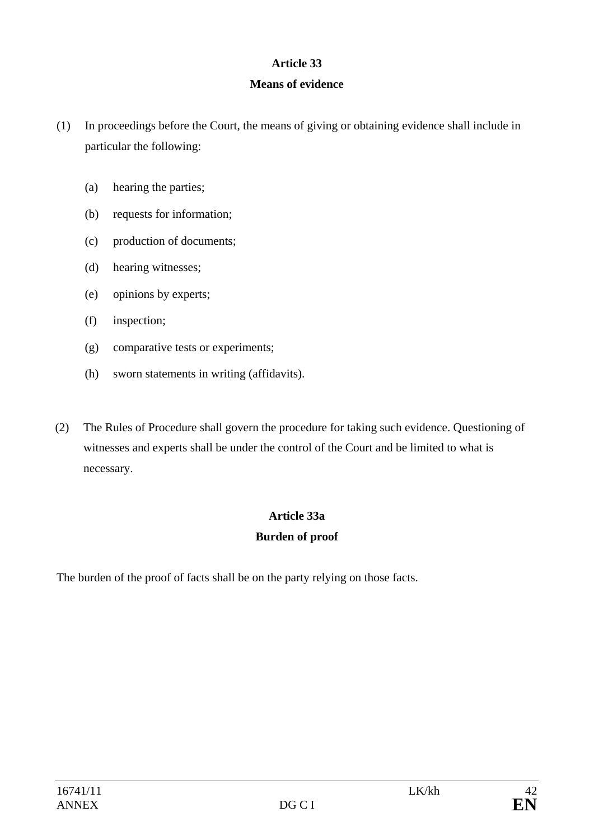### **Article 33**

### **Means of evidence**

- (1) In proceedings before the Court, the means of giving or obtaining evidence shall include in particular the following:
	- (a) hearing the parties;
	- (b) requests for information;
	- (c) production of documents;
	- (d) hearing witnesses;
	- (e) opinions by experts;
	- (f) inspection;
	- (g) comparative tests or experiments;
	- (h) sworn statements in writing (affidavits).
- (2) The Rules of Procedure shall govern the procedure for taking such evidence. Questioning of witnesses and experts shall be under the control of the Court and be limited to what is necessary.

### **Article 33a**

### **Burden of proof**

The burden of the proof of facts shall be on the party relying on those facts.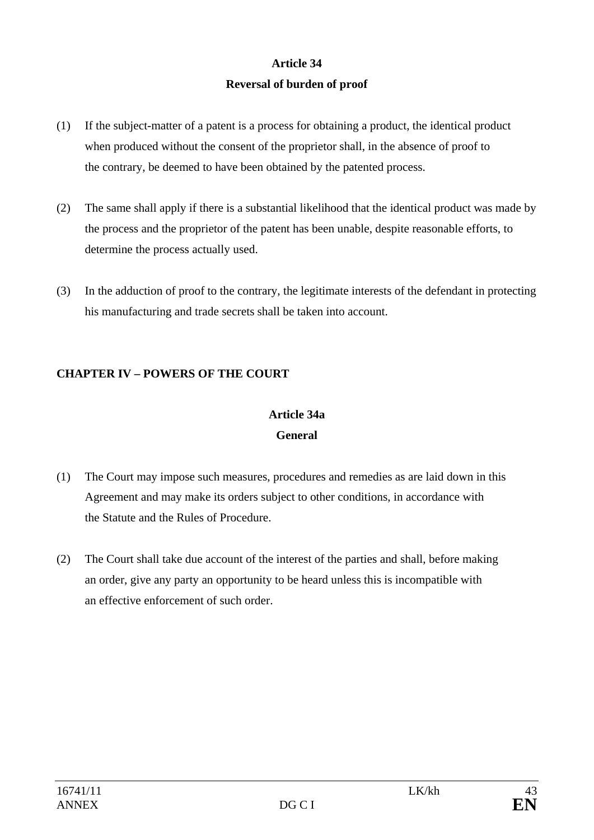# **Article 34 Reversal of burden of proof**

- (1) If the subject-matter of a patent is a process for obtaining a product, the identical product when produced without the consent of the proprietor shall, in the absence of proof to the contrary, be deemed to have been obtained by the patented process.
- (2) The same shall apply if there is a substantial likelihood that the identical product was made by the process and the proprietor of the patent has been unable, despite reasonable efforts, to determine the process actually used.
- (3) In the adduction of proof to the contrary, the legitimate interests of the defendant in protecting his manufacturing and trade secrets shall be taken into account.

## **CHAPTER IV – POWERS OF THE COURT**

# **Article 34a General**

- (1) The Court may impose such measures, procedures and remedies as are laid down in this Agreement and may make its orders subject to other conditions, in accordance with the Statute and the Rules of Procedure.
- (2) The Court shall take due account of the interest of the parties and shall, before making an order, give any party an opportunity to be heard unless this is incompatible with an effective enforcement of such order.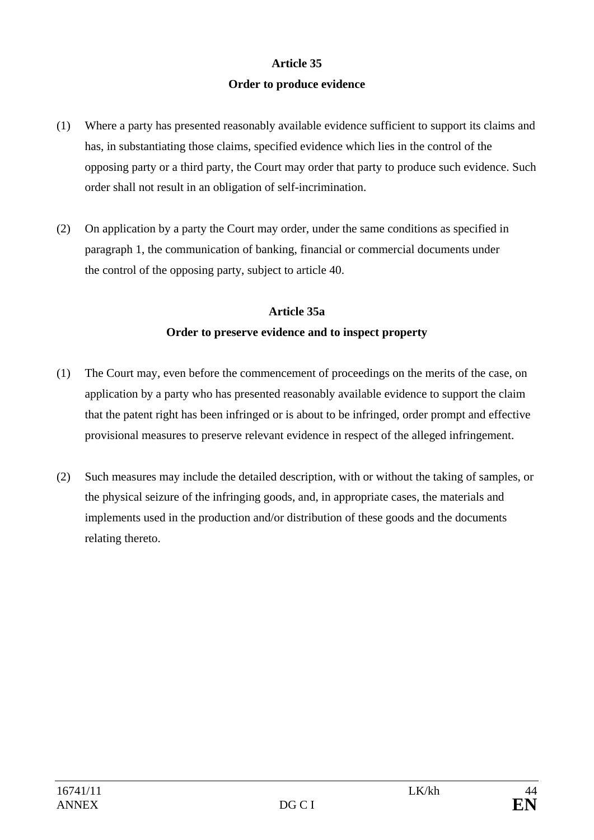### **Article 35**

### **Order to produce evidence**

- (1) Where a party has presented reasonably available evidence sufficient to support its claims and has, in substantiating those claims, specified evidence which lies in the control of the opposing party or a third party, the Court may order that party to produce such evidence. Such order shall not result in an obligation of self-incrimination.
- (2) On application by a party the Court may order, under the same conditions as specified in paragraph 1, the communication of banking, financial or commercial documents under the control of the opposing party, subject to article 40.

## **Article 35a Order to preserve evidence and to inspect property**

- (1) The Court may, even before the commencement of proceedings on the merits of the case, on application by a party who has presented reasonably available evidence to support the claim that the patent right has been infringed or is about to be infringed, order prompt and effective provisional measures to preserve relevant evidence in respect of the alleged infringement.
- (2) Such measures may include the detailed description, with or without the taking of samples, or the physical seizure of the infringing goods, and, in appropriate cases, the materials and implements used in the production and/or distribution of these goods and the documents relating thereto.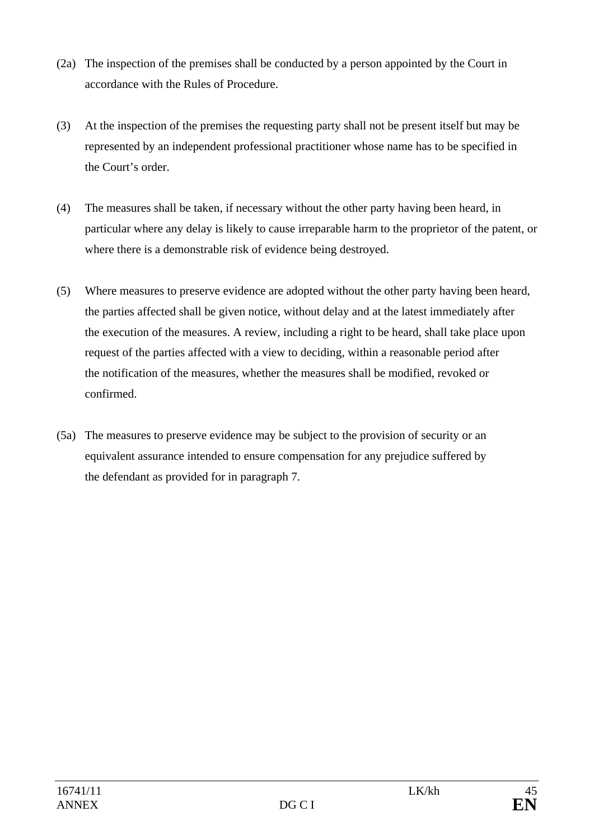- (2a) The inspection of the premises shall be conducted by a person appointed by the Court in accordance with the Rules of Procedure.
- (3) At the inspection of the premises the requesting party shall not be present itself but may be represented by an independent professional practitioner whose name has to be specified in the Court's order.
- (4) The measures shall be taken, if necessary without the other party having been heard, in particular where any delay is likely to cause irreparable harm to the proprietor of the patent, or where there is a demonstrable risk of evidence being destroyed.
- (5) Where measures to preserve evidence are adopted without the other party having been heard, the parties affected shall be given notice, without delay and at the latest immediately after the execution of the measures. A review, including a right to be heard, shall take place upon request of the parties affected with a view to deciding, within a reasonable period after the notification of the measures, whether the measures shall be modified, revoked or confirmed.
- (5a) The measures to preserve evidence may be subject to the provision of security or an equivalent assurance intended to ensure compensation for any prejudice suffered by the defendant as provided for in paragraph 7.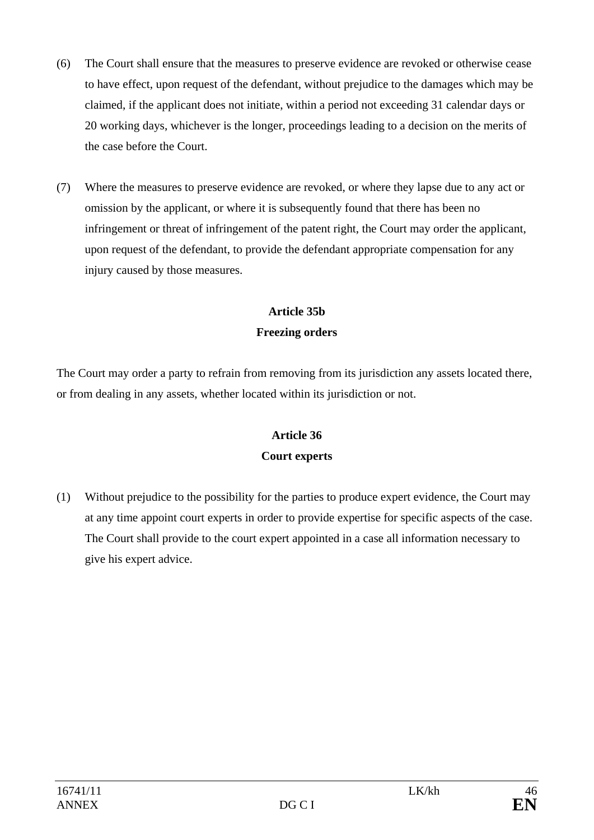- (6) The Court shall ensure that the measures to preserve evidence are revoked or otherwise cease to have effect, upon request of the defendant, without prejudice to the damages which may be claimed, if the applicant does not initiate, within a period not exceeding 31 calendar days or 20 working days, whichever is the longer, proceedings leading to a decision on the merits of the case before the Court.
- (7) Where the measures to preserve evidence are revoked, or where they lapse due to any act or omission by the applicant, or where it is subsequently found that there has been no infringement or threat of infringement of the patent right, the Court may order the applicant, upon request of the defendant, to provide the defendant appropriate compensation for any injury caused by those measures.

# **Article 35b Freezing orders**

The Court may order a party to refrain from removing from its jurisdiction any assets located there, or from dealing in any assets, whether located within its jurisdiction or not.

# **Article 36 Court experts**

(1) Without prejudice to the possibility for the parties to produce expert evidence, the Court may at any time appoint court experts in order to provide expertise for specific aspects of the case. The Court shall provide to the court expert appointed in a case all information necessary to give his expert advice.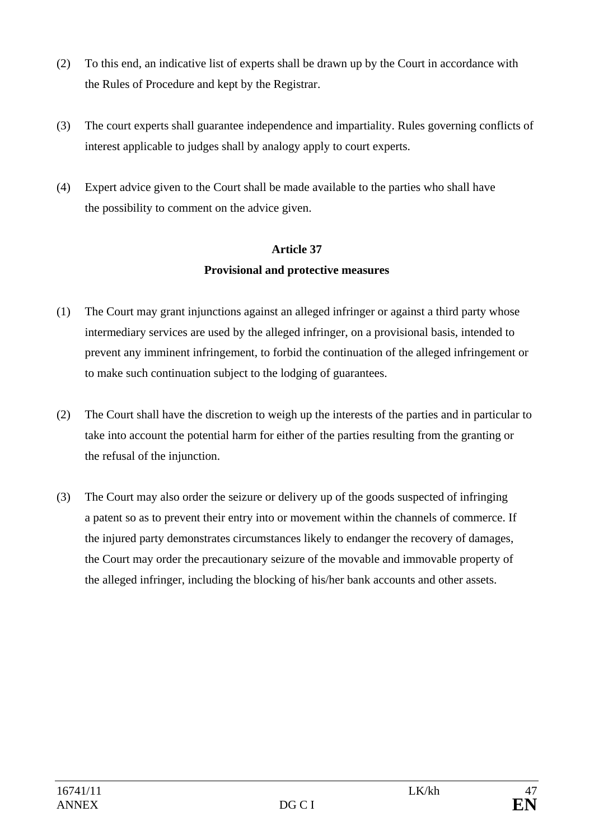- (2) To this end, an indicative list of experts shall be drawn up by the Court in accordance with the Rules of Procedure and kept by the Registrar.
- (3) The court experts shall guarantee independence and impartiality. Rules governing conflicts of interest applicable to judges shall by analogy apply to court experts.
- (4) Expert advice given to the Court shall be made available to the parties who shall have the possibility to comment on the advice given.

# **Article 37 Provisional and protective measures**

- (1) The Court may grant injunctions against an alleged infringer or against a third party whose intermediary services are used by the alleged infringer, on a provisional basis, intended to prevent any imminent infringement, to forbid the continuation of the alleged infringement or to make such continuation subject to the lodging of guarantees.
- (2) The Court shall have the discretion to weigh up the interests of the parties and in particular to take into account the potential harm for either of the parties resulting from the granting or the refusal of the injunction.
- (3) The Court may also order the seizure or delivery up of the goods suspected of infringing a patent so as to prevent their entry into or movement within the channels of commerce. If the injured party demonstrates circumstances likely to endanger the recovery of damages, the Court may order the precautionary seizure of the movable and immovable property of the alleged infringer, including the blocking of his/her bank accounts and other assets.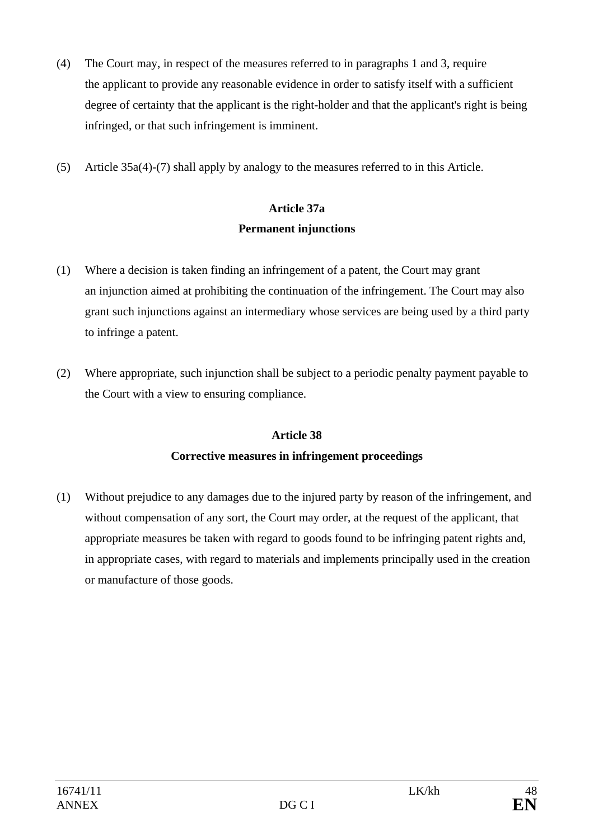- (4) The Court may, in respect of the measures referred to in paragraphs 1 and 3, require the applicant to provide any reasonable evidence in order to satisfy itself with a sufficient degree of certainty that the applicant is the right-holder and that the applicant's right is being infringed, or that such infringement is imminent.
- (5) Article 35a(4)-(7) shall apply by analogy to the measures referred to in this Article.

# **Article 37a Permanent injunctions**

- (1) Where a decision is taken finding an infringement of a patent, the Court may grant an injunction aimed at prohibiting the continuation of the infringement. The Court may also grant such injunctions against an intermediary whose services are being used by a third party to infringe a patent.
- (2) Where appropriate, such injunction shall be subject to a periodic penalty payment payable to the Court with a view to ensuring compliance.

## **Article 38**

## **Corrective measures in infringement proceedings**

(1) Without prejudice to any damages due to the injured party by reason of the infringement, and without compensation of any sort, the Court may order, at the request of the applicant, that appropriate measures be taken with regard to goods found to be infringing patent rights and, in appropriate cases, with regard to materials and implements principally used in the creation or manufacture of those goods.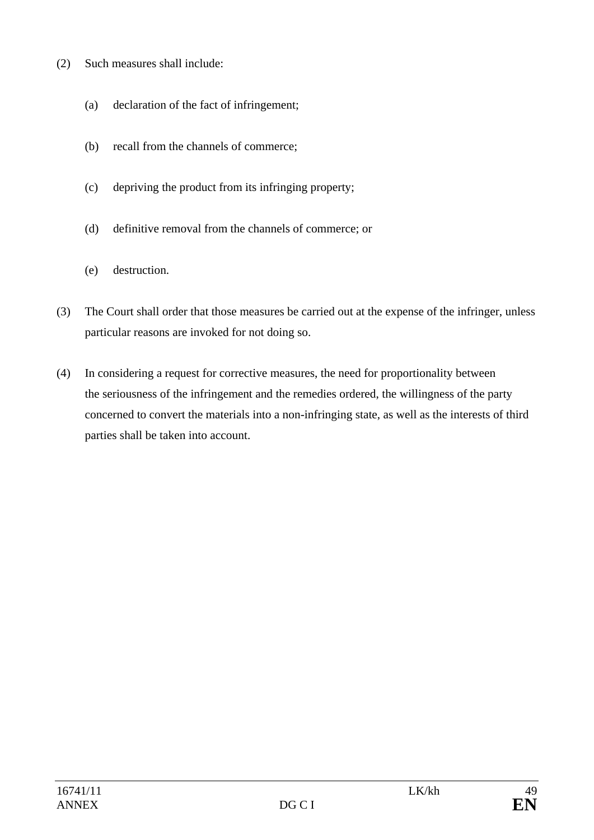- (2) Such measures shall include:
	- (a) declaration of the fact of infringement;
	- (b) recall from the channels of commerce;
	- (c) depriving the product from its infringing property;
	- (d) definitive removal from the channels of commerce; or
	- (e) destruction.
- (3) The Court shall order that those measures be carried out at the expense of the infringer, unless particular reasons are invoked for not doing so.
- (4) In considering a request for corrective measures, the need for proportionality between the seriousness of the infringement and the remedies ordered, the willingness of the party concerned to convert the materials into a non-infringing state, as well as the interests of third parties shall be taken into account.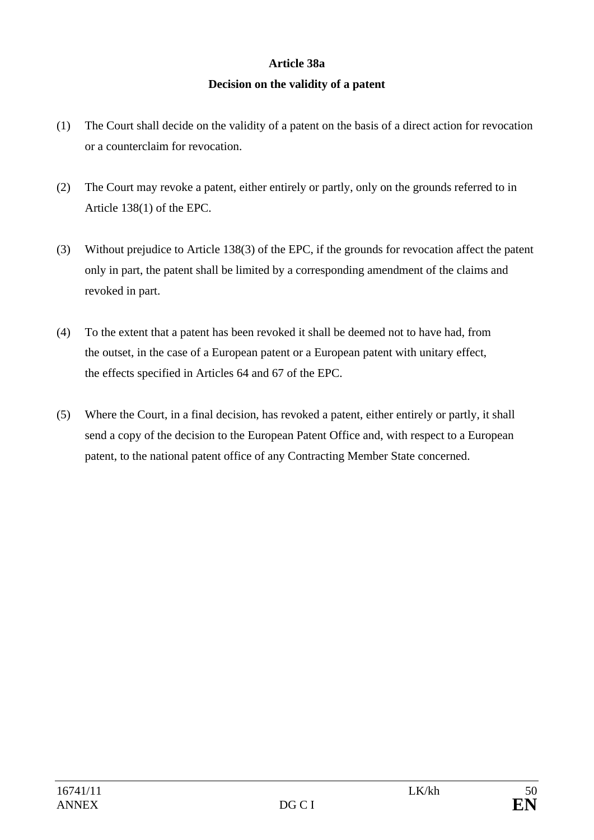# **Article 38a Decision on the validity of a patent**

- (1) The Court shall decide on the validity of a patent on the basis of a direct action for revocation or a counterclaim for revocation.
- (2) The Court may revoke a patent, either entirely or partly, only on the grounds referred to in Article 138(1) of the EPC.
- (3) Without prejudice to Article 138(3) of the EPC, if the grounds for revocation affect the patent only in part, the patent shall be limited by a corresponding amendment of the claims and revoked in part.
- (4) To the extent that a patent has been revoked it shall be deemed not to have had, from the outset, in the case of a European patent or a European patent with unitary effect, the effects specified in Articles 64 and 67 of the EPC.
- (5) Where the Court, in a final decision, has revoked a patent, either entirely or partly, it shall send a copy of the decision to the European Patent Office and, with respect to a European patent, to the national patent office of any Contracting Member State concerned.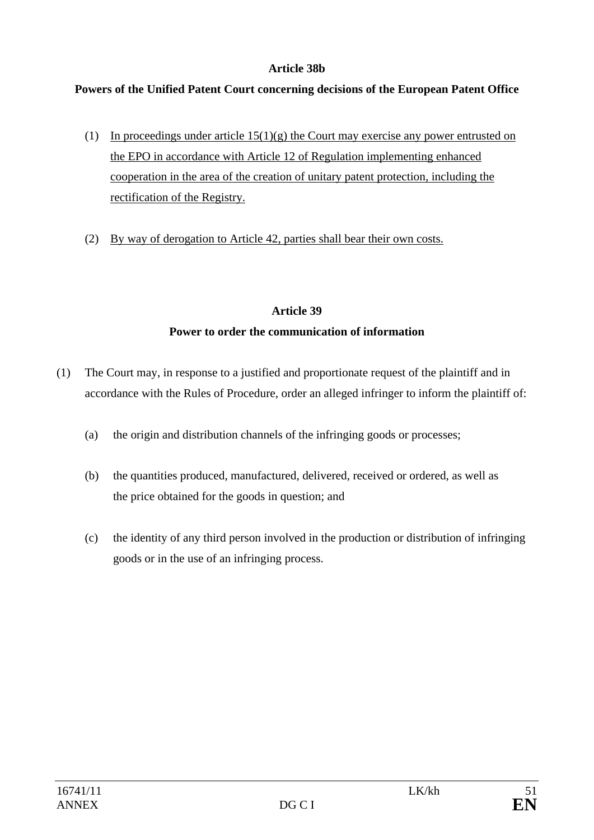### **Article 38b**

## **Powers of the Unified Patent Court concerning decisions of the European Patent Office**

- (1) In proceedings under article  $15(1)(g)$  the Court may exercise any power entrusted on the EPO in accordance with Article 12 of Regulation implementing enhanced cooperation in the area of the creation of unitary patent protection, including the rectification of the Registry.
- (2) By way of derogation to Article 42, parties shall bear their own costs.

### **Article 39**

## **Power to order the communication of information**

- (1) The Court may, in response to a justified and proportionate request of the plaintiff and in accordance with the Rules of Procedure, order an alleged infringer to inform the plaintiff of:
	- (a) the origin and distribution channels of the infringing goods or processes;
	- (b) the quantities produced, manufactured, delivered, received or ordered, as well as the price obtained for the goods in question; and
	- (c) the identity of any third person involved in the production or distribution of infringing goods or in the use of an infringing process.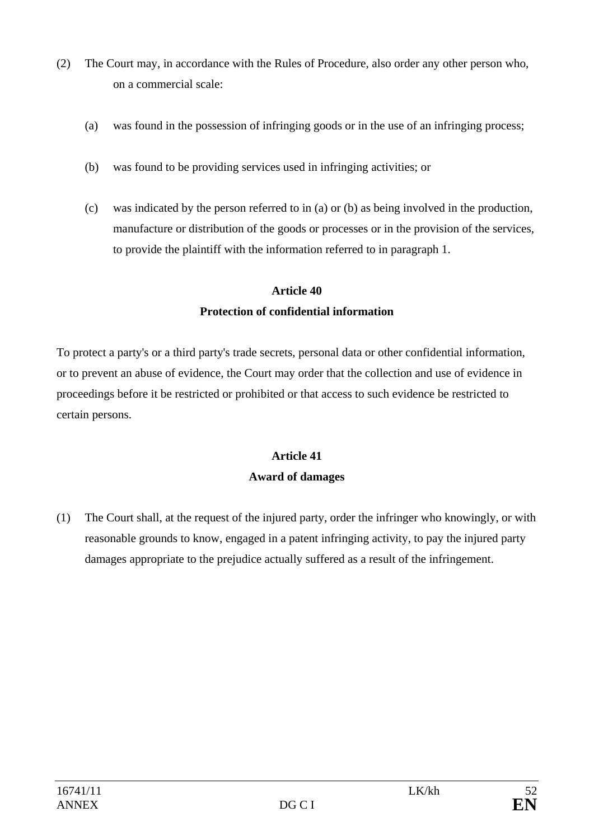- (2) The Court may, in accordance with the Rules of Procedure, also order any other person who, on a commercial scale:
	- (a) was found in the possession of infringing goods or in the use of an infringing process;
	- (b) was found to be providing services used in infringing activities; or
	- (c) was indicated by the person referred to in (a) or (b) as being involved in the production, manufacture or distribution of the goods or processes or in the provision of the services, to provide the plaintiff with the information referred to in paragraph 1.

# **Article 40 Protection of confidential information**

To protect a party's or a third party's trade secrets, personal data or other confidential information, or to prevent an abuse of evidence, the Court may order that the collection and use of evidence in proceedings before it be restricted or prohibited or that access to such evidence be restricted to certain persons.

# **Article 41 Award of damages**

(1) The Court shall, at the request of the injured party, order the infringer who knowingly, or with reasonable grounds to know, engaged in a patent infringing activity, to pay the injured party damages appropriate to the prejudice actually suffered as a result of the infringement.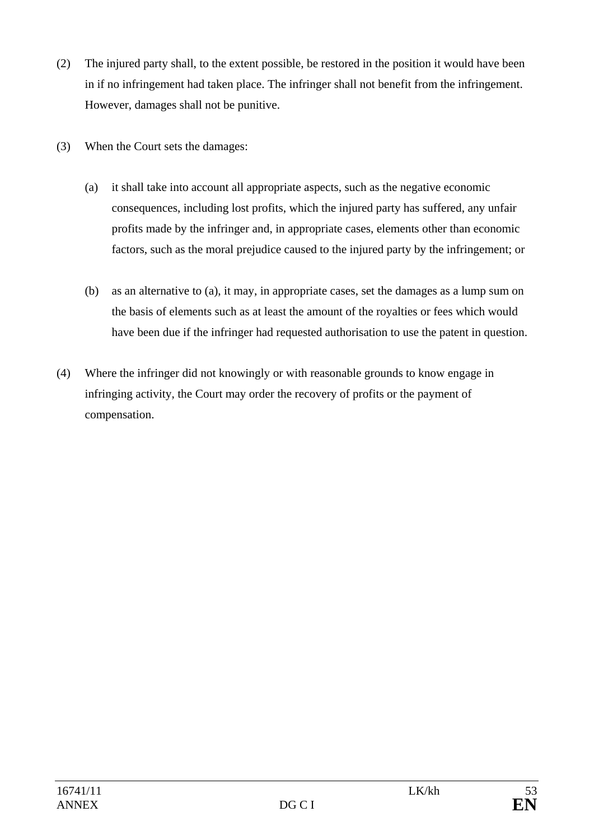- (2) The injured party shall, to the extent possible, be restored in the position it would have been in if no infringement had taken place. The infringer shall not benefit from the infringement. However, damages shall not be punitive.
- (3) When the Court sets the damages:
	- (a) it shall take into account all appropriate aspects, such as the negative economic consequences, including lost profits, which the injured party has suffered, any unfair profits made by the infringer and, in appropriate cases, elements other than economic factors, such as the moral prejudice caused to the injured party by the infringement; or
	- (b) as an alternative to (a), it may, in appropriate cases, set the damages as a lump sum on the basis of elements such as at least the amount of the royalties or fees which would have been due if the infringer had requested authorisation to use the patent in question.
- (4) Where the infringer did not knowingly or with reasonable grounds to know engage in infringing activity, the Court may order the recovery of profits or the payment of compensation.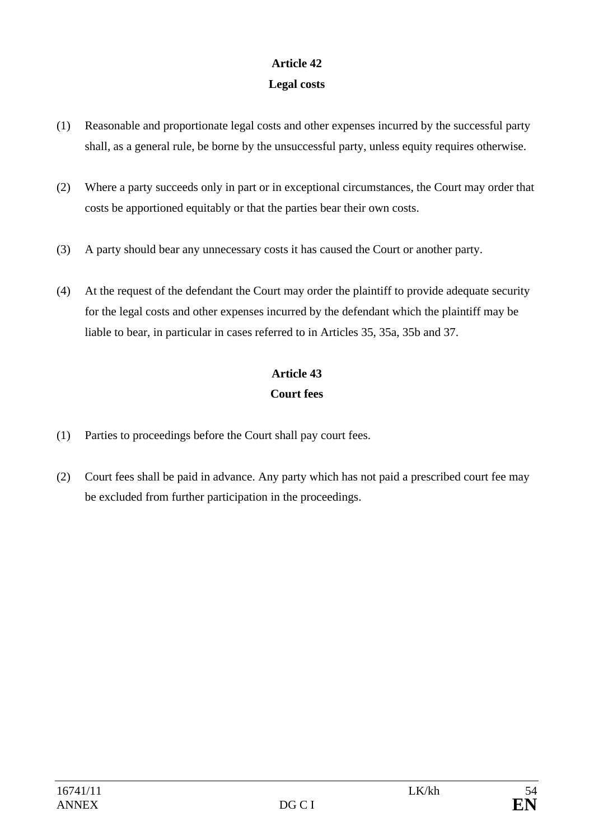## **Article 42 Legal costs**

- (1) Reasonable and proportionate legal costs and other expenses incurred by the successful party shall, as a general rule, be borne by the unsuccessful party, unless equity requires otherwise.
- (2) Where a party succeeds only in part or in exceptional circumstances, the Court may order that costs be apportioned equitably or that the parties bear their own costs.
- (3) A party should bear any unnecessary costs it has caused the Court or another party.
- (4) At the request of the defendant the Court may order the plaintiff to provide adequate security for the legal costs and other expenses incurred by the defendant which the plaintiff may be liable to bear, in particular in cases referred to in Articles 35, 35a, 35b and 37.

# **Article 43 Court fees**

- (1) Parties to proceedings before the Court shall pay court fees.
- (2) Court fees shall be paid in advance. Any party which has not paid a prescribed court fee may be excluded from further participation in the proceedings.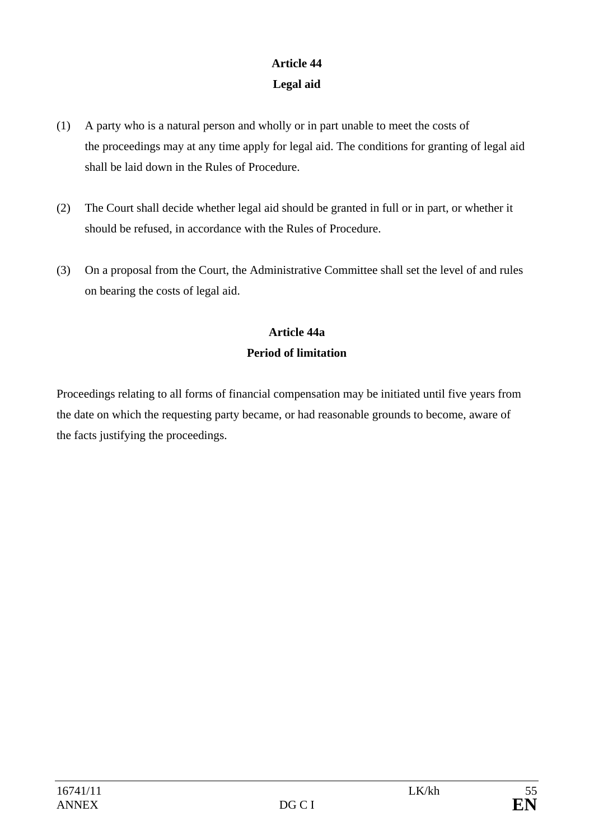# **Article 44 Legal aid**

- (1) A party who is a natural person and wholly or in part unable to meet the costs of the proceedings may at any time apply for legal aid. The conditions for granting of legal aid shall be laid down in the Rules of Procedure.
- (2) The Court shall decide whether legal aid should be granted in full or in part, or whether it should be refused, in accordance with the Rules of Procedure.
- (3) On a proposal from the Court, the Administrative Committee shall set the level of and rules on bearing the costs of legal aid.

# **Article 44a Period of limitation**

Proceedings relating to all forms of financial compensation may be initiated until five years from the date on which the requesting party became, or had reasonable grounds to become, aware of the facts justifying the proceedings.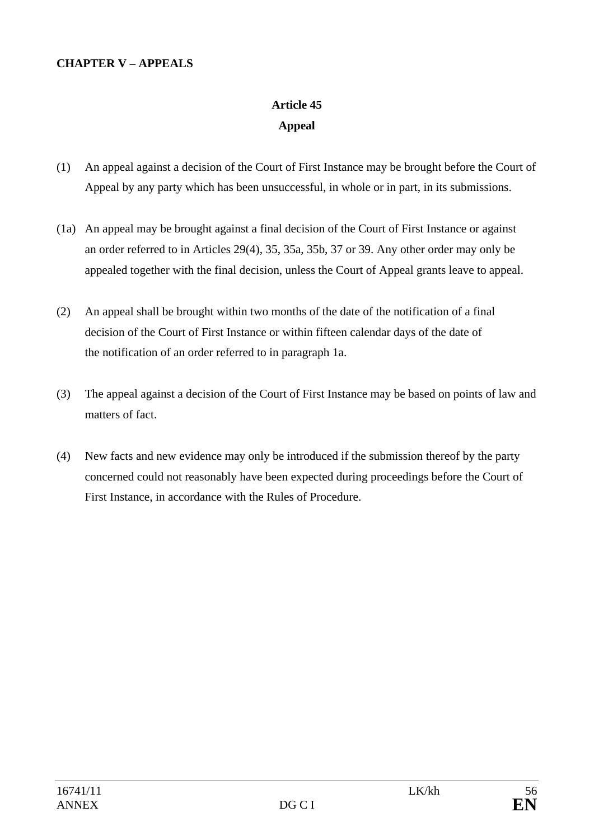### **CHAPTER V – APPEALS**

# **Article 45 Appeal**

- (1) An appeal against a decision of the Court of First Instance may be brought before the Court of Appeal by any party which has been unsuccessful, in whole or in part, in its submissions.
- (1a) An appeal may be brought against a final decision of the Court of First Instance or against an order referred to in Articles 29(4), 35, 35a, 35b, 37 or 39. Any other order may only be appealed together with the final decision, unless the Court of Appeal grants leave to appeal.
- (2) An appeal shall be brought within two months of the date of the notification of a final decision of the Court of First Instance or within fifteen calendar days of the date of the notification of an order referred to in paragraph 1a.
- (3) The appeal against a decision of the Court of First Instance may be based on points of law and matters of fact.
- (4) New facts and new evidence may only be introduced if the submission thereof by the party concerned could not reasonably have been expected during proceedings before the Court of First Instance, in accordance with the Rules of Procedure.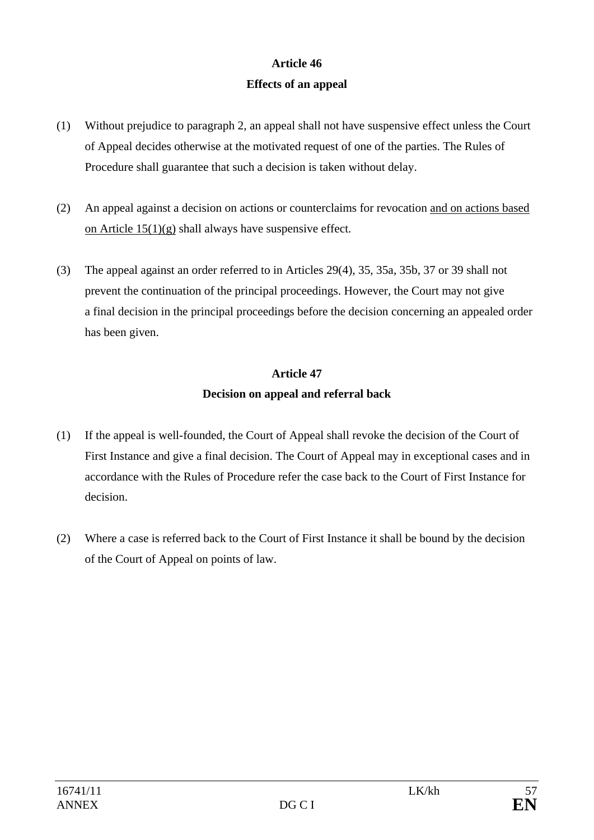# **Article 46 Effects of an appeal**

- (1) Without prejudice to paragraph 2, an appeal shall not have suspensive effect unless the Court of Appeal decides otherwise at the motivated request of one of the parties. The Rules of Procedure shall guarantee that such a decision is taken without delay.
- (2) An appeal against a decision on actions or counterclaims for revocation and on actions based on Article 15(1)(g) shall always have suspensive effect.
- (3) The appeal against an order referred to in Articles 29(4), 35, 35a, 35b, 37 or 39 shall not prevent the continuation of the principal proceedings. However, the Court may not give a final decision in the principal proceedings before the decision concerning an appealed order has been given.

# **Article 47 Decision on appeal and referral back**

- (1) If the appeal is well-founded, the Court of Appeal shall revoke the decision of the Court of First Instance and give a final decision. The Court of Appeal may in exceptional cases and in accordance with the Rules of Procedure refer the case back to the Court of First Instance for decision.
- (2) Where a case is referred back to the Court of First Instance it shall be bound by the decision of the Court of Appeal on points of law.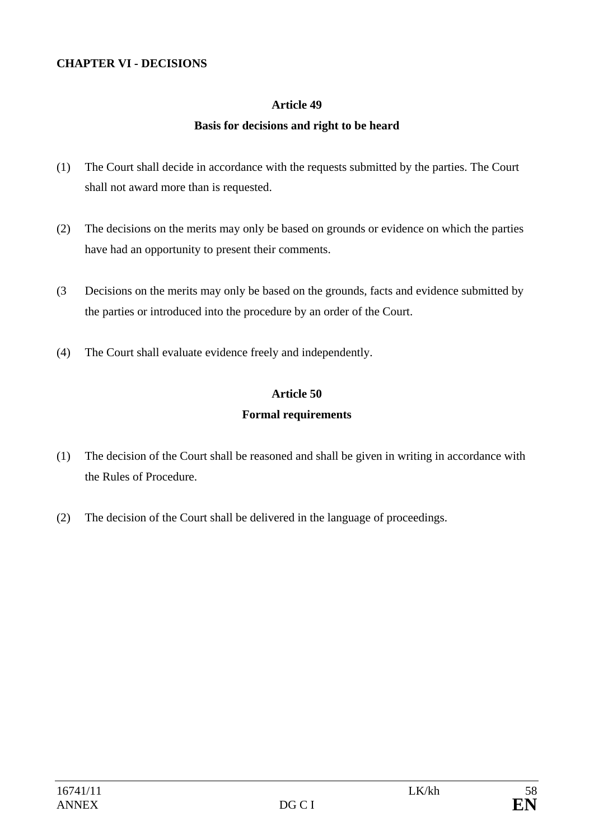#### **CHAPTER VI - DECISIONS**

### **Article 49**

### **Basis for decisions and right to be heard**

- (1) The Court shall decide in accordance with the requests submitted by the parties. The Court shall not award more than is requested.
- (2) The decisions on the merits may only be based on grounds or evidence on which the parties have had an opportunity to present their comments.
- (3 Decisions on the merits may only be based on the grounds, facts and evidence submitted by the parties or introduced into the procedure by an order of the Court.
- (4) The Court shall evaluate evidence freely and independently.

## **Article 50 Formal requirements**

- (1) The decision of the Court shall be reasoned and shall be given in writing in accordance with the Rules of Procedure.
- (2) The decision of the Court shall be delivered in the language of proceedings.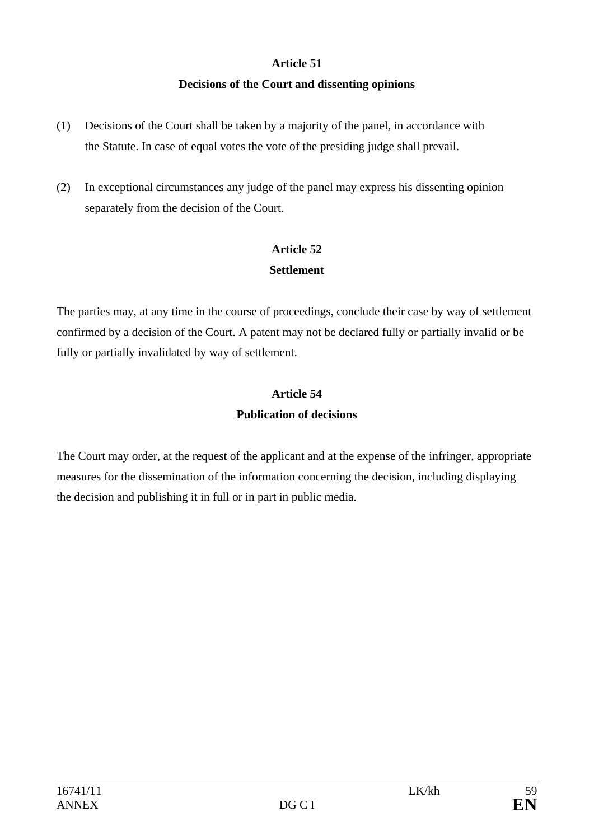### **Article 51**

### **Decisions of the Court and dissenting opinions**

- (1) Decisions of the Court shall be taken by a majority of the panel, in accordance with the Statute. In case of equal votes the vote of the presiding judge shall prevail.
- (2) In exceptional circumstances any judge of the panel may express his dissenting opinion separately from the decision of the Court.

## **Article 52 Settlement**

The parties may, at any time in the course of proceedings, conclude their case by way of settlement confirmed by a decision of the Court. A patent may not be declared fully or partially invalid or be fully or partially invalidated by way of settlement.

# **Article 54 Publication of decisions**

The Court may order, at the request of the applicant and at the expense of the infringer, appropriate measures for the dissemination of the information concerning the decision, including displaying the decision and publishing it in full or in part in public media.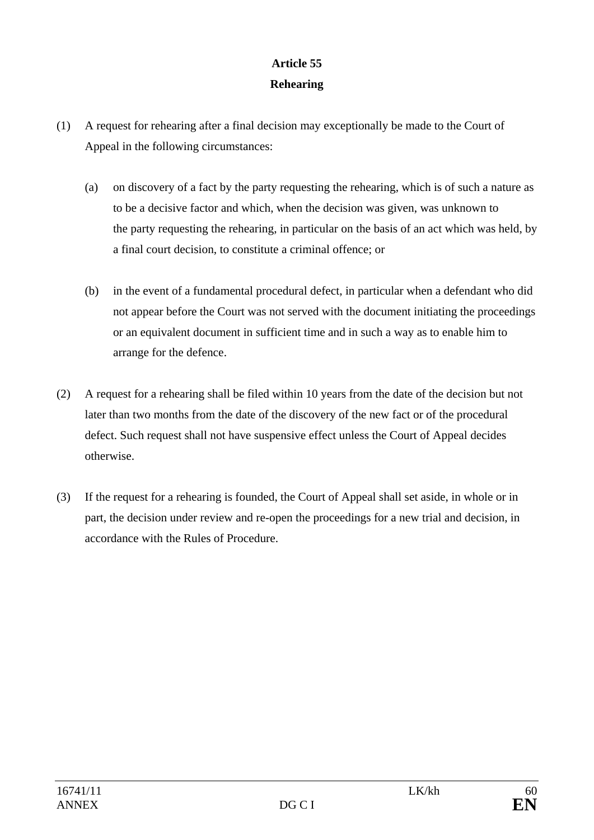# **Article 55 Rehearing**

- (1) A request for rehearing after a final decision may exceptionally be made to the Court of Appeal in the following circumstances:
	- (a) on discovery of a fact by the party requesting the rehearing, which is of such a nature as to be a decisive factor and which, when the decision was given, was unknown to the party requesting the rehearing, in particular on the basis of an act which was held, by a final court decision, to constitute a criminal offence; or
	- (b) in the event of a fundamental procedural defect, in particular when a defendant who did not appear before the Court was not served with the document initiating the proceedings or an equivalent document in sufficient time and in such a way as to enable him to arrange for the defence.
- (2) A request for a rehearing shall be filed within 10 years from the date of the decision but not later than two months from the date of the discovery of the new fact or of the procedural defect. Such request shall not have suspensive effect unless the Court of Appeal decides otherwise.
- (3) If the request for a rehearing is founded, the Court of Appeal shall set aside, in whole or in part, the decision under review and re-open the proceedings for a new trial and decision, in accordance with the Rules of Procedure.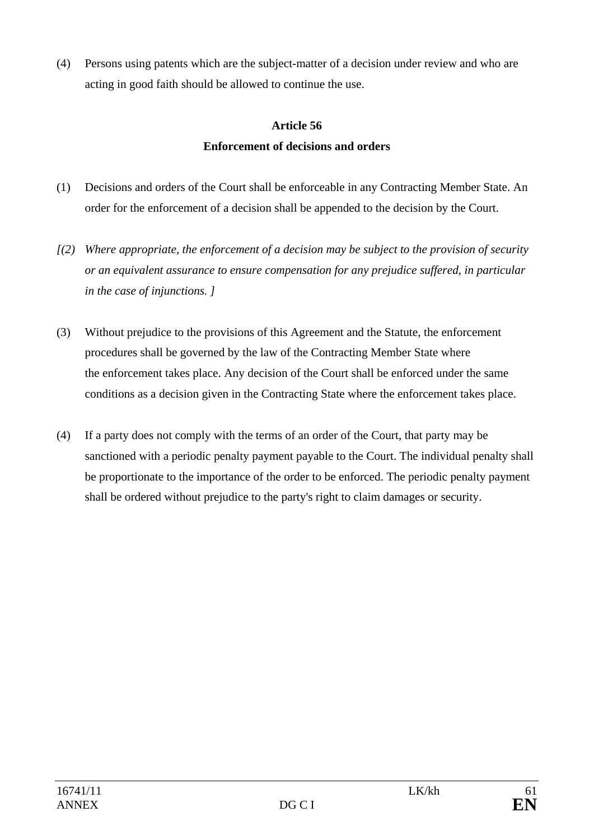(4) Persons using patents which are the subject-matter of a decision under review and who are acting in good faith should be allowed to continue the use.

### **Article 56**

## **Enforcement of decisions and orders**

- (1) Decisions and orders of the Court shall be enforceable in any Contracting Member State. An order for the enforcement of a decision shall be appended to the decision by the Court.
- *[(2) Where appropriate, the enforcement of a decision may be subject to the provision of security or an equivalent assurance to ensure compensation for any prejudice suffered, in particular in the case of injunctions. ]*
- (3) Without prejudice to the provisions of this Agreement and the Statute, the enforcement procedures shall be governed by the law of the Contracting Member State where the enforcement takes place. Any decision of the Court shall be enforced under the same conditions as a decision given in the Contracting State where the enforcement takes place.
- (4) If a party does not comply with the terms of an order of the Court, that party may be sanctioned with a periodic penalty payment payable to the Court. The individual penalty shall be proportionate to the importance of the order to be enforced. The periodic penalty payment shall be ordered without prejudice to the party's right to claim damages or security.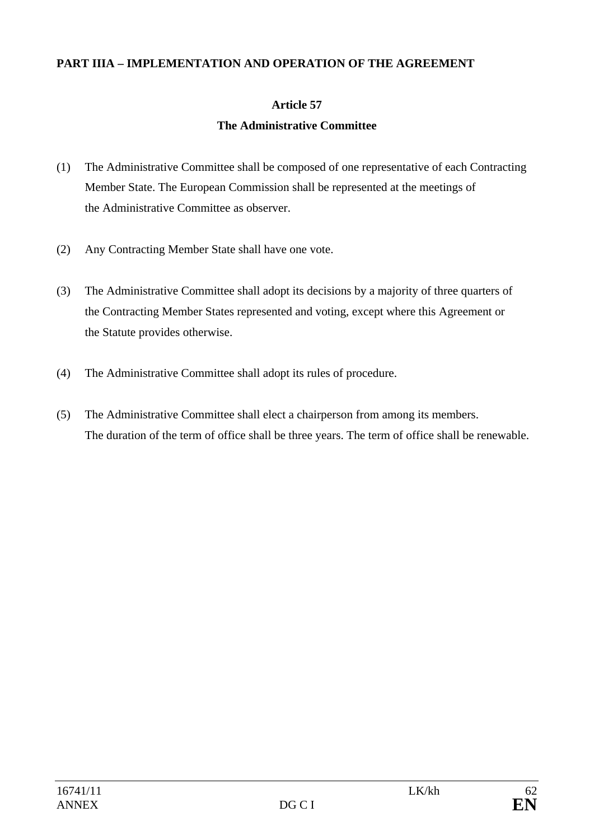#### **PART IIIA – IMPLEMENTATION AND OPERATION OF THE AGREEMENT**

## **Article 57**

## **The Administrative Committee**

- (1) The Administrative Committee shall be composed of one representative of each Contracting Member State. The European Commission shall be represented at the meetings of the Administrative Committee as observer.
- (2) Any Contracting Member State shall have one vote.
- (3) The Administrative Committee shall adopt its decisions by a majority of three quarters of the Contracting Member States represented and voting, except where this Agreement or the Statute provides otherwise.
- (4) The Administrative Committee shall adopt its rules of procedure.
- (5) The Administrative Committee shall elect a chairperson from among its members. The duration of the term of office shall be three years. The term of office shall be renewable.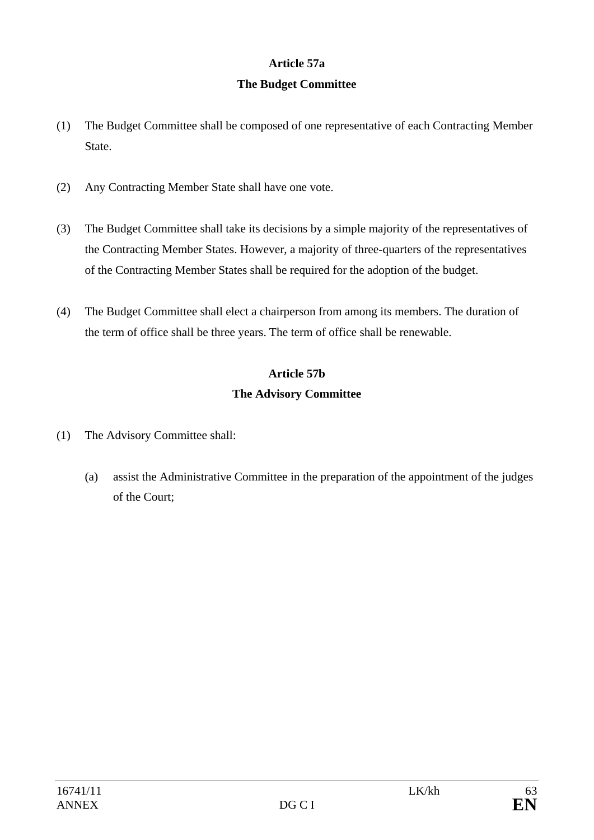## **Article 57a**

## **The Budget Committee**

- (1) The Budget Committee shall be composed of one representative of each Contracting Member State.
- (2) Any Contracting Member State shall have one vote.
- (3) The Budget Committee shall take its decisions by a simple majority of the representatives of the Contracting Member States. However, a majority of three-quarters of the representatives of the Contracting Member States shall be required for the adoption of the budget.
- (4) The Budget Committee shall elect a chairperson from among its members. The duration of the term of office shall be three years. The term of office shall be renewable.

# **Article 57b The Advisory Committee**

- (1) The Advisory Committee shall:
	- (a) assist the Administrative Committee in the preparation of the appointment of the judges of the Court;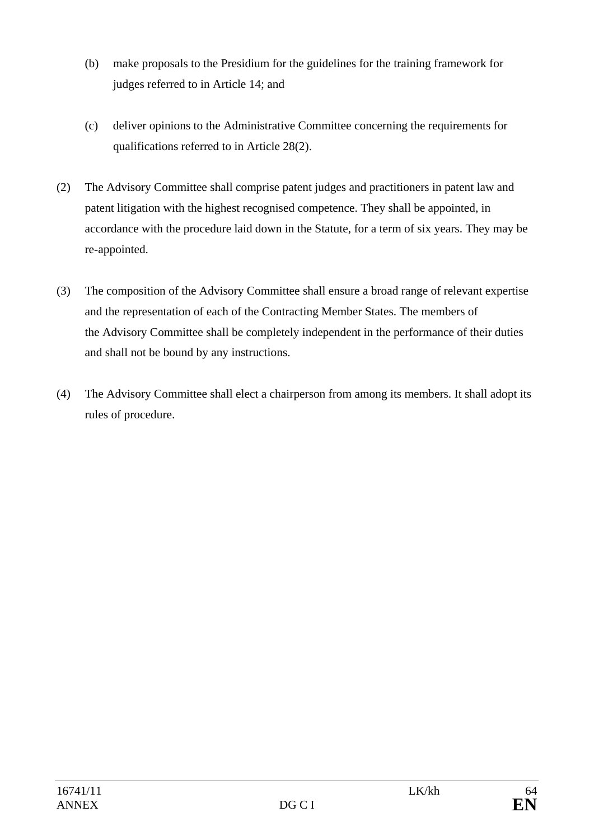- (b) make proposals to the Presidium for the guidelines for the training framework for judges referred to in Article 14; and
- (c) deliver opinions to the Administrative Committee concerning the requirements for qualifications referred to in Article 28(2).
- (2) The Advisory Committee shall comprise patent judges and practitioners in patent law and patent litigation with the highest recognised competence. They shall be appointed, in accordance with the procedure laid down in the Statute, for a term of six years. They may be re-appointed.
- (3) The composition of the Advisory Committee shall ensure a broad range of relevant expertise and the representation of each of the Contracting Member States. The members of the Advisory Committee shall be completely independent in the performance of their duties and shall not be bound by any instructions.
- (4) The Advisory Committee shall elect a chairperson from among its members. It shall adopt its rules of procedure.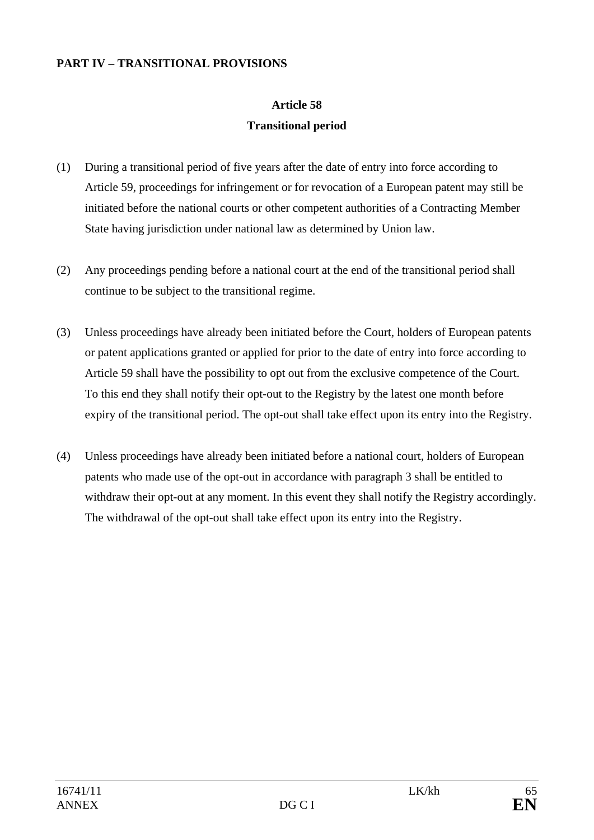#### **PART IV – TRANSITIONAL PROVISIONS**

# **Article 58 Transitional period**

- (1) During a transitional period of five years after the date of entry into force according to Article 59, proceedings for infringement or for revocation of a European patent may still be initiated before the national courts or other competent authorities of a Contracting Member State having jurisdiction under national law as determined by Union law.
- (2) Any proceedings pending before a national court at the end of the transitional period shall continue to be subject to the transitional regime.
- (3) Unless proceedings have already been initiated before the Court, holders of European patents or patent applications granted or applied for prior to the date of entry into force according to Article 59 shall have the possibility to opt out from the exclusive competence of the Court. To this end they shall notify their opt-out to the Registry by the latest one month before expiry of the transitional period. The opt-out shall take effect upon its entry into the Registry.
- (4) Unless proceedings have already been initiated before a national court, holders of European patents who made use of the opt-out in accordance with paragraph 3 shall be entitled to withdraw their opt-out at any moment. In this event they shall notify the Registry accordingly. The withdrawal of the opt-out shall take effect upon its entry into the Registry.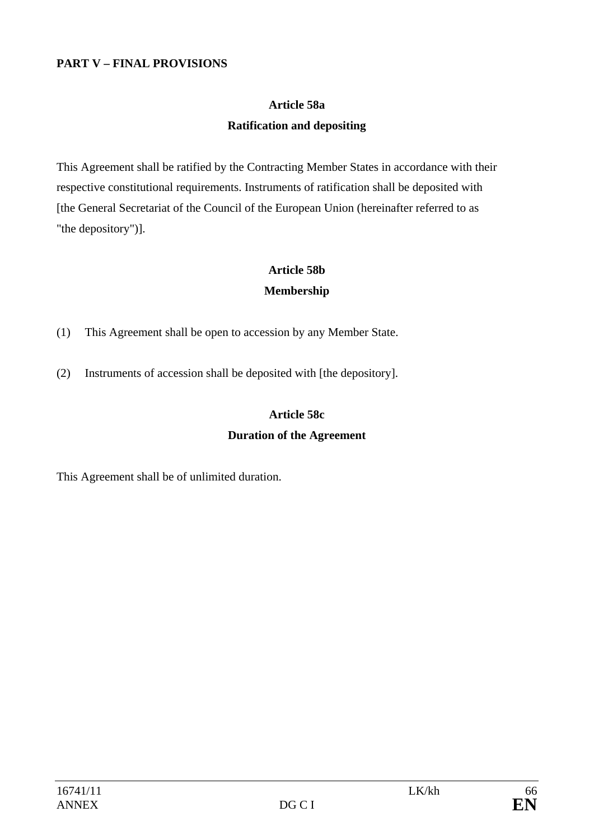### **PART V – FINAL PROVISIONS**

# **Article 58a Ratification and depositing**

This Agreement shall be ratified by the Contracting Member States in accordance with their respective constitutional requirements. Instruments of ratification shall be deposited with [the General Secretariat of the Council of the European Union (hereinafter referred to as "the depository")].

# **Article 58b**

### **Membership**

- (1) This Agreement shall be open to accession by any Member State.
- (2) Instruments of accession shall be deposited with [the depository].

## **Article 58c Duration of the Agreement**

This Agreement shall be of unlimited duration.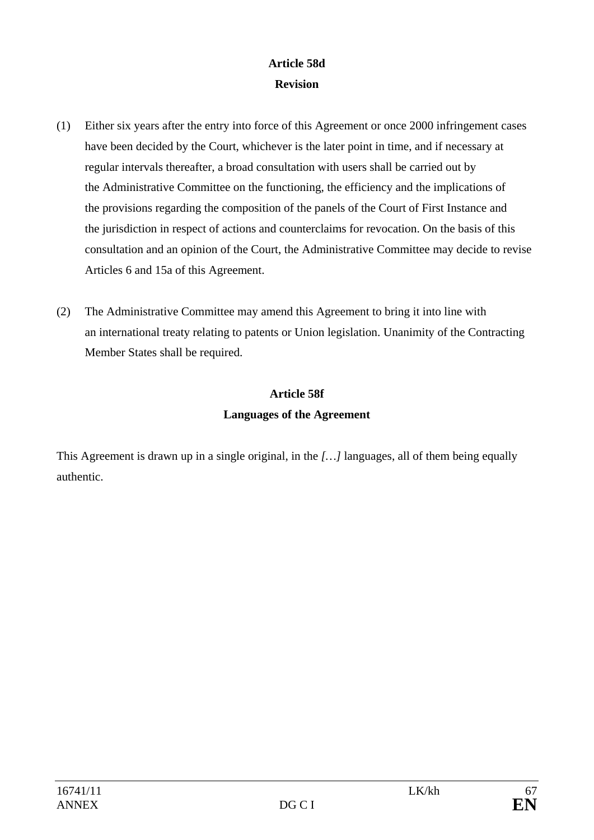## **Article 58d Revision**

- (1) Either six years after the entry into force of this Agreement or once 2000 infringement cases have been decided by the Court, whichever is the later point in time, and if necessary at regular intervals thereafter, a broad consultation with users shall be carried out by the Administrative Committee on the functioning, the efficiency and the implications of the provisions regarding the composition of the panels of the Court of First Instance and the jurisdiction in respect of actions and counterclaims for revocation. On the basis of this consultation and an opinion of the Court, the Administrative Committee may decide to revise Articles 6 and 15a of this Agreement.
- (2) The Administrative Committee may amend this Agreement to bring it into line with an international treaty relating to patents or Union legislation. Unanimity of the Contracting Member States shall be required.

# **Article 58f Languages of the Agreement**

This Agreement is drawn up in a single original, in the *[…]* languages, all of them being equally authentic.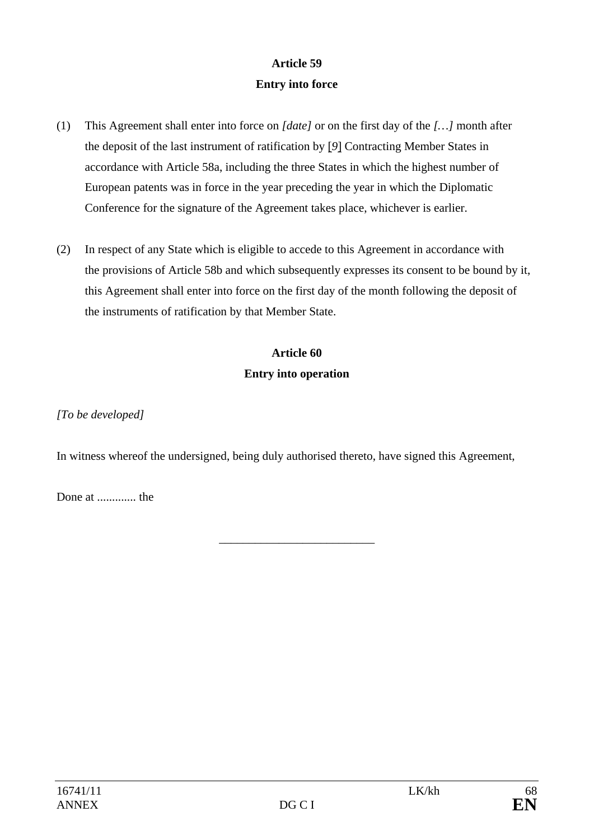# **Article 59 Entry into force**

- (1) This Agreement shall enter into force on *[date]* or on the first day of the *[…]* month after the deposit of the last instrument of ratification by [*9*] Contracting Member States in accordance with Article 58a, including the three States in which the highest number of European patents was in force in the year preceding the year in which the Diplomatic Conference for the signature of the Agreement takes place, whichever is earlier.
- (2) In respect of any State which is eligible to accede to this Agreement in accordance with the provisions of Article 58b and which subsequently expresses its consent to be bound by it, this Agreement shall enter into force on the first day of the month following the deposit of the instruments of ratification by that Member State.

# **Article 60 Entry into operation**

*[To be developed]* 

In witness whereof the undersigned, being duly authorised thereto, have signed this Agreement,

\_\_\_\_\_\_\_\_\_\_\_\_\_\_\_\_\_\_\_\_\_\_\_\_\_\_

Done at ............. the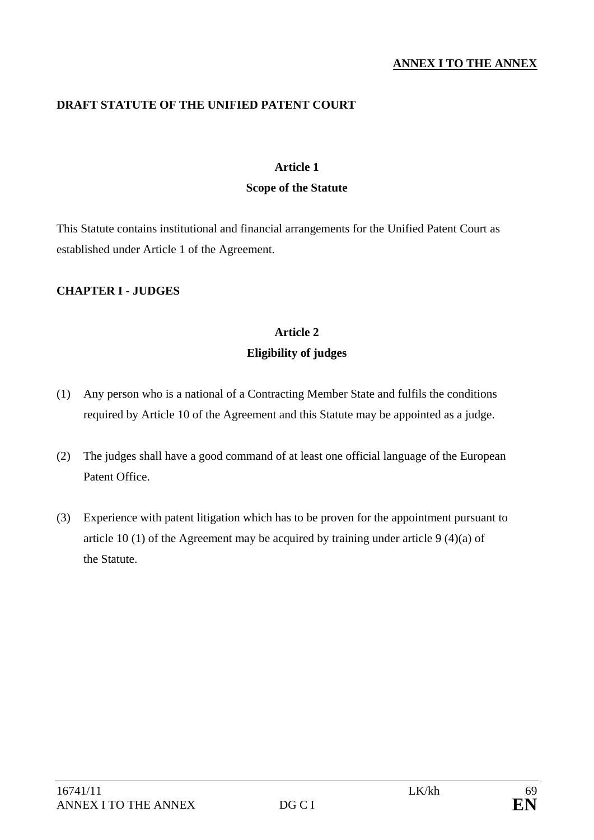#### **ANNEX I TO THE ANNEX**

### **DRAFT STATUTE OF THE UNIFIED PATENT COURT**

#### **Article 1**

#### **Scope of the Statute**

This Statute contains institutional and financial arrangements for the Unified Patent Court as established under Article 1 of the Agreement.

### **CHAPTER I - JUDGES**

# **Article 2 Eligibility of judges**

- (1) Any person who is a national of a Contracting Member State and fulfils the conditions required by Article 10 of the Agreement and this Statute may be appointed as a judge.
- (2) The judges shall have a good command of at least one official language of the European Patent Office.
- (3) Experience with patent litigation which has to be proven for the appointment pursuant to article 10 (1) of the Agreement may be acquired by training under article 9 (4)(a) of the Statute.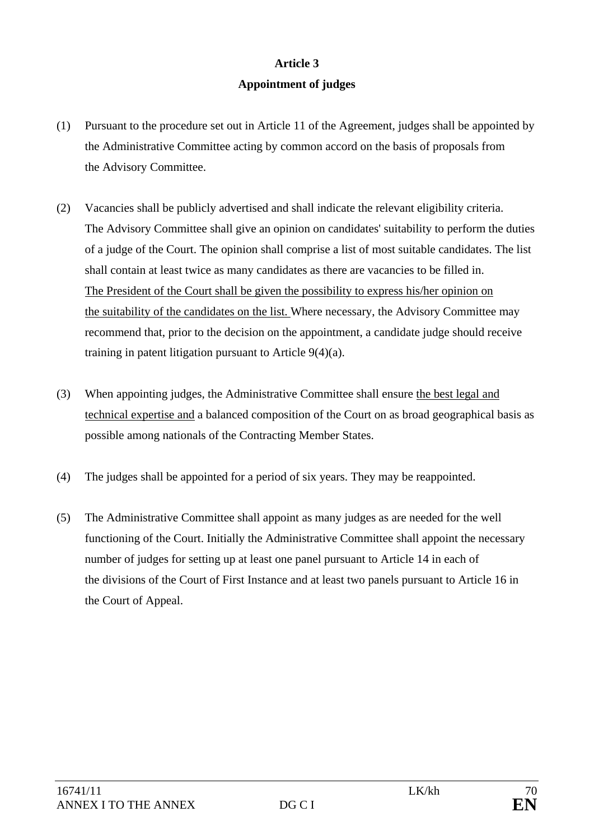### **Article 3**

### **Appointment of judges**

- (1) Pursuant to the procedure set out in Article 11 of the Agreement, judges shall be appointed by the Administrative Committee acting by common accord on the basis of proposals from the Advisory Committee.
- (2) Vacancies shall be publicly advertised and shall indicate the relevant eligibility criteria. The Advisory Committee shall give an opinion on candidates' suitability to perform the duties of a judge of the Court. The opinion shall comprise a list of most suitable candidates. The list shall contain at least twice as many candidates as there are vacancies to be filled in. The President of the Court shall be given the possibility to express his/her opinion on the suitability of the candidates on the list. Where necessary, the Advisory Committee may recommend that, prior to the decision on the appointment, a candidate judge should receive training in patent litigation pursuant to Article 9(4)(a).
- (3) When appointing judges, the Administrative Committee shall ensure the best legal and technical expertise and a balanced composition of the Court on as broad geographical basis as possible among nationals of the Contracting Member States.
- (4) The judges shall be appointed for a period of six years. They may be reappointed.
- (5) The Administrative Committee shall appoint as many judges as are needed for the well functioning of the Court. Initially the Administrative Committee shall appoint the necessary number of judges for setting up at least one panel pursuant to Article 14 in each of the divisions of the Court of First Instance and at least two panels pursuant to Article 16 in the Court of Appeal.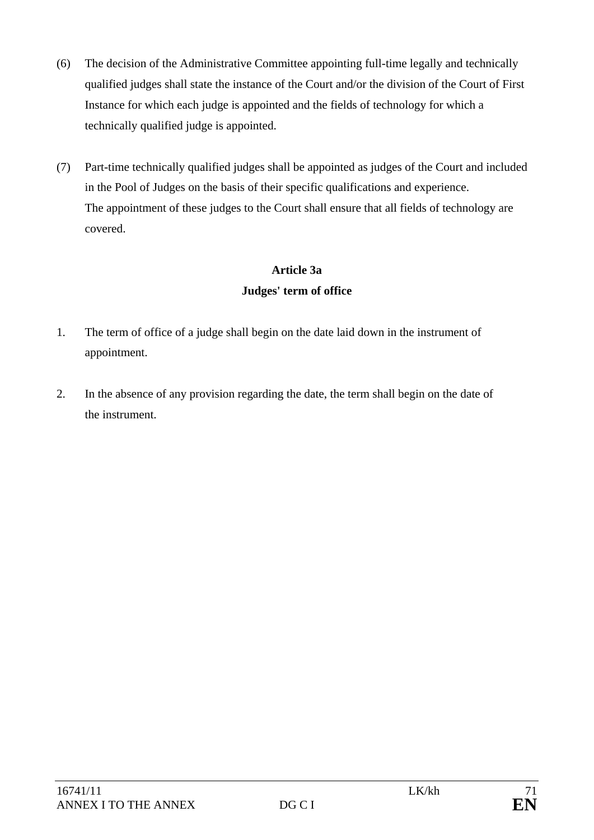- (6) The decision of the Administrative Committee appointing full-time legally and technically qualified judges shall state the instance of the Court and/or the division of the Court of First Instance for which each judge is appointed and the fields of technology for which a technically qualified judge is appointed.
- (7) Part-time technically qualified judges shall be appointed as judges of the Court and included in the Pool of Judges on the basis of their specific qualifications and experience. The appointment of these judges to the Court shall ensure that all fields of technology are covered.

## **Article 3a Judges' term of office**

- 1. The term of office of a judge shall begin on the date laid down in the instrument of appointment.
- 2. In the absence of any provision regarding the date, the term shall begin on the date of the instrument.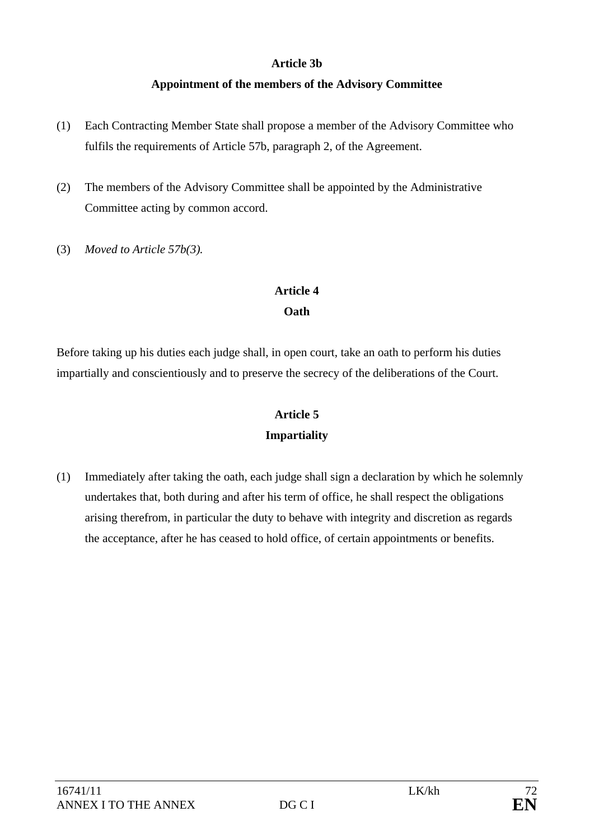### **Article 3b**

## **Appointment of the members of the Advisory Committee**

- (1) Each Contracting Member State shall propose a member of the Advisory Committee who fulfils the requirements of Article 57b, paragraph 2, of the Agreement.
- (2) The members of the Advisory Committee shall be appointed by the Administrative Committee acting by common accord.
- (3) *Moved to Article 57b(3).*

# **Article 4**

### **Oath**

Before taking up his duties each judge shall, in open court, take an oath to perform his duties impartially and conscientiously and to preserve the secrecy of the deliberations of the Court.

# **Article 5 Impartiality**

(1) Immediately after taking the oath, each judge shall sign a declaration by which he solemnly undertakes that, both during and after his term of office, he shall respect the obligations arising therefrom, in particular the duty to behave with integrity and discretion as regards the acceptance, after he has ceased to hold office, of certain appointments or benefits.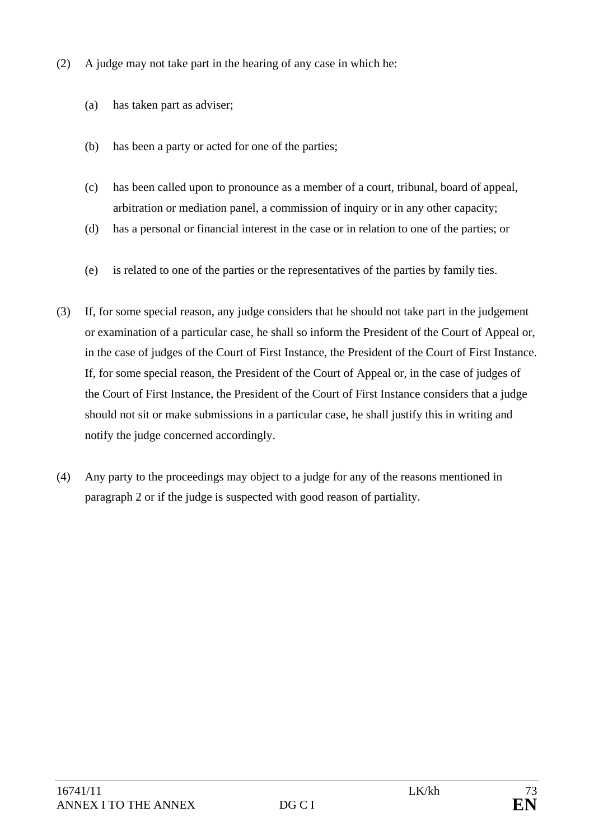- (2) A judge may not take part in the hearing of any case in which he:
	- (a) has taken part as adviser;
	- (b) has been a party or acted for one of the parties;
	- (c) has been called upon to pronounce as a member of a court, tribunal, board of appeal, arbitration or mediation panel, a commission of inquiry or in any other capacity;
	- (d) has a personal or financial interest in the case or in relation to one of the parties; or
	- (e) is related to one of the parties or the representatives of the parties by family ties.
- (3) If, for some special reason, any judge considers that he should not take part in the judgement or examination of a particular case, he shall so inform the President of the Court of Appeal or, in the case of judges of the Court of First Instance, the President of the Court of First Instance. If, for some special reason, the President of the Court of Appeal or, in the case of judges of the Court of First Instance, the President of the Court of First Instance considers that a judge should not sit or make submissions in a particular case, he shall justify this in writing and notify the judge concerned accordingly.
- (4) Any party to the proceedings may object to a judge for any of the reasons mentioned in paragraph 2 or if the judge is suspected with good reason of partiality.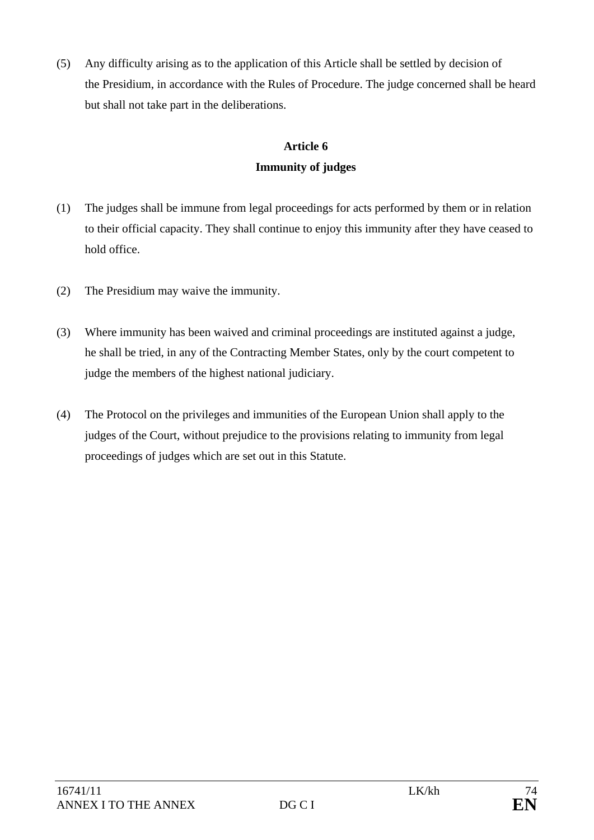(5) Any difficulty arising as to the application of this Article shall be settled by decision of the Presidium, in accordance with the Rules of Procedure. The judge concerned shall be heard but shall not take part in the deliberations.

# **Article 6 Immunity of judges**

- (1) The judges shall be immune from legal proceedings for acts performed by them or in relation to their official capacity. They shall continue to enjoy this immunity after they have ceased to hold office.
- (2) The Presidium may waive the immunity.
- (3) Where immunity has been waived and criminal proceedings are instituted against a judge, he shall be tried, in any of the Contracting Member States, only by the court competent to judge the members of the highest national judiciary.
- (4) The Protocol on the privileges and immunities of the European Union shall apply to the judges of the Court, without prejudice to the provisions relating to immunity from legal proceedings of judges which are set out in this Statute.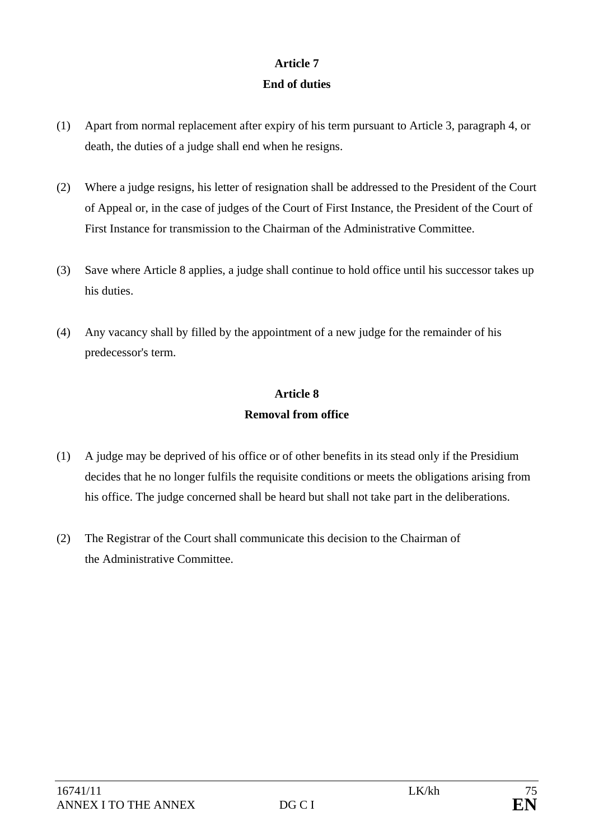## **Article 7 End of duties**

- (1) Apart from normal replacement after expiry of his term pursuant to Article 3, paragraph 4, or death, the duties of a judge shall end when he resigns.
- (2) Where a judge resigns, his letter of resignation shall be addressed to the President of the Court of Appeal or, in the case of judges of the Court of First Instance, the President of the Court of First Instance for transmission to the Chairman of the Administrative Committee.
- (3) Save where Article 8 applies, a judge shall continue to hold office until his successor takes up his duties.
- (4) Any vacancy shall by filled by the appointment of a new judge for the remainder of his predecessor's term.

# **Article 8 Removal from office**

- (1) A judge may be deprived of his office or of other benefits in its stead only if the Presidium decides that he no longer fulfils the requisite conditions or meets the obligations arising from his office. The judge concerned shall be heard but shall not take part in the deliberations.
- (2) The Registrar of the Court shall communicate this decision to the Chairman of the Administrative Committee.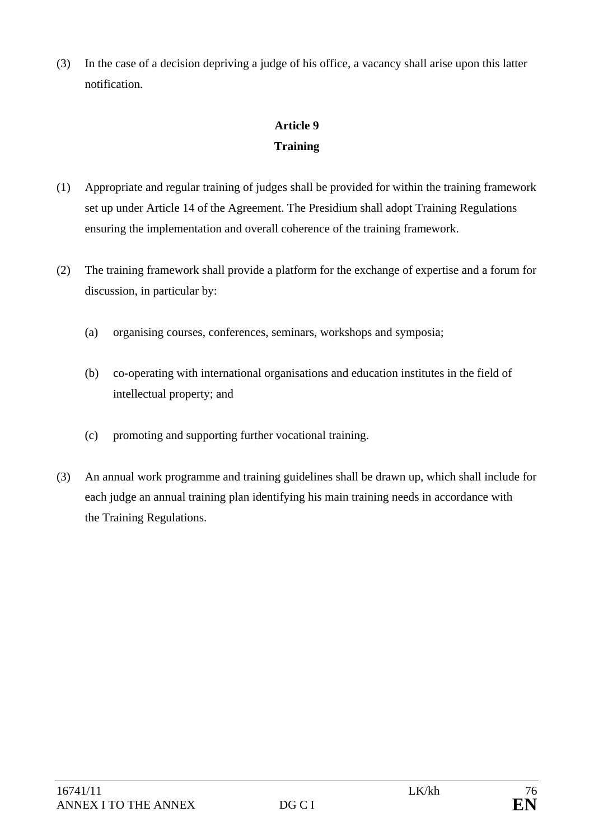(3) In the case of a decision depriving a judge of his office, a vacancy shall arise upon this latter notification.

# **Article 9 Training**

- (1) Appropriate and regular training of judges shall be provided for within the training framework set up under Article 14 of the Agreement. The Presidium shall adopt Training Regulations ensuring the implementation and overall coherence of the training framework.
- (2) The training framework shall provide a platform for the exchange of expertise and a forum for discussion, in particular by:
	- (a) organising courses, conferences, seminars, workshops and symposia;
	- (b) co-operating with international organisations and education institutes in the field of intellectual property; and
	- (c) promoting and supporting further vocational training.
- (3) An annual work programme and training guidelines shall be drawn up, which shall include for each judge an annual training plan identifying his main training needs in accordance with the Training Regulations.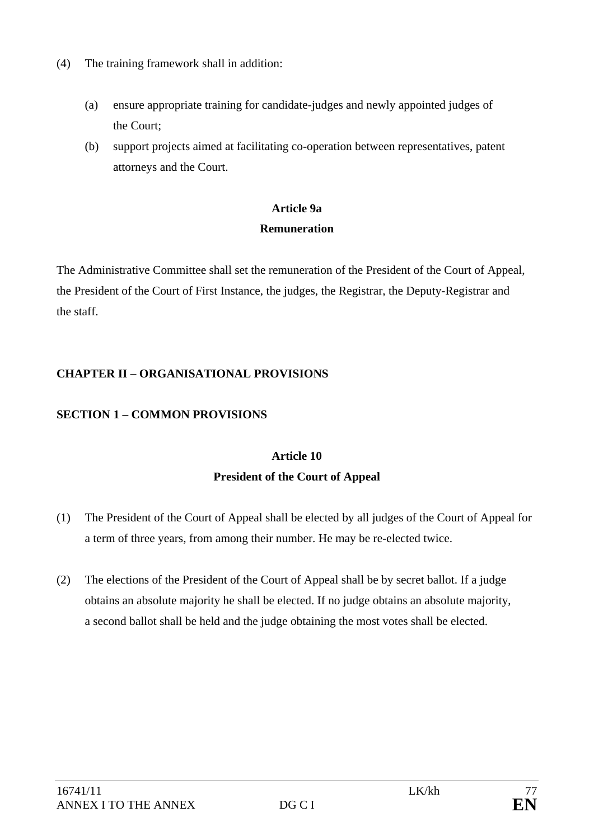- (4) The training framework shall in addition:
	- (a) ensure appropriate training for candidate-judges and newly appointed judges of the Court;
	- (b) support projects aimed at facilitating co-operation between representatives, patent attorneys and the Court.

# **Article 9a Remuneration**

The Administrative Committee shall set the remuneration of the President of the Court of Appeal, the President of the Court of First Instance, the judges, the Registrar, the Deputy-Registrar and the staff.

## **CHAPTER II – ORGANISATIONAL PROVISIONS**

# **SECTION 1 – COMMON PROVISIONS**

# **Article 10 President of the Court of Appeal**

- (1) The President of the Court of Appeal shall be elected by all judges of the Court of Appeal for a term of three years, from among their number. He may be re-elected twice.
- (2) The elections of the President of the Court of Appeal shall be by secret ballot. If a judge obtains an absolute majority he shall be elected. If no judge obtains an absolute majority, a second ballot shall be held and the judge obtaining the most votes shall be elected.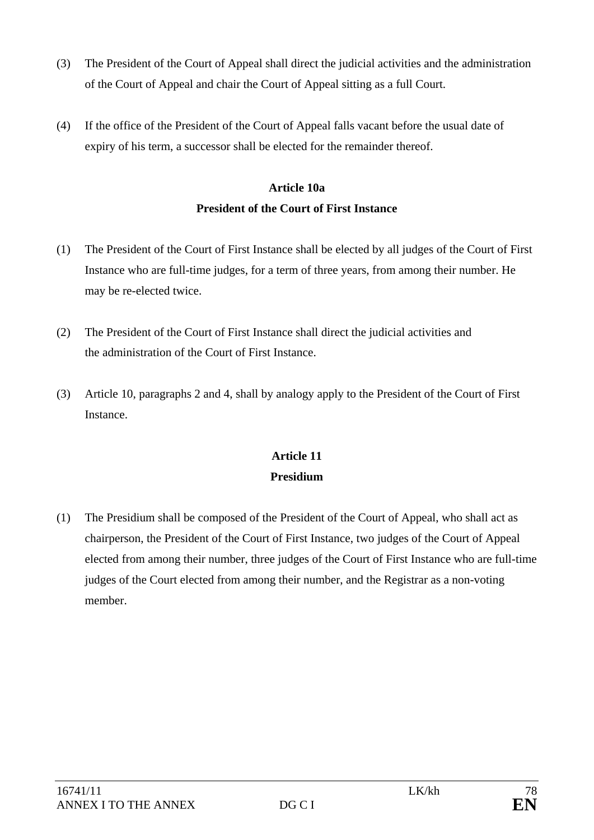- (3) The President of the Court of Appeal shall direct the judicial activities and the administration of the Court of Appeal and chair the Court of Appeal sitting as a full Court.
- (4) If the office of the President of the Court of Appeal falls vacant before the usual date of expiry of his term, a successor shall be elected for the remainder thereof.

# **Article 10a President of the Court of First Instance**

- (1) The President of the Court of First Instance shall be elected by all judges of the Court of First Instance who are full-time judges, for a term of three years, from among their number. He may be re-elected twice.
- (2) The President of the Court of First Instance shall direct the judicial activities and the administration of the Court of First Instance.
- (3) Article 10, paragraphs 2 and 4, shall by analogy apply to the President of the Court of First Instance.

# **Article 11 Presidium**

(1) The Presidium shall be composed of the President of the Court of Appeal, who shall act as chairperson, the President of the Court of First Instance, two judges of the Court of Appeal elected from among their number, three judges of the Court of First Instance who are full-time judges of the Court elected from among their number, and the Registrar as a non-voting member.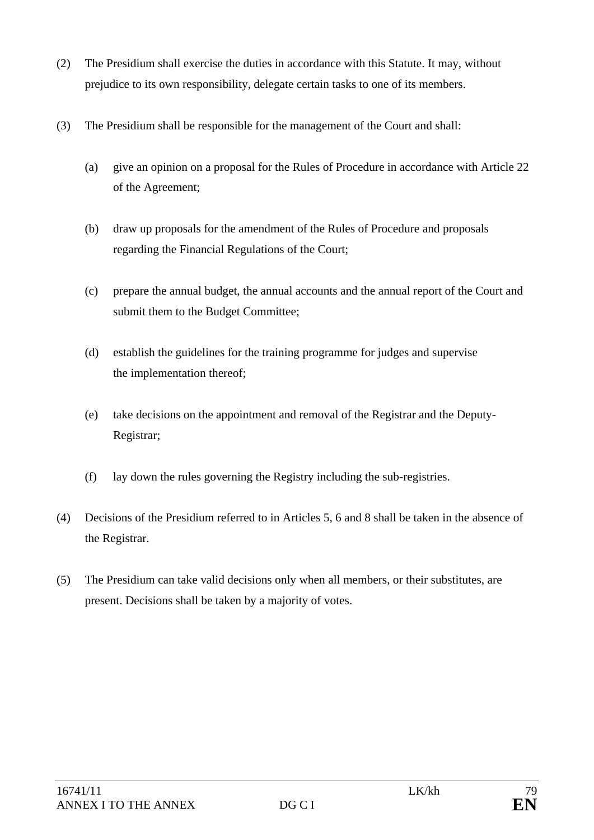- (2) The Presidium shall exercise the duties in accordance with this Statute. It may, without prejudice to its own responsibility, delegate certain tasks to one of its members.
- (3) The Presidium shall be responsible for the management of the Court and shall:
	- (a) give an opinion on a proposal for the Rules of Procedure in accordance with Article 22 of the Agreement;
	- (b) draw up proposals for the amendment of the Rules of Procedure and proposals regarding the Financial Regulations of the Court;
	- (c) prepare the annual budget, the annual accounts and the annual report of the Court and submit them to the Budget Committee;
	- (d) establish the guidelines for the training programme for judges and supervise the implementation thereof;
	- (e) take decisions on the appointment and removal of the Registrar and the Deputy-Registrar;
	- (f) lay down the rules governing the Registry including the sub-registries.
- (4) Decisions of the Presidium referred to in Articles 5, 6 and 8 shall be taken in the absence of the Registrar.
- (5) The Presidium can take valid decisions only when all members, or their substitutes, are present. Decisions shall be taken by a majority of votes.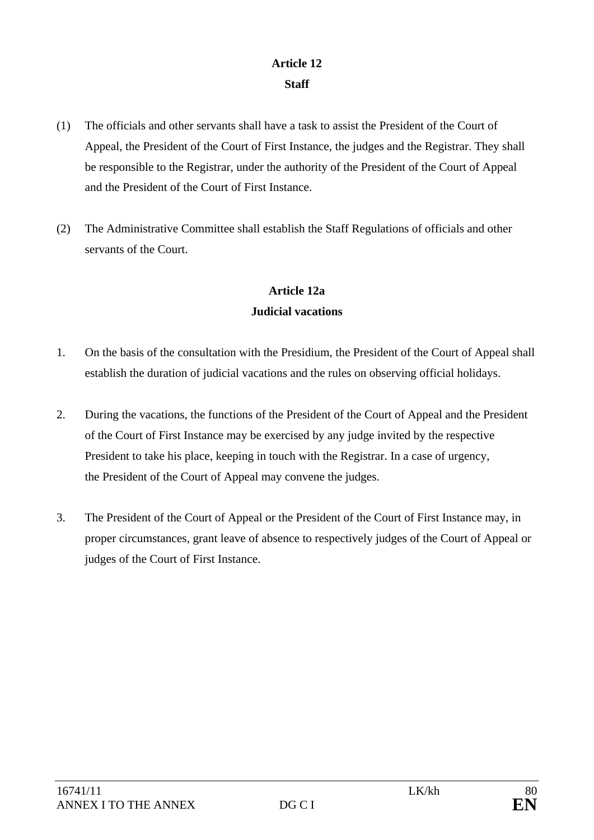## **Article 12 Staff**

- (1) The officials and other servants shall have a task to assist the President of the Court of Appeal, the President of the Court of First Instance, the judges and the Registrar. They shall be responsible to the Registrar, under the authority of the President of the Court of Appeal and the President of the Court of First Instance.
- (2) The Administrative Committee shall establish the Staff Regulations of officials and other servants of the Court.

# **Article 12a Judicial vacations**

- 1. On the basis of the consultation with the Presidium, the President of the Court of Appeal shall establish the duration of judicial vacations and the rules on observing official holidays.
- 2. During the vacations, the functions of the President of the Court of Appeal and the President of the Court of First Instance may be exercised by any judge invited by the respective President to take his place, keeping in touch with the Registrar. In a case of urgency, the President of the Court of Appeal may convene the judges.
- 3. The President of the Court of Appeal or the President of the Court of First Instance may, in proper circumstances, grant leave of absence to respectively judges of the Court of Appeal or judges of the Court of First Instance.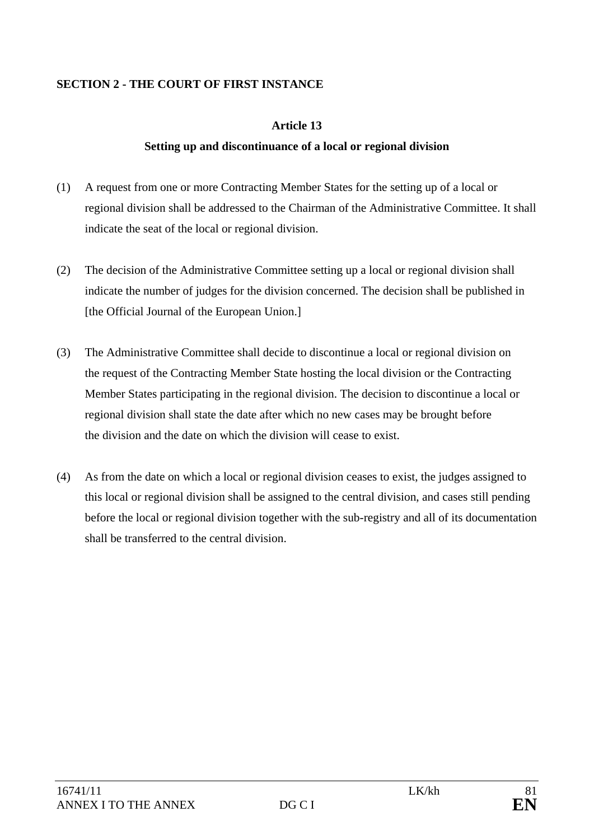## **SECTION 2 - THE COURT OF FIRST INSTANCE**

### **Article 13**

### **Setting up and discontinuance of a local or regional division**

- (1) A request from one or more Contracting Member States for the setting up of a local or regional division shall be addressed to the Chairman of the Administrative Committee. It shall indicate the seat of the local or regional division.
- (2) The decision of the Administrative Committee setting up a local or regional division shall indicate the number of judges for the division concerned. The decision shall be published in [the Official Journal of the European Union.]
- (3) The Administrative Committee shall decide to discontinue a local or regional division on the request of the Contracting Member State hosting the local division or the Contracting Member States participating in the regional division. The decision to discontinue a local or regional division shall state the date after which no new cases may be brought before the division and the date on which the division will cease to exist.
- (4) As from the date on which a local or regional division ceases to exist, the judges assigned to this local or regional division shall be assigned to the central division, and cases still pending before the local or regional division together with the sub-registry and all of its documentation shall be transferred to the central division.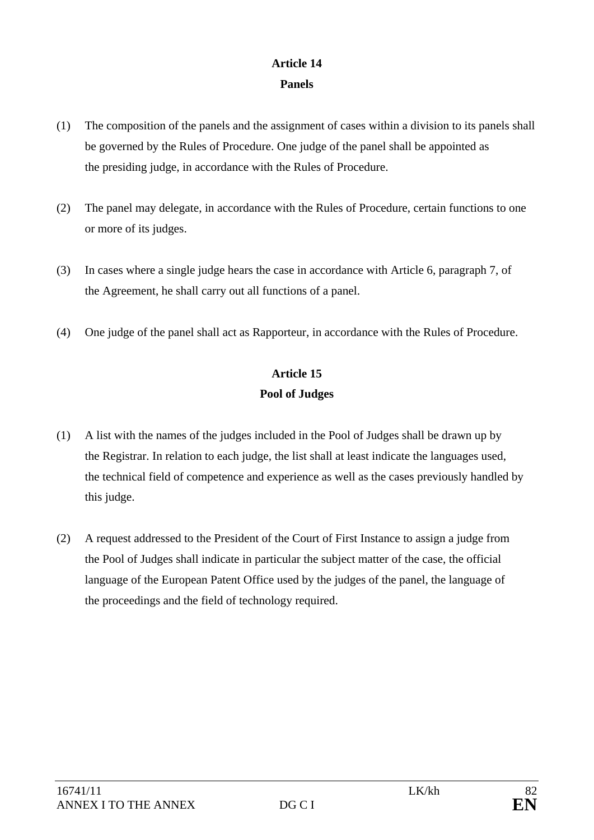## **Article 14 Panels**

- (1) The composition of the panels and the assignment of cases within a division to its panels shall be governed by the Rules of Procedure. One judge of the panel shall be appointed as the presiding judge, in accordance with the Rules of Procedure.
- (2) The panel may delegate, in accordance with the Rules of Procedure, certain functions to one or more of its judges.
- (3) In cases where a single judge hears the case in accordance with Article 6, paragraph 7, of the Agreement, he shall carry out all functions of a panel.
- (4) One judge of the panel shall act as Rapporteur, in accordance with the Rules of Procedure.

# **Article 15 Pool of Judges**

- (1) A list with the names of the judges included in the Pool of Judges shall be drawn up by the Registrar. In relation to each judge, the list shall at least indicate the languages used, the technical field of competence and experience as well as the cases previously handled by this judge.
- (2) A request addressed to the President of the Court of First Instance to assign a judge from the Pool of Judges shall indicate in particular the subject matter of the case, the official language of the European Patent Office used by the judges of the panel, the language of the proceedings and the field of technology required.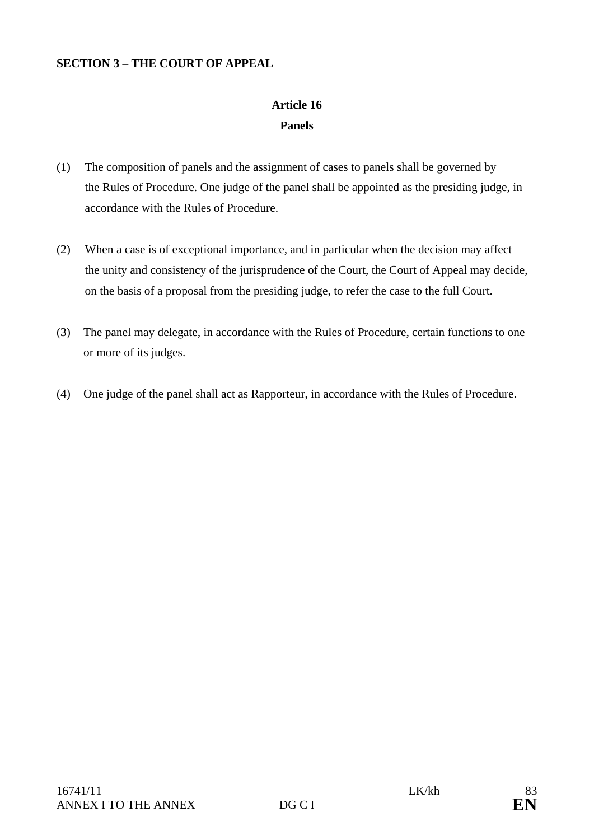### **SECTION 3 – THE COURT OF APPEAL**

# **Article 16 Panels**

- (1) The composition of panels and the assignment of cases to panels shall be governed by the Rules of Procedure. One judge of the panel shall be appointed as the presiding judge, in accordance with the Rules of Procedure.
- (2) When a case is of exceptional importance, and in particular when the decision may affect the unity and consistency of the jurisprudence of the Court, the Court of Appeal may decide, on the basis of a proposal from the presiding judge, to refer the case to the full Court.
- (3) The panel may delegate, in accordance with the Rules of Procedure, certain functions to one or more of its judges.
- (4) One judge of the panel shall act as Rapporteur, in accordance with the Rules of Procedure.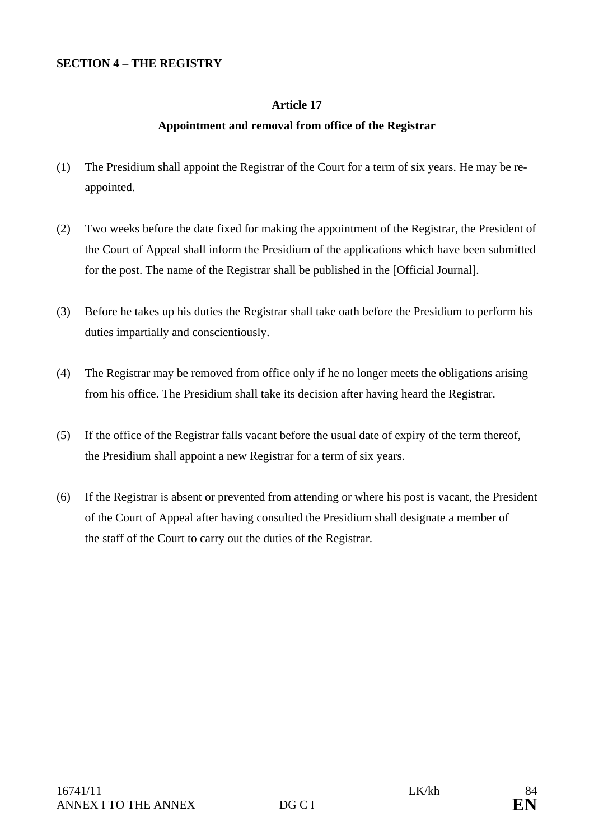### **SECTION 4 – THE REGISTRY**

### **Article 17**

### **Appointment and removal from office of the Registrar**

- (1) The Presidium shall appoint the Registrar of the Court for a term of six years. He may be reappointed.
- (2) Two weeks before the date fixed for making the appointment of the Registrar, the President of the Court of Appeal shall inform the Presidium of the applications which have been submitted for the post. The name of the Registrar shall be published in the [Official Journal].
- (3) Before he takes up his duties the Registrar shall take oath before the Presidium to perform his duties impartially and conscientiously.
- (4) The Registrar may be removed from office only if he no longer meets the obligations arising from his office. The Presidium shall take its decision after having heard the Registrar.
- (5) If the office of the Registrar falls vacant before the usual date of expiry of the term thereof, the Presidium shall appoint a new Registrar for a term of six years.
- (6) If the Registrar is absent or prevented from attending or where his post is vacant, the President of the Court of Appeal after having consulted the Presidium shall designate a member of the staff of the Court to carry out the duties of the Registrar.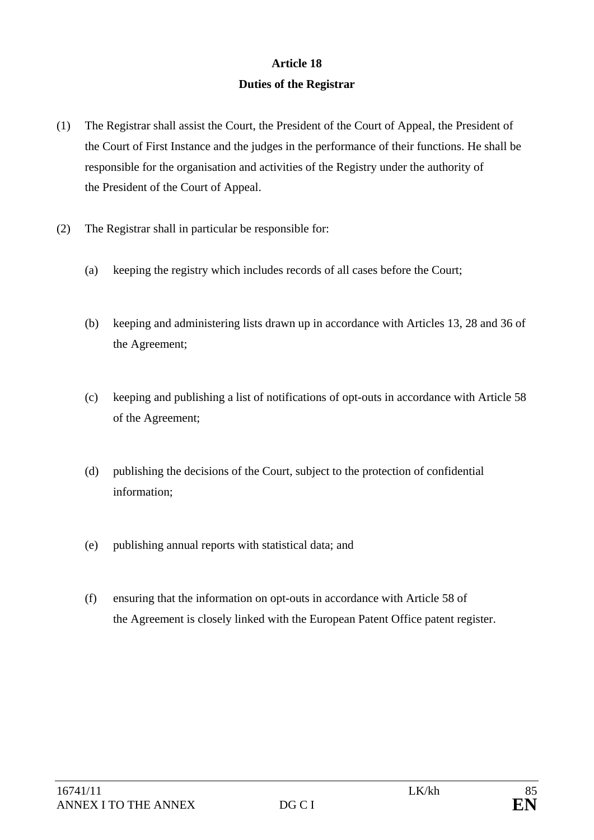# **Article 18 Duties of the Registrar**

- (1) The Registrar shall assist the Court, the President of the Court of Appeal, the President of the Court of First Instance and the judges in the performance of their functions. He shall be responsible for the organisation and activities of the Registry under the authority of the President of the Court of Appeal.
- (2) The Registrar shall in particular be responsible for:
	- (a) keeping the registry which includes records of all cases before the Court;
	- (b) keeping and administering lists drawn up in accordance with Articles 13, 28 and 36 of the Agreement;
	- (c) keeping and publishing a list of notifications of opt-outs in accordance with Article 58 of the Agreement;
	- (d) publishing the decisions of the Court, subject to the protection of confidential information;
	- (e) publishing annual reports with statistical data; and
	- (f) ensuring that the information on opt-outs in accordance with Article 58 of the Agreement is closely linked with the European Patent Office patent register.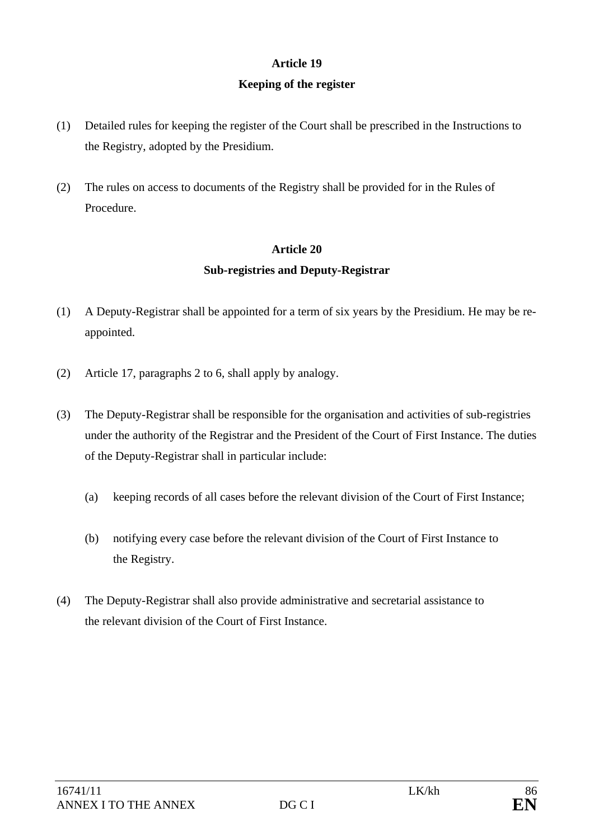# **Article 19 Keeping of the register**

- (1) Detailed rules for keeping the register of the Court shall be prescribed in the Instructions to the Registry, adopted by the Presidium.
- (2) The rules on access to documents of the Registry shall be provided for in the Rules of Procedure.

# **Article 20 Sub-registries and Deputy-Registrar**

- (1) A Deputy-Registrar shall be appointed for a term of six years by the Presidium. He may be reappointed.
- (2) Article 17, paragraphs 2 to 6, shall apply by analogy.
- (3) The Deputy-Registrar shall be responsible for the organisation and activities of sub-registries under the authority of the Registrar and the President of the Court of First Instance. The duties of the Deputy-Registrar shall in particular include:
	- (a) keeping records of all cases before the relevant division of the Court of First Instance;
	- (b) notifying every case before the relevant division of the Court of First Instance to the Registry.
- (4) The Deputy-Registrar shall also provide administrative and secretarial assistance to the relevant division of the Court of First Instance.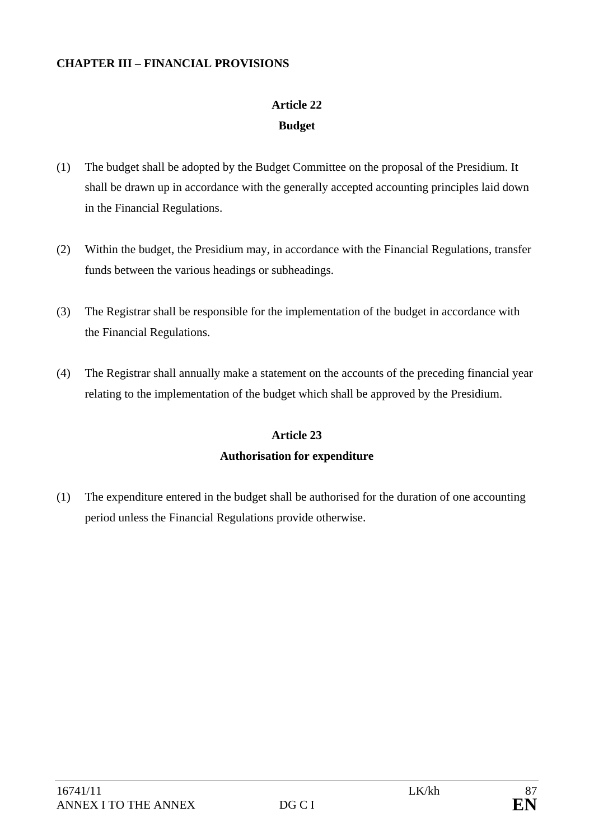### **CHAPTER III – FINANCIAL PROVISIONS**

# **Article 22 Budget**

- (1) The budget shall be adopted by the Budget Committee on the proposal of the Presidium. It shall be drawn up in accordance with the generally accepted accounting principles laid down in the Financial Regulations.
- (2) Within the budget, the Presidium may, in accordance with the Financial Regulations, transfer funds between the various headings or subheadings.
- (3) The Registrar shall be responsible for the implementation of the budget in accordance with the Financial Regulations.
- (4) The Registrar shall annually make a statement on the accounts of the preceding financial year relating to the implementation of the budget which shall be approved by the Presidium.

### **Article 23**

### **Authorisation for expenditure**

(1) The expenditure entered in the budget shall be authorised for the duration of one accounting period unless the Financial Regulations provide otherwise.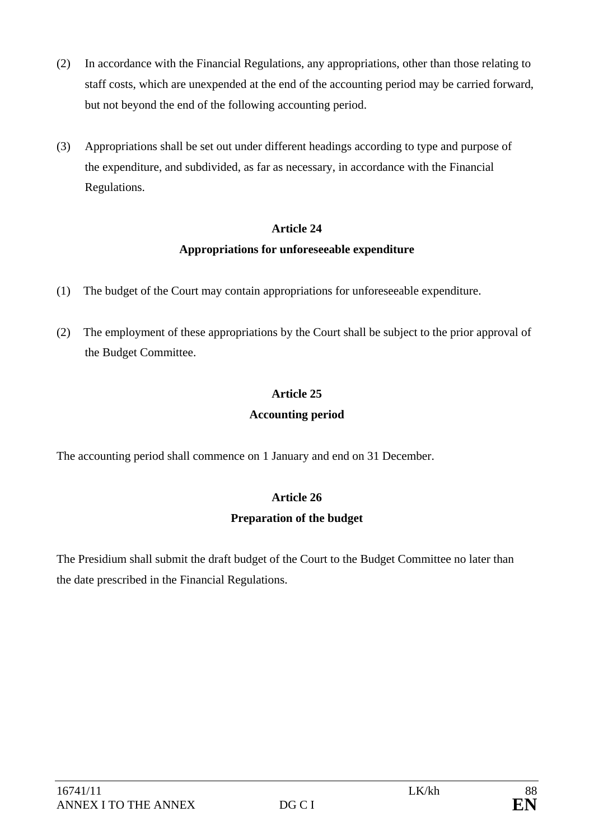- (2) In accordance with the Financial Regulations, any appropriations, other than those relating to staff costs, which are unexpended at the end of the accounting period may be carried forward, but not beyond the end of the following accounting period.
- (3) Appropriations shall be set out under different headings according to type and purpose of the expenditure, and subdivided, as far as necessary, in accordance with the Financial Regulations.

## **Appropriations for unforeseeable expenditure**

- (1) The budget of the Court may contain appropriations for unforeseeable expenditure.
- (2) The employment of these appropriations by the Court shall be subject to the prior approval of the Budget Committee.

# **Article 25**

## **Accounting period**

The accounting period shall commence on 1 January and end on 31 December.

## **Article 26**

### **Preparation of the budget**

The Presidium shall submit the draft budget of the Court to the Budget Committee no later than the date prescribed in the Financial Regulations.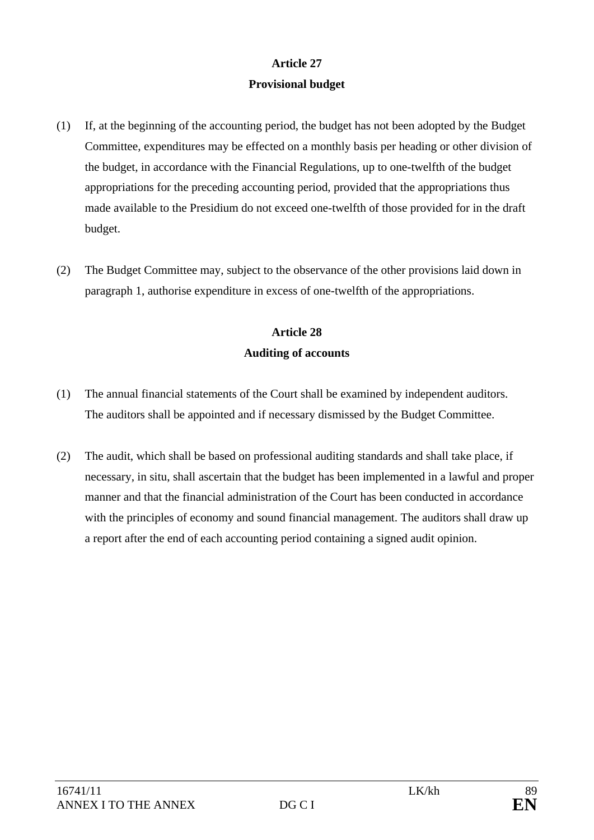# **Article 27 Provisional budget**

- (1) If, at the beginning of the accounting period, the budget has not been adopted by the Budget Committee, expenditures may be effected on a monthly basis per heading or other division of the budget, in accordance with the Financial Regulations, up to one-twelfth of the budget appropriations for the preceding accounting period, provided that the appropriations thus made available to the Presidium do not exceed one-twelfth of those provided for in the draft budget.
- (2) The Budget Committee may, subject to the observance of the other provisions laid down in paragraph 1, authorise expenditure in excess of one-twelfth of the appropriations.

# **Article 28 Auditing of accounts**

- (1) The annual financial statements of the Court shall be examined by independent auditors. The auditors shall be appointed and if necessary dismissed by the Budget Committee.
- (2) The audit, which shall be based on professional auditing standards and shall take place, if necessary, in situ, shall ascertain that the budget has been implemented in a lawful and proper manner and that the financial administration of the Court has been conducted in accordance with the principles of economy and sound financial management. The auditors shall draw up a report after the end of each accounting period containing a signed audit opinion.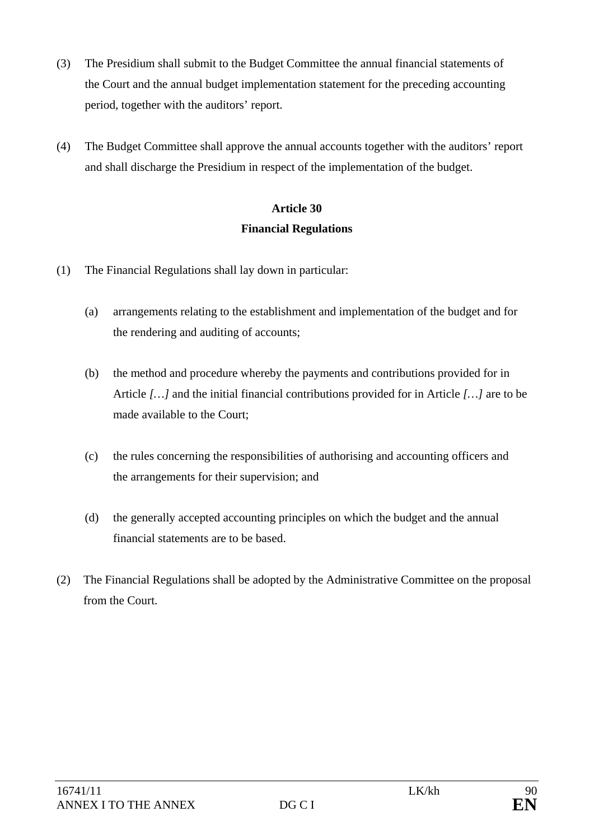- (3) The Presidium shall submit to the Budget Committee the annual financial statements of the Court and the annual budget implementation statement for the preceding accounting period, together with the auditors' report.
- (4) The Budget Committee shall approve the annual accounts together with the auditors' report and shall discharge the Presidium in respect of the implementation of the budget.

# **Article 30 Financial Regulations**

- (1) The Financial Regulations shall lay down in particular:
	- (a) arrangements relating to the establishment and implementation of the budget and for the rendering and auditing of accounts;
	- (b) the method and procedure whereby the payments and contributions provided for in Article *[…]* and the initial financial contributions provided for in Article *[…]* are to be made available to the Court;
	- (c) the rules concerning the responsibilities of authorising and accounting officers and the arrangements for their supervision; and
	- (d) the generally accepted accounting principles on which the budget and the annual financial statements are to be based.
- (2) The Financial Regulations shall be adopted by the Administrative Committee on the proposal from the Court.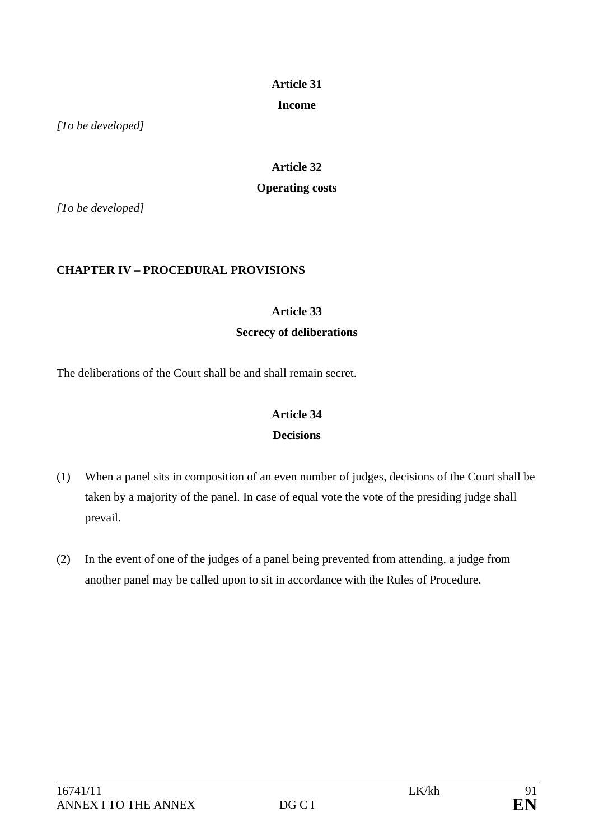## **Income**

*[To be developed]* 

# **Article 32 Operating costs**

*[To be developed]* 

## **CHAPTER IV – PROCEDURAL PROVISIONS**

### **Article 33**

## **Secrecy of deliberations**

The deliberations of the Court shall be and shall remain secret.

## **Article 34 Decisions**

# (1) When a panel sits in composition of an even number of judges, decisions of the Court shall be taken by a majority of the panel. In case of equal vote the vote of the presiding judge shall prevail.

(2) In the event of one of the judges of a panel being prevented from attending, a judge from another panel may be called upon to sit in accordance with the Rules of Procedure.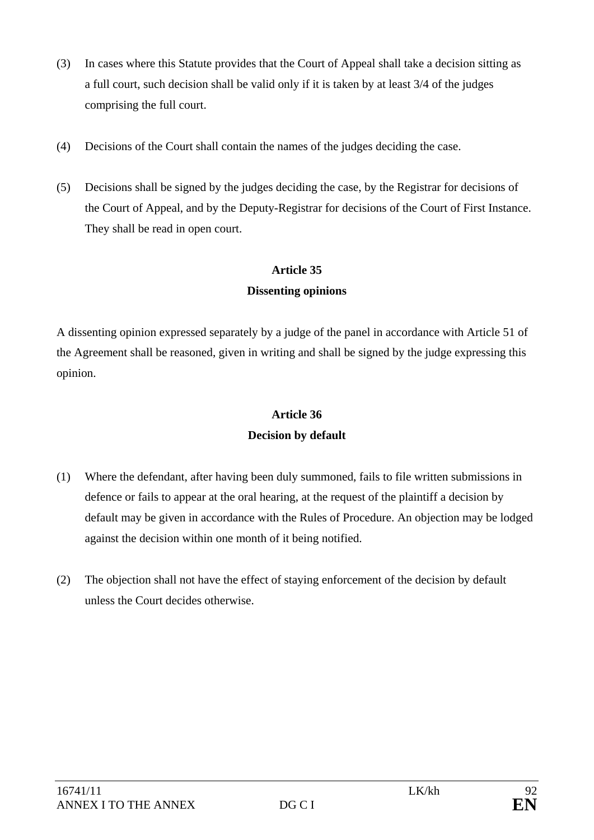- (3) In cases where this Statute provides that the Court of Appeal shall take a decision sitting as a full court, such decision shall be valid only if it is taken by at least 3/4 of the judges comprising the full court.
- (4) Decisions of the Court shall contain the names of the judges deciding the case.
- (5) Decisions shall be signed by the judges deciding the case, by the Registrar for decisions of the Court of Appeal, and by the Deputy-Registrar for decisions of the Court of First Instance. They shall be read in open court.

## **Dissenting opinions**

A dissenting opinion expressed separately by a judge of the panel in accordance with Article 51 of the Agreement shall be reasoned, given in writing and shall be signed by the judge expressing this opinion.

# **Article 36 Decision by default**

- (1) Where the defendant, after having been duly summoned, fails to file written submissions in defence or fails to appear at the oral hearing, at the request of the plaintiff a decision by default may be given in accordance with the Rules of Procedure. An objection may be lodged against the decision within one month of it being notified.
- (2) The objection shall not have the effect of staying enforcement of the decision by default unless the Court decides otherwise.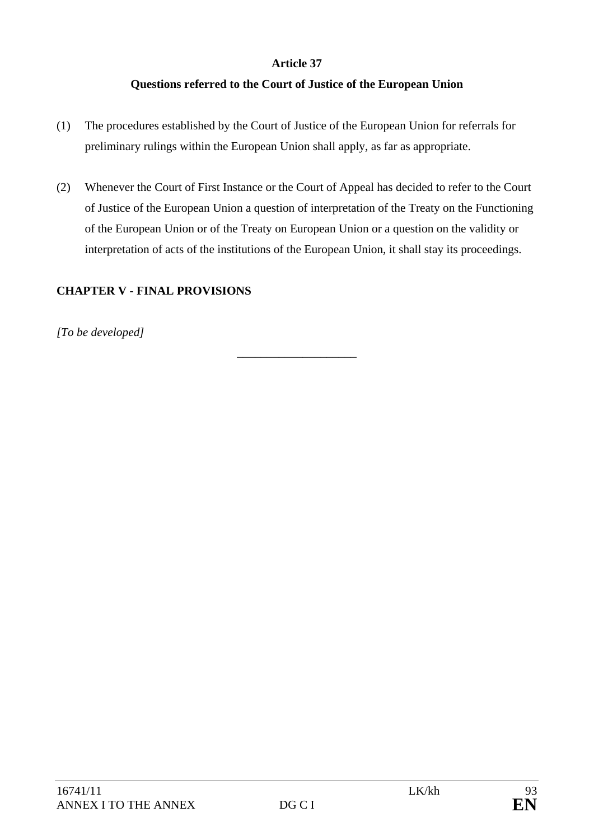## **Questions referred to the Court of Justice of the European Union**

- (1) The procedures established by the Court of Justice of the European Union for referrals for preliminary rulings within the European Union shall apply, as far as appropriate.
- (2) Whenever the Court of First Instance or the Court of Appeal has decided to refer to the Court of Justice of the European Union a question of interpretation of the Treaty on the Functioning of the European Union or of the Treaty on European Union or a question on the validity or interpretation of acts of the institutions of the European Union, it shall stay its proceedings.

### **CHAPTER V - FINAL PROVISIONS**

*[To be developed]* 

\_\_\_\_\_\_\_\_\_\_\_\_\_\_\_\_\_\_\_\_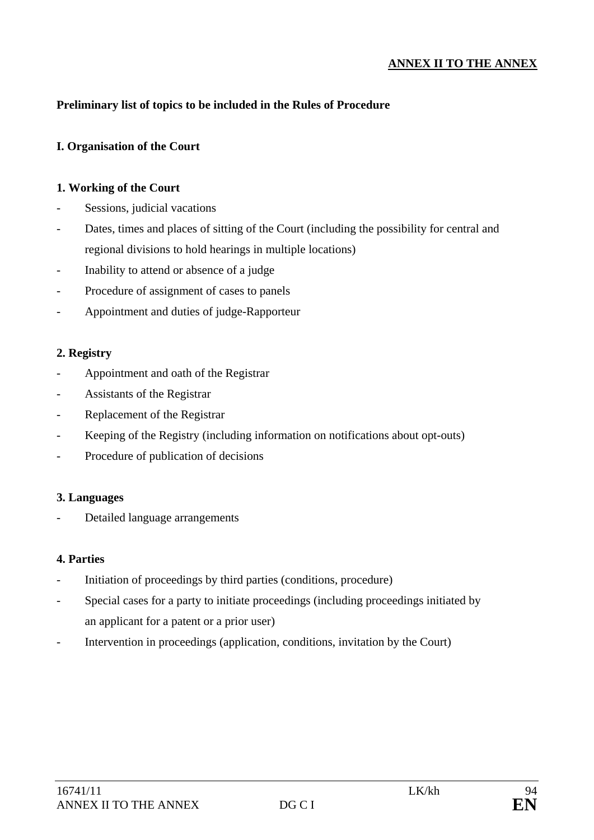### **ANNEX II TO THE ANNEX**

### **Preliminary list of topics to be included in the Rules of Procedure**

### **I. Organisation of the Court**

### **1. Working of the Court**

- Sessions, judicial vacations
- Dates, times and places of sitting of the Court (including the possibility for central and regional divisions to hold hearings in multiple locations)
- Inability to attend or absence of a judge
- Procedure of assignment of cases to panels
- Appointment and duties of judge-Rapporteur

### **2. Registry**

- Appointment and oath of the Registrar
- Assistants of the Registrar
- Replacement of the Registrar
- Keeping of the Registry (including information on notifications about opt-outs)
- Procedure of publication of decisions

### **3. Languages**

Detailed language arrangements

### **4. Parties**

- Initiation of proceedings by third parties (conditions, procedure)
- Special cases for a party to initiate proceedings (including proceedings initiated by an applicant for a patent or a prior user)
- Intervention in proceedings (application, conditions, invitation by the Court)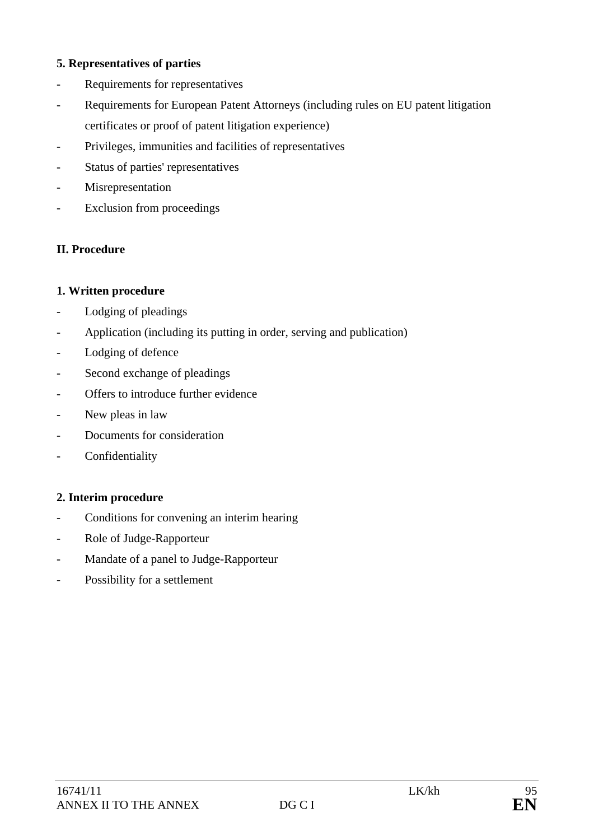### **5. Representatives of parties**

- Requirements for representatives
- Requirements for European Patent Attorneys (including rules on EU patent litigation certificates or proof of patent litigation experience)
- Privileges, immunities and facilities of representatives
- Status of parties' representatives
- Misrepresentation
- Exclusion from proceedings

### **II. Procedure**

### **1. Written procedure**

- Lodging of pleadings
- Application (including its putting in order, serving and publication)
- Lodging of defence
- Second exchange of pleadings
- Offers to introduce further evidence
- New pleas in law
- Documents for consideration
- Confidentiality

### **2. Interim procedure**

- Conditions for convening an interim hearing
- Role of Judge-Rapporteur
- Mandate of a panel to Judge-Rapporteur
- Possibility for a settlement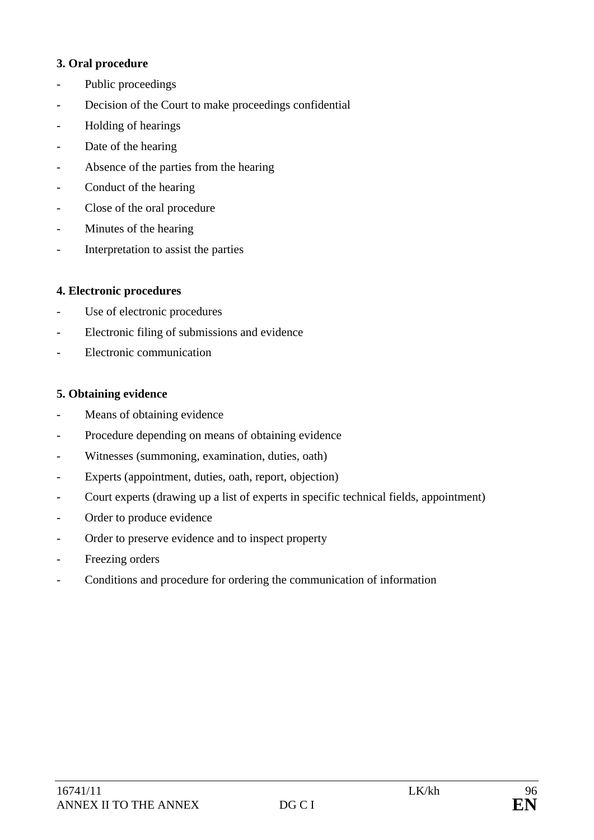### **3. Oral procedure**

- Public proceedings
- Decision of the Court to make proceedings confidential
- Holding of hearings
- Date of the hearing
- Absence of the parties from the hearing
- Conduct of the hearing
- Close of the oral procedure
- Minutes of the hearing
- Interpretation to assist the parties

### **4. Electronic procedures**

- Use of electronic procedures
- Electronic filing of submissions and evidence
- Electronic communication

### **5. Obtaining evidence**

- Means of obtaining evidence
- Procedure depending on means of obtaining evidence
- Witnesses (summoning, examination, duties, oath)
- Experts (appointment, duties, oath, report, objection)
- Court experts (drawing up a list of experts in specific technical fields, appointment)
- Order to produce evidence
- Order to preserve evidence and to inspect property
- Freezing orders
- Conditions and procedure for ordering the communication of information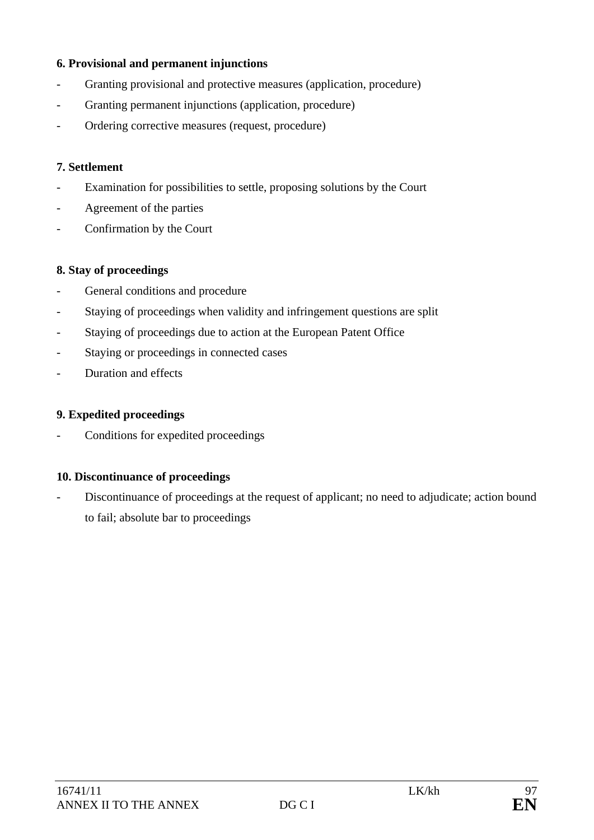### **6. Provisional and permanent injunctions**

- Granting provisional and protective measures (application, procedure)
- Granting permanent injunctions (application, procedure)
- Ordering corrective measures (request, procedure)

### **7. Settlement**

- Examination for possibilities to settle, proposing solutions by the Court
- Agreement of the parties
- Confirmation by the Court

### **8. Stay of proceedings**

- General conditions and procedure
- Staying of proceedings when validity and infringement questions are split
- Staying of proceedings due to action at the European Patent Office
- Staying or proceedings in connected cases
- Duration and effects

### **9. Expedited proceedings**

- Conditions for expedited proceedings

### **10. Discontinuance of proceedings**

Discontinuance of proceedings at the request of applicant; no need to adjudicate; action bound to fail; absolute bar to proceedings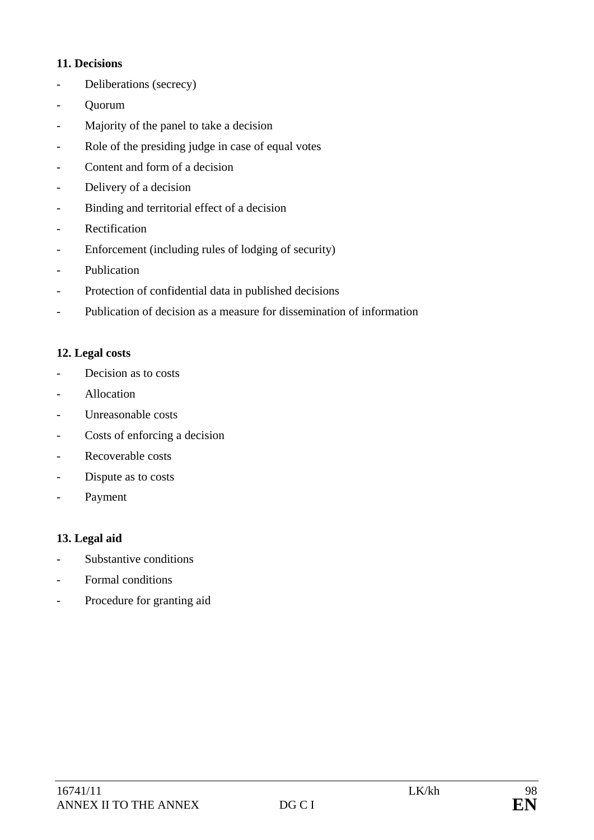### **11. Decisions**

- Deliberations (secrecy)
- Quorum
- Majority of the panel to take a decision
- Role of the presiding judge in case of equal votes
- Content and form of a decision
- Delivery of a decision
- Binding and territorial effect of a decision
- Rectification
- Enforcement (including rules of lodging of security)
- Publication
- Protection of confidential data in published decisions
- Publication of decision as a measure for dissemination of information

## **12. Legal costs**

- Decision as to costs
- **Allocation**
- Unreasonable costs
- Costs of enforcing a decision
- Recoverable costs
- Dispute as to costs
- Payment

## **13. Legal aid**

- Substantive conditions
- Formal conditions
- Procedure for granting aid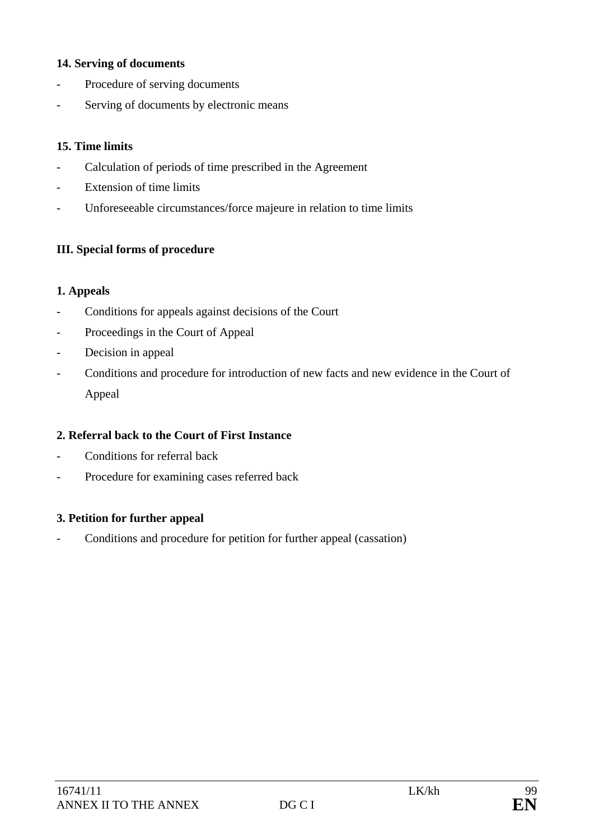### **14. Serving of documents**

- Procedure of serving documents
- Serving of documents by electronic means

### **15. Time limits**

- Calculation of periods of time prescribed in the Agreement
- Extension of time limits
- Unforeseeable circumstances/force majeure in relation to time limits

### **III. Special forms of procedure**

### **1. Appeals**

- Conditions for appeals against decisions of the Court
- Proceedings in the Court of Appeal
- Decision in appeal
- Conditions and procedure for introduction of new facts and new evidence in the Court of Appeal

### **2. Referral back to the Court of First Instance**

- Conditions for referral back
- Procedure for examining cases referred back

### **3. Petition for further appeal**

- Conditions and procedure for petition for further appeal (cassation)